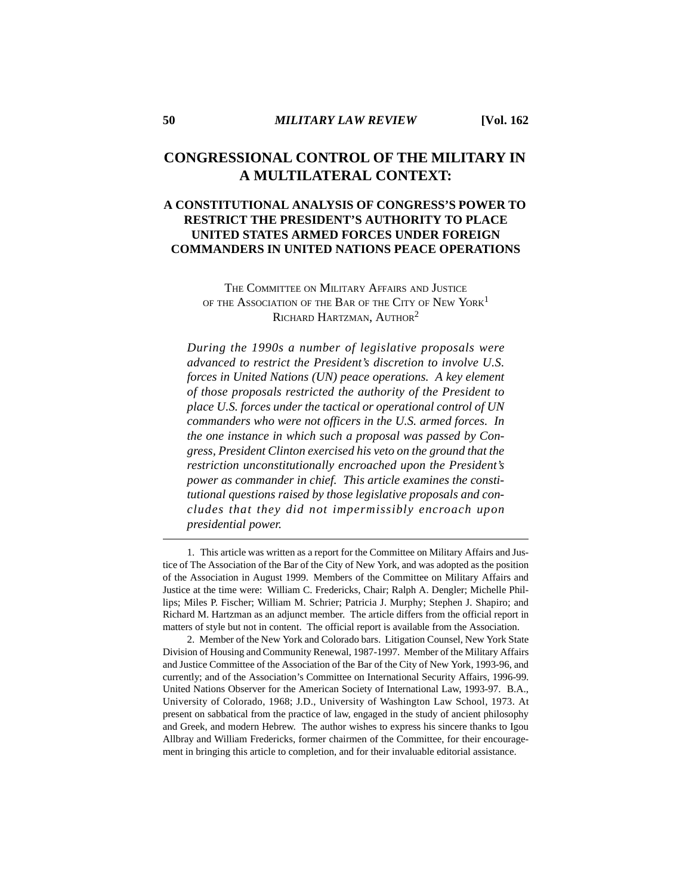# **CONGRESSIONAL CONTROL OF THE MILITARY IN A MULTILATERAL CONTEXT:**

# **A CONSTITUTIONAL ANALYSIS OF CONGRESS'S POWER TO RESTRICT THE PRESIDENT'S AUTHORITY TO PLACE UNITED STATES ARMED FORCES UNDER FOREIGN COMMANDERS IN UNITED NATIONS PEACE OPERATIONS**

THE COMMITTEE ON MILITARY AFFAIRS AND JUSTICE OF THE ASSOCIATION OF THE BAR OF THE CITY OF NEW YORK<sup>1</sup> RICHARD HARTZMAN, AUTHOR<sup>2</sup>

*During the 1990s a number of legislative proposals were advanced to restrict the President's discretion to involve U.S. forces in United Nations (UN) peace operations. A key element of those proposals restricted the authority of the President to place U.S. forces under the tactical or operational control of UN commanders who were not officers in the U.S. armed forces. In the one instance in which such a proposal was passed by Congress, President Clinton exercised his veto on the ground that the restriction unconstitutionally encroached upon the President's power as commander in chief. This article examines the constitutional questions raised by those legislative proposals and concludes that they did not impermissibly encroach upon presidential power.*

1. This article was written as a report for the Committee on Military Affairs and Justice of The Association of the Bar of the City of New York, and was adopted as the position of the Association in August 1999. Members of the Committee on Military Affairs and Justice at the time were: William C. Fredericks, Chair; Ralph A. Dengler; Michelle Phillips; Miles P. Fischer; William M. Schrier; Patricia J. Murphy; Stephen J. Shapiro; and Richard M. Hartzman as an adjunct member. The article differs from the official report in matters of style but not in content. The official report is available from the Association.

2. Member of the New York and Colorado bars. Litigation Counsel, New York State Division of Housing and Community Renewal, 1987-1997. Member of the Military Affairs and Justice Committee of the Association of the Bar of the City of New York, 1993-96, and currently; and of the Association's Committee on International Security Affairs, 1996-99. United Nations Observer for the American Society of International Law, 1993-97. B.A., University of Colorado, 1968; J.D., University of Washington Law School, 1973. At present on sabbatical from the practice of law, engaged in the study of ancient philosophy and Greek, and modern Hebrew. The author wishes to express his sincere thanks to Igou Allbray and William Fredericks, former chairmen of the Committee, for their encouragement in bringing this article to completion, and for their invaluable editorial assistance.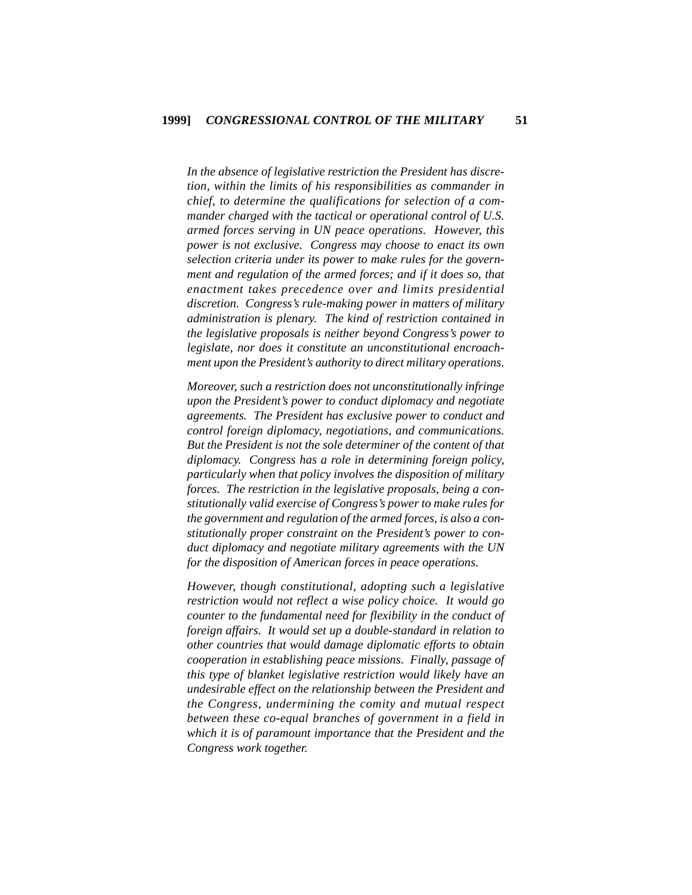*In the absence of legislative restriction the President has discretion, within the limits of his responsibilities as commander in chief, to determine the qualifications for selection of a commander charged with the tactical or operational control of U.S. armed forces serving in UN peace operations. However, this power is not exclusive. Congress may choose to enact its own selection criteria under its power to make rules for the government and regulation of the armed forces; and if it does so, that enactment takes precedence over and limits presidential discretion. Congress's rule-making power in matters of military administration is plenary. The kind of restriction contained in the legislative proposals is neither beyond Congress's power to legislate, nor does it constitute an unconstitutional encroachment upon the President's authority to direct military operations.*

*Moreover, such a restriction does not unconstitutionally infringe upon the President's power to conduct diplomacy and negotiate agreements. The President has exclusive power to conduct and control foreign diplomacy, negotiations, and communications. But the President is not the sole determiner of the content of that diplomacy. Congress has a role in determining foreign policy, particularly when that policy involves the disposition of military forces. The restriction in the legislative proposals, being a constitutionally valid exercise of Congress's power to make rules for the government and regulation of the armed forces, is also a constitutionally proper constraint on the President's power to conduct diplomacy and negotiate military agreements with the UN for the disposition of American forces in peace operations.*

*However, though constitutional, adopting such a legislative restriction would not reflect a wise policy choice. It would go counter to the fundamental need for flexibility in the conduct of foreign affairs. It would set up a double-standard in relation to other countries that would damage diplomatic efforts to obtain cooperation in establishing peace missions. Finally, passage of this type of blanket legislative restriction would likely have an undesirable effect on the relationship between the President and the Congress, undermining the comity and mutual respect between these co-equal branches of government in a field in which it is of paramount importance that the President and the Congress work together.*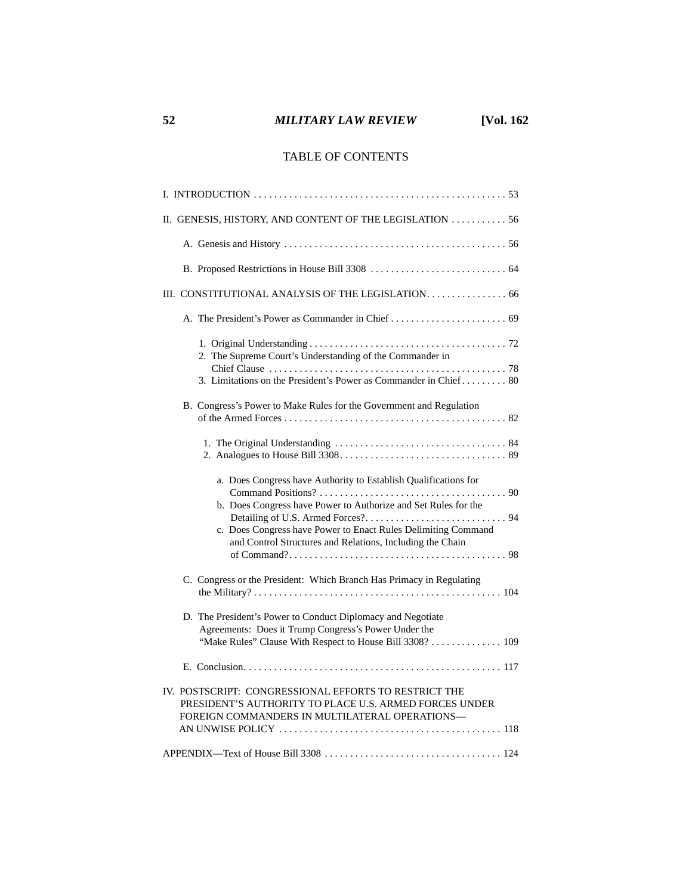# **52** *MILITARY LAW REVIEW* **[Vol. 162**

# TABLE OF CONTENTS

| II. GENESIS, HISTORY, AND CONTENT OF THE LEGISLATION  56                                                                                                                                                                                                        |
|-----------------------------------------------------------------------------------------------------------------------------------------------------------------------------------------------------------------------------------------------------------------|
|                                                                                                                                                                                                                                                                 |
|                                                                                                                                                                                                                                                                 |
| III. CONSTITUTIONAL ANALYSIS OF THE LEGISLATION. 66                                                                                                                                                                                                             |
|                                                                                                                                                                                                                                                                 |
| 2. The Supreme Court's Understanding of the Commander in<br>3. Limitations on the President's Power as Commander in Chief 80                                                                                                                                    |
| B. Congress's Power to Make Rules for the Government and Regulation                                                                                                                                                                                             |
|                                                                                                                                                                                                                                                                 |
| a. Does Congress have Authority to Establish Qualifications for<br>b. Does Congress have Power to Authorize and Set Rules for the<br>c. Does Congress have Power to Enact Rules Delimiting Command<br>and Control Structures and Relations, Including the Chain |
| C. Congress or the President: Which Branch Has Primacy in Regulating                                                                                                                                                                                            |
| D. The President's Power to Conduct Diplomacy and Negotiate<br>Agreements: Does it Trump Congress's Power Under the<br>"Make Rules" Clause With Respect to House Bill 3308?  109                                                                                |
|                                                                                                                                                                                                                                                                 |
| IV. POSTSCRIPT: CONGRESSIONAL EFFORTS TO RESTRICT THE<br>PRESIDENT'S AUTHORITY TO PLACE U.S. ARMED FORCES UNDER<br>FOREIGN COMMANDERS IN MULTILATERAL OPERATIONS-                                                                                               |
|                                                                                                                                                                                                                                                                 |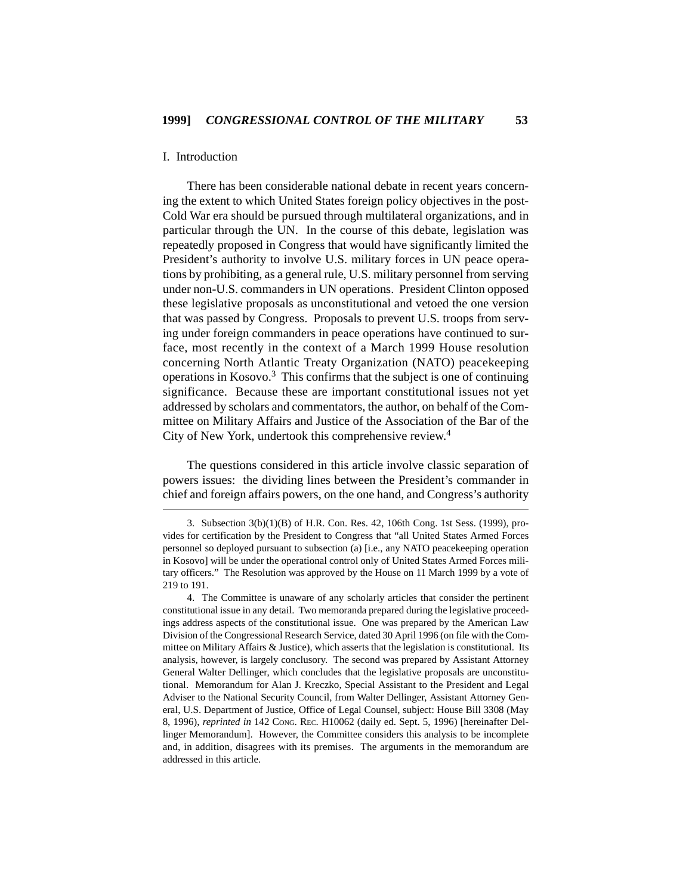### I. Introduction

There has been considerable national debate in recent years concerning the extent to which United States foreign policy objectives in the post-Cold War era should be pursued through multilateral organizations, and in particular through the UN. In the course of this debate, legislation was repeatedly proposed in Congress that would have significantly limited the President's authority to involve U.S. military forces in UN peace operations by prohibiting, as a general rule, U.S. military personnel from serving under non-U.S. commanders in UN operations. President Clinton opposed these legislative proposals as unconstitutional and vetoed the one version that was passed by Congress. Proposals to prevent U.S. troops from serving under foreign commanders in peace operations have continued to surface, most recently in the context of a March 1999 House resolution concerning North Atlantic Treaty Organization (NATO) peacekeeping operations in Kosovo.3 This confirms that the subject is one of continuing significance. Because these are important constitutional issues not yet addressed by scholars and commentators, the author, on behalf of the Committee on Military Affairs and Justice of the Association of the Bar of the City of New York, undertook this comprehensive review.<sup>4</sup>

The questions considered in this article involve classic separation of powers issues: the dividing lines between the President's commander in chief and foreign affairs powers, on the one hand, and Congress's authority

<sup>3.</sup> Subsection 3(b)(1)(B) of H.R. Con. Res. 42, 106th Cong. 1st Sess. (1999), provides for certification by the President to Congress that "all United States Armed Forces personnel so deployed pursuant to subsection (a) [i.e., any NATO peacekeeping operation in Kosovo] will be under the operational control only of United States Armed Forces military officers." The Resolution was approved by the House on 11 March 1999 by a vote of 219 to 191.

<sup>4.</sup> The Committee is unaware of any scholarly articles that consider the pertinent constitutional issue in any detail. Two memoranda prepared during the legislative proceedings address aspects of the constitutional issue. One was prepared by the American Law Division of the Congressional Research Service, dated 30 April 1996 (on file with the Committee on Military Affairs  $\&$  Justice), which asserts that the legislation is constitutional. Its analysis, however, is largely conclusory. The second was prepared by Assistant Attorney General Walter Dellinger, which concludes that the legislative proposals are unconstitutional. Memorandum for Alan J. Kreczko, Special Assistant to the President and Legal Adviser to the National Security Council, from Walter Dellinger, Assistant Attorney General, U.S. Department of Justice, Office of Legal Counsel, subject: House Bill 3308 (May 8, 1996), *reprinted in* 142 CONG. REC. H10062 (daily ed. Sept. 5, 1996) [hereinafter Dellinger Memorandum]. However, the Committee considers this analysis to be incomplete and, in addition, disagrees with its premises. The arguments in the memorandum are addressed in this article.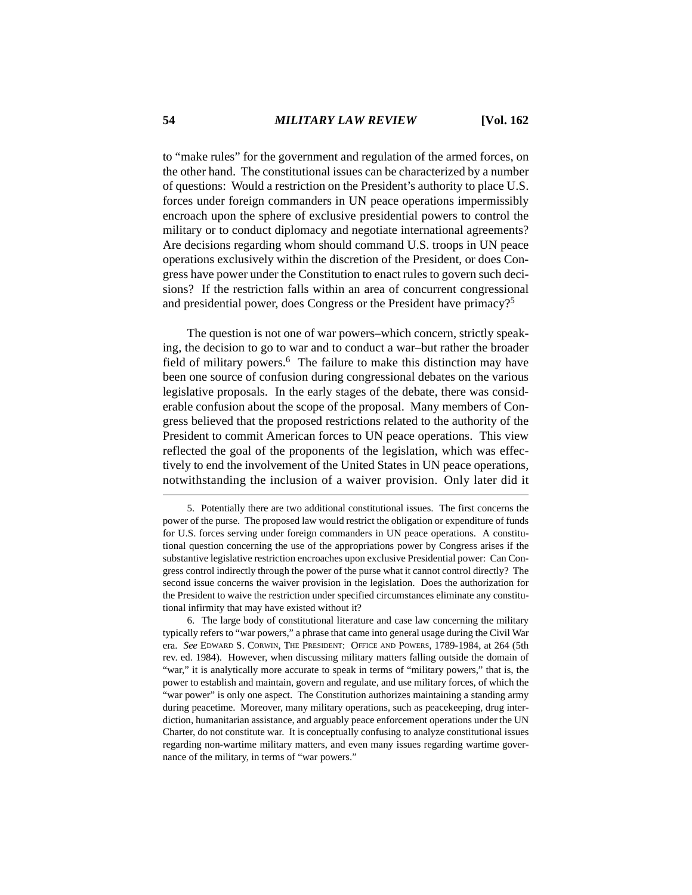to "make rules" for the government and regulation of the armed forces, on the other hand. The constitutional issues can be characterized by a number of questions: Would a restriction on the President's authority to place U.S. forces under foreign commanders in UN peace operations impermissibly encroach upon the sphere of exclusive presidential powers to control the military or to conduct diplomacy and negotiate international agreements? Are decisions regarding whom should command U.S. troops in UN peace operations exclusively within the discretion of the President, or does Congress have power under the Constitution to enact rules to govern such decisions? If the restriction falls within an area of concurrent congressional and presidential power, does Congress or the President have primacy?5

The question is not one of war powers–which concern, strictly speaking, the decision to go to war and to conduct a war–but rather the broader field of military powers.<sup>6</sup> The failure to make this distinction may have been one source of confusion during congressional debates on the various legislative proposals. In the early stages of the debate, there was considerable confusion about the scope of the proposal. Many members of Congress believed that the proposed restrictions related to the authority of the President to commit American forces to UN peace operations. This view reflected the goal of the proponents of the legislation, which was effectively to end the involvement of the United States in UN peace operations, notwithstanding the inclusion of a waiver provision. Only later did it

<sup>5.</sup> Potentially there are two additional constitutional issues. The first concerns the power of the purse. The proposed law would restrict the obligation or expenditure of funds for U.S. forces serving under foreign commanders in UN peace operations. A constitutional question concerning the use of the appropriations power by Congress arises if the substantive legislative restriction encroaches upon exclusive Presidential power: Can Congress control indirectly through the power of the purse what it cannot control directly? The second issue concerns the waiver provision in the legislation. Does the authorization for the President to waive the restriction under specified circumstances eliminate any constitutional infirmity that may have existed without it?

<sup>6.</sup> The large body of constitutional literature and case law concerning the military typically refers to "war powers," a phrase that came into general usage during the Civil War era. *See* EDWARD S. CORWIN, THE PRESIDENT: OFFICE AND POWERS, 1789-1984, at 264 (5th rev. ed. 1984). However, when discussing military matters falling outside the domain of "war," it is analytically more accurate to speak in terms of "military powers," that is, the power to establish and maintain, govern and regulate, and use military forces, of which the "war power" is only one aspect. The Constitution authorizes maintaining a standing army during peacetime. Moreover, many military operations, such as peacekeeping, drug interdiction, humanitarian assistance, and arguably peace enforcement operations under the UN Charter, do not constitute war. It is conceptually confusing to analyze constitutional issues regarding non-wartime military matters, and even many issues regarding wartime governance of the military, in terms of "war powers."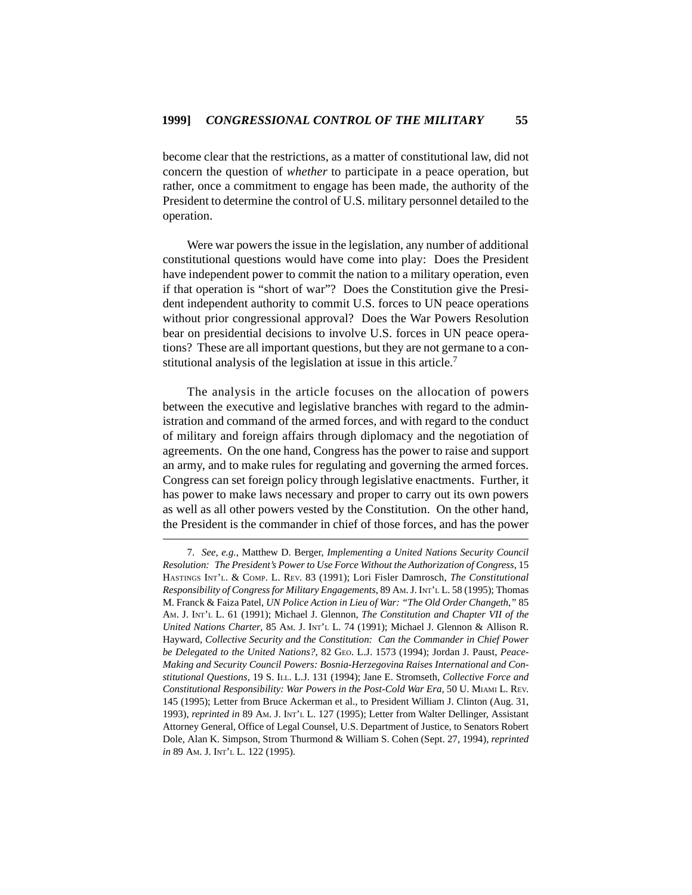become clear that the restrictions, as a matter of constitutional law, did not concern the question of *whether* to participate in a peace operation, but rather, once a commitment to engage has been made, the authority of the President to determine the control of U.S. military personnel detailed to the operation.

Were war powers the issue in the legislation, any number of additional constitutional questions would have come into play: Does the President have independent power to commit the nation to a military operation, even if that operation is "short of war"? Does the Constitution give the President independent authority to commit U.S. forces to UN peace operations without prior congressional approval? Does the War Powers Resolution bear on presidential decisions to involve U.S. forces in UN peace operations? These are all important questions, but they are not germane to a constitutional analysis of the legislation at issue in this article.<sup>7</sup>

The analysis in the article focuses on the allocation of powers between the executive and legislative branches with regard to the administration and command of the armed forces, and with regard to the conduct of military and foreign affairs through diplomacy and the negotiation of agreements. On the one hand, Congress has the power to raise and support an army, and to make rules for regulating and governing the armed forces. Congress can set foreign policy through legislative enactments. Further, it has power to make laws necessary and proper to carry out its own powers as well as all other powers vested by the Constitution. On the other hand, the President is the commander in chief of those forces, and has the power

<sup>7.</sup> *See, e.g.*, Matthew D. Berger, *Implementing a United Nations Security Council Resolution: The President's Power to Use Force Without the Authorization of Congress*, 15 HASTINGS INT'L. & COMP. L. REV. 83 (1991); Lori Fisler Damrosch, *The Constitutional Responsibility of Congress for Military Engagements*, 89 AM. J. INT'L L. 58 (1995); Thomas M. Franck & Faiza Patel, *UN Police Action in Lieu of War: "The Old Order Changeth*,*"* 85 AM. J. INT'L L. 61 (1991); Michael J. Glennon, *The Constitution and Chapter VII of the United Nations Charter*, 85 AM. J. INT'L L. 74 (1991); Michael J. Glennon & Allison R. Hayward, *Collective Security and the Constitution: Can the Commander in Chief Power* be Delegated to the United Nations?, 82 GEO. L.J. 1573 (1994); Jordan J. Paust, Peace-*Making and Security Council Powers: Bosnia-Herzegovina Raises International and Constitutional Questions*, 19 S. ILL. L.J. 131 (1994); Jane E. Stromseth, *Collective Force and Constitutional Responsibility: War Powers in the Post-Cold War Era*, 50 U. MIAMI L. REV. 145 (1995); Letter from Bruce Ackerman et al., to President William J. Clinton (Aug. 31, 1993), *reprinted in* 89 AM. J. INT'L L. 127 (1995); Letter from Walter Dellinger, Assistant Attorney General, Office of Legal Counsel, U.S. Department of Justice, to Senators Robert Dole, Alan K. Simpson, Strom Thurmond & William S. Cohen (Sept. 27, 1994), *reprinted in* 89 AM. J. INT'L L. 122 (1995).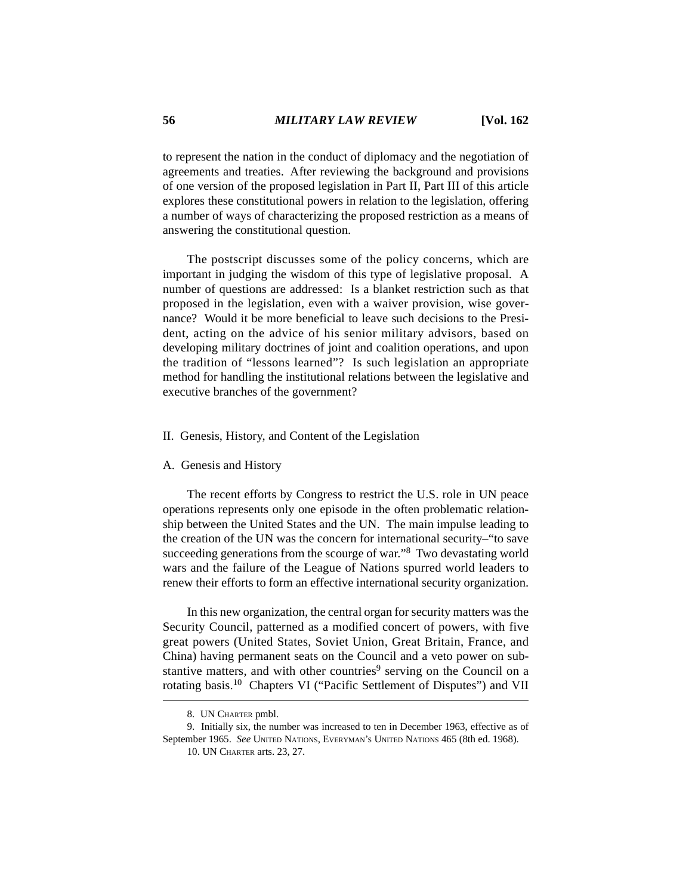to represent the nation in the conduct of diplomacy and the negotiation of agreements and treaties. After reviewing the background and provisions of one version of the proposed legislation in Part II, Part III of this article explores these constitutional powers in relation to the legislation, offering a number of ways of characterizing the proposed restriction as a means of answering the constitutional question.

The postscript discusses some of the policy concerns, which are important in judging the wisdom of this type of legislative proposal. A number of questions are addressed: Is a blanket restriction such as that proposed in the legislation, even with a waiver provision, wise governance? Would it be more beneficial to leave such decisions to the President, acting on the advice of his senior military advisors, based on developing military doctrines of joint and coalition operations, and upon the tradition of "lessons learned"? Is such legislation an appropriate method for handling the institutional relations between the legislative and executive branches of the government?

#### II. Genesis, History, and Content of the Legislation

#### A. Genesis and History

The recent efforts by Congress to restrict the U.S. role in UN peace operations represents only one episode in the often problematic relationship between the United States and the UN. The main impulse leading to the creation of the UN was the concern for international security–"to save succeeding generations from the scourge of war."8 Two devastating world wars and the failure of the League of Nations spurred world leaders to renew their efforts to form an effective international security organization.

In this new organization, the central organ for security matters was the Security Council, patterned as a modified concert of powers, with five great powers (United States, Soviet Union, Great Britain, France, and China) having permanent seats on the Council and a veto power on substantive matters, and with other countries<sup>9</sup> serving on the Council on a rotating basis.10 Chapters VI ("Pacific Settlement of Disputes") and VII

<sup>8.</sup> UN CHARTER pmbl.

<sup>9.</sup> Initially six, the number was increased to ten in December 1963, effective as of September 1965. *See* UNITED NATIONS, EVERYMAN'S UNITED NATIONS 465 (8th ed. 1968).

<sup>10.</sup> UN CHARTER arts. 23, 27.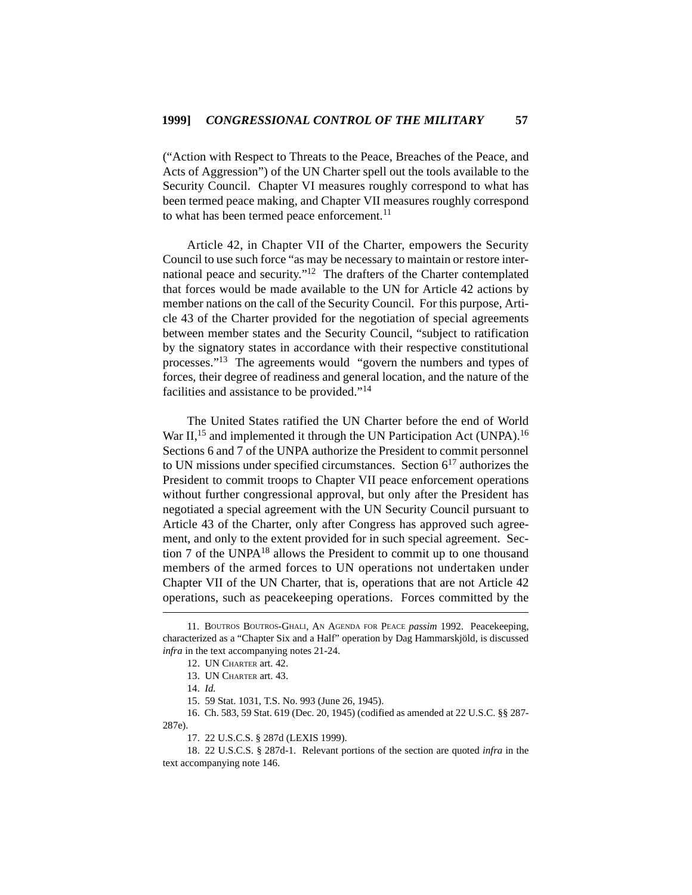("Action with Respect to Threats to the Peace, Breaches of the Peace, and Acts of Aggression") of the UN Charter spell out the tools available to the Security Council. Chapter VI measures roughly correspond to what has been termed peace making, and Chapter VII measures roughly correspond to what has been termed peace enforcement.<sup>11</sup>

Article 42, in Chapter VII of the Charter, empowers the Security Council to use such force "as may be necessary to maintain or restore international peace and security."12 The drafters of the Charter contemplated that forces would be made available to the UN for Article 42 actions by member nations on the call of the Security Council. For this purpose, Article 43 of the Charter provided for the negotiation of special agreements between member states and the Security Council, "subject to ratification by the signatory states in accordance with their respective constitutional processes."13 The agreements would "govern the numbers and types of forces, their degree of readiness and general location, and the nature of the facilities and assistance to be provided."<sup>14</sup>

The United States ratified the UN Charter before the end of World War II,<sup>15</sup> and implemented it through the UN Participation Act (UNPA).<sup>16</sup> Sections 6 and 7 of the UNPA authorize the President to commit personnel to UN missions under specified circumstances. Section  $6^{17}$  authorizes the President to commit troops to Chapter VII peace enforcement operations without further congressional approval, but only after the President has negotiated a special agreement with the UN Security Council pursuant to Article 43 of the Charter, only after Congress has approved such agreement, and only to the extent provided for in such special agreement. Section 7 of the UNPA18 allows the President to commit up to one thousand members of the armed forces to UN operations not undertaken under Chapter VII of the UN Charter, that is, operations that are not Article 42 operations, such as peacekeeping operations. Forces committed by the

16. Ch. 583, 59 Stat. 619 (Dec. 20, 1945) (codified as amended at 22 U.S.C. §§ 287- 287e).

17. 22 U.S.C.S. § 287d (LEXIS 1999).

18. 22 U.S.C.S. § 287d-1. Relevant portions of the section are quoted *infra* in the text accompanying note 146.

<sup>11.</sup> BOUTROS BOUTROS-GHALI, AN AGENDA FOR PEACE *passim* 1992. Peacekeeping, characterized as a "Chapter Six and a Half" operation by Dag Hammarskjöld, is discussed *infra* in the text accompanying notes 21-24.

<sup>12.</sup> UN CHARTER art. 42.

<sup>13.</sup> UN CHARTER art. 43.

<sup>14.</sup> *Id.*

<sup>15. 59</sup> Stat. 1031, T.S. No. 993 (June 26, 1945).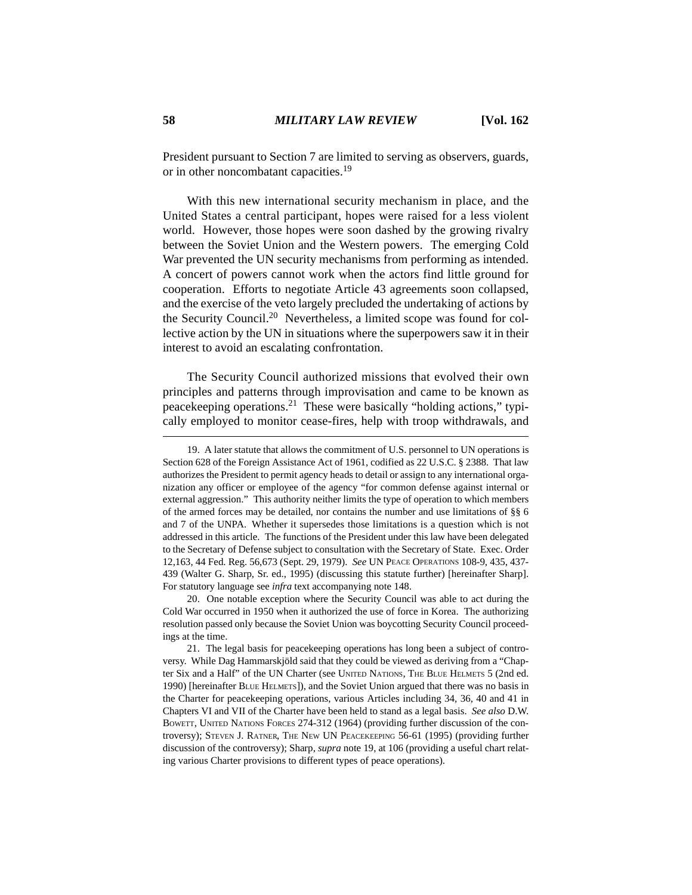President pursuant to Section 7 are limited to serving as observers, guards, or in other noncombatant capacities.<sup>19</sup>

With this new international security mechanism in place, and the United States a central participant, hopes were raised for a less violent world. However, those hopes were soon dashed by the growing rivalry between the Soviet Union and the Western powers. The emerging Cold War prevented the UN security mechanisms from performing as intended. A concert of powers cannot work when the actors find little ground for cooperation. Efforts to negotiate Article 43 agreements soon collapsed, and the exercise of the veto largely precluded the undertaking of actions by the Security Council.<sup>20</sup> Nevertheless, a limited scope was found for collective action by the UN in situations where the superpowers saw it in their interest to avoid an escalating confrontation.

The Security Council authorized missions that evolved their own principles and patterns through improvisation and came to be known as peacekeeping operations.<sup>21</sup> These were basically "holding actions," typically employed to monitor cease-fires, help with troop withdrawals, and

20. One notable exception where the Security Council was able to act during the Cold War occurred in 1950 when it authorized the use of force in Korea. The authorizing resolution passed only because the Soviet Union was boycotting Security Council proceedings at the time.

<sup>19.</sup> A later statute that allows the commitment of U.S. personnel to UN operations is Section 628 of the Foreign Assistance Act of 1961, codified as 22 U.S.C. § 2388. That law authorizes the President to permit agency heads to detail or assign to any international organization any officer or employee of the agency "for common defense against internal or external aggression." This authority neither limits the type of operation to which members of the armed forces may be detailed, nor contains the number and use limitations of §§ 6 and 7 of the UNPA. Whether it supersedes those limitations is a question which is not addressed in this article. The functions of the President under this law have been delegated to the Secretary of Defense subject to consultation with the Secretary of State. Exec. Order 12,163, 44 Fed. Reg. 56,673 (Sept. 29, 1979). *See* UN PEACE OPERATIONS 108-9, 435, 437- 439 (Walter G. Sharp, Sr. ed., 1995) (discussing this statute further) [hereinafter Sharp]. For statutory language see *infra* text accompanying note 148.

<sup>21.</sup> The legal basis for peacekeeping operations has long been a subject of controversy. While Dag Hammarskjöld said that they could be viewed as deriving from a "Chapter Six and a Half" of the UN Charter (see UNITED NATIONS, THE BLUE HELMETS 5 (2nd ed. 1990) [hereinafter BLUE HELMETS]), and the Soviet Union argued that there was no basis in the Charter for peacekeeping operations, various Articles including 34, 36, 40 and 41 in Chapters VI and VII of the Charter have been held to stand as a legal basis. *See also* D.W. BOWETT, UNITED NATIONS FORCES 274-312 (1964) (providing further discussion of the controversy); STEVEN J. RATNER, THE NEW UN PEACEKEEPING 56-61 (1995) (providing further discussion of the controversy); Sharp, *supra* note 19, at 106 (providing a useful chart relating various Charter provisions to different types of peace operations).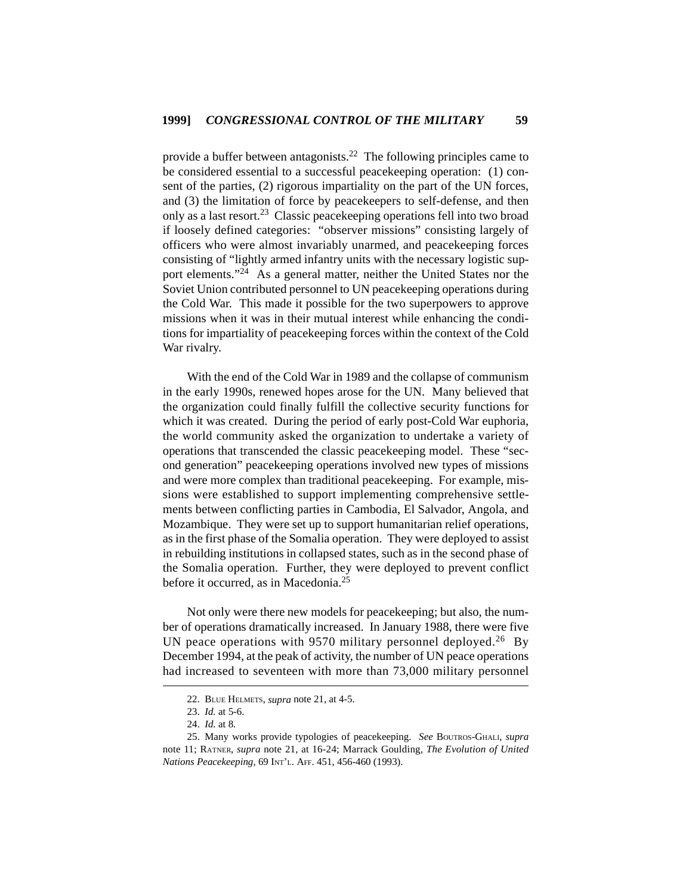provide a buffer between antagonists.<sup>22</sup> The following principles came to be considered essential to a successful peacekeeping operation: (1) consent of the parties, (2) rigorous impartiality on the part of the UN forces, and (3) the limitation of force by peacekeepers to self-defense, and then only as a last resort.<sup>23</sup> Classic peacekeeping operations fell into two broad if loosely defined categories: "observer missions" consisting largely of officers who were almost invariably unarmed, and peacekeeping forces consisting of "lightly armed infantry units with the necessary logistic support elements."<sup>24</sup> As a general matter, neither the United States nor the Soviet Union contributed personnel to UN peacekeeping operations during the Cold War. This made it possible for the two superpowers to approve missions when it was in their mutual interest while enhancing the conditions for impartiality of peacekeeping forces within the context of the Cold War rivalry.

With the end of the Cold War in 1989 and the collapse of communism in the early 1990s, renewed hopes arose for the UN. Many believed that the organization could finally fulfill the collective security functions for which it was created. During the period of early post-Cold War euphoria, the world community asked the organization to undertake a variety of operations that transcended the classic peacekeeping model. These "second generation" peacekeeping operations involved new types of missions and were more complex than traditional peacekeeping. For example, missions were established to support implementing comprehensive settlements between conflicting parties in Cambodia, El Salvador, Angola, and Mozambique. They were set up to support humanitarian relief operations, as in the first phase of the Somalia operation. They were deployed to assist in rebuilding institutions in collapsed states, such as in the second phase of the Somalia operation. Further, they were deployed to prevent conflict before it occurred, as in Macedonia.<sup>25</sup>

Not only were there new models for peacekeeping; but also, the number of operations dramatically increased. In January 1988, there were five UN peace operations with 9570 military personnel deployed.<sup>26</sup> By December 1994, at the peak of activity, the number of UN peace operations had increased to seventeen with more than 73,000 military personnel

<sup>22.</sup> BLUE HELMETS, *supra* note 21, at 4-5.

<sup>23.</sup> *Id.* at 5-6.

<sup>24.</sup> *Id.* at 8.

<sup>25.</sup> Many works provide typologies of peacekeeping. *See* BOUTROS-GHALI, *supra* note 11; RATNER, *supra* note 21, at 16-24; Marrack Goulding, *The Evolution of United Nations Peacekeeping*, 69 INT'L. AFF. 451, 456-460 (1993).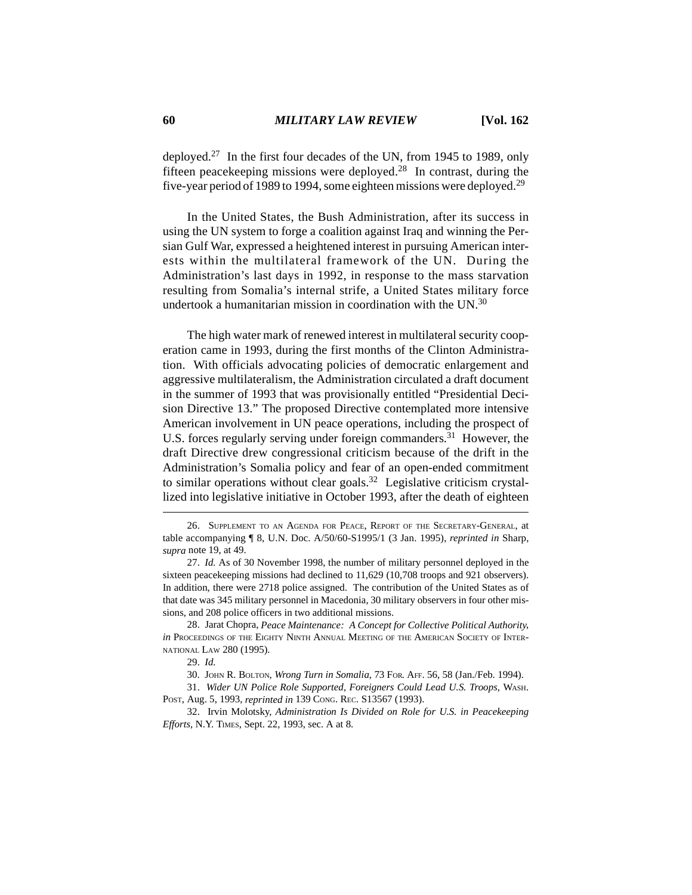deployed.27 In the first four decades of the UN, from 1945 to 1989, only fifteen peacekeeping missions were deployed.<sup>28</sup> In contrast, during the five-year period of 1989 to 1994, some eighteen missions were deployed.29

In the United States, the Bush Administration, after its success in using the UN system to forge a coalition against Iraq and winning the Persian Gulf War, expressed a heightened interest in pursuing American interests within the multilateral framework of the UN. During the Administration's last days in 1992, in response to the mass starvation resulting from Somalia's internal strife, a United States military force undertook a humanitarian mission in coordination with the UN.<sup>30</sup>

The high water mark of renewed interest in multilateral security cooperation came in 1993, during the first months of the Clinton Administration. With officials advocating policies of democratic enlargement and aggressive multilateralism, the Administration circulated a draft document in the summer of 1993 that was provisionally entitled "Presidential Decision Directive 13." The proposed Directive contemplated more intensive American involvement in UN peace operations, including the prospect of U.S. forces regularly serving under foreign commanders.<sup>31</sup> However, the draft Directive drew congressional criticism because of the drift in the Administration's Somalia policy and fear of an open-ended commitment to similar operations without clear goals.<sup>32</sup> Legislative criticism crystallized into legislative initiative in October 1993, after the death of eighteen

<sup>26.</sup> SUPPLEMENT TO AN AGENDA FOR PEACE, REPORT OF THE SECRETARY-GENERAL, at table accompanying ¶ 8, U.N. Doc. A/50/60-S1995/1 (3 Jan. 1995), *reprinted in* Sharp, *supra* note 19, at 49.

<sup>27.</sup> *Id.* As of 30 November 1998, the number of military personnel deployed in the sixteen peacekeeping missions had declined to 11,629 (10,708 troops and 921 observers). In addition, there were 2718 police assigned. The contribution of the United States as of that date was 345 military personnel in Macedonia, 30 military observers in four other missions, and 208 police officers in two additional missions.

<sup>28.</sup> Jarat Chopra, *Peace Maintenance: A Concept for Collective Political Authority*, *in* PROCEEDINGS OF THE EIGHTY NINTH ANNUAL MEETING OF THE AMERICAN SOCIETY OF INTER-NATIONAL LAW 280 (1995).

<sup>29.</sup> *Id.*

<sup>30.</sup> JOHN R. BOLTON, *Wrong Turn in Somalia*, 73 FOR. AFF. 56, 58 (Jan./Feb. 1994).

<sup>31.</sup> *Wider UN Police Role Supported, Foreigners Could Lead U.S. Troops*, WASH. POST, Aug. 5, 1993, *reprinted in* 139 CONG. REC. S13567 (1993).

<sup>32.</sup> Irvin Molotsky, *Administration Is Divided on Role for U.S. in Peacekeeping Efforts*, N.Y. TIMES, Sept. 22, 1993, sec. A at 8.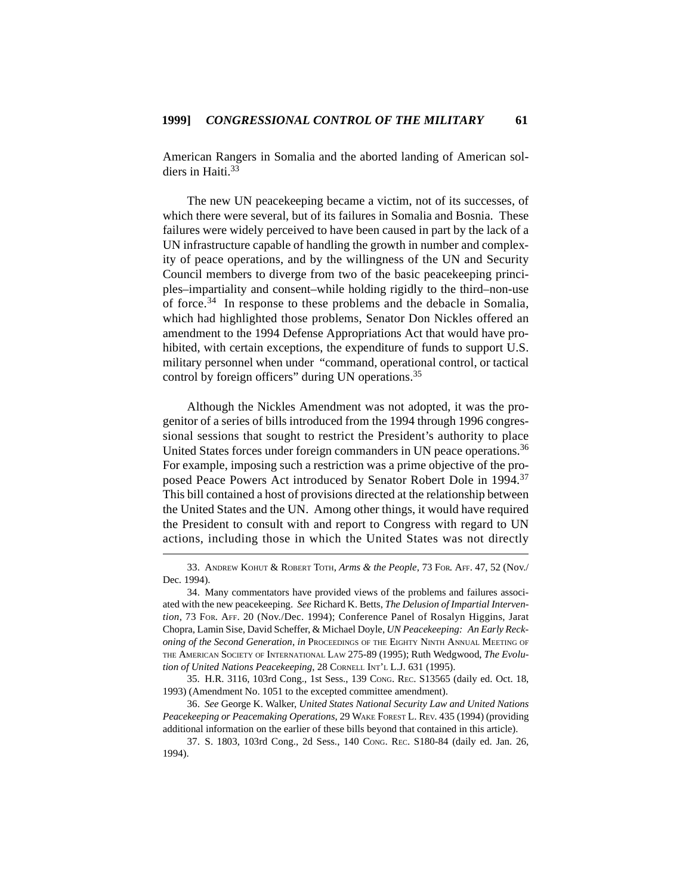American Rangers in Somalia and the aborted landing of American soldiers in Haiti<sup>33</sup>

The new UN peacekeeping became a victim, not of its successes, of which there were several, but of its failures in Somalia and Bosnia. These failures were widely perceived to have been caused in part by the lack of a UN infrastructure capable of handling the growth in number and complexity of peace operations, and by the willingness of the UN and Security Council members to diverge from two of the basic peacekeeping principles–impartiality and consent–while holding rigidly to the third–non-use of force.34 In response to these problems and the debacle in Somalia, which had highlighted those problems, Senator Don Nickles offered an amendment to the 1994 Defense Appropriations Act that would have prohibited, with certain exceptions, the expenditure of funds to support U.S. military personnel when under "command, operational control, or tactical control by foreign officers" during UN operations.<sup>35</sup>

Although the Nickles Amendment was not adopted, it was the progenitor of a series of bills introduced from the 1994 through 1996 congressional sessions that sought to restrict the President's authority to place United States forces under foreign commanders in UN peace operations.<sup>36</sup> For example, imposing such a restriction was a prime objective of the proposed Peace Powers Act introduced by Senator Robert Dole in 1994.<sup>37</sup> This bill contained a host of provisions directed at the relationship between the United States and the UN. Among other things, it would have required the President to consult with and report to Congress with regard to UN actions, including those in which the United States was not directly

35. H.R. 3116, 103rd Cong., 1st Sess., 139 CONG. REC. S13565 (daily ed. Oct. 18, 1993) (Amendment No. 1051 to the excepted committee amendment).

36. *See* George K. Walker, *United States National Security Law and United Nations Peacekeeping or Peacemaking Operations*, 29 WAKE FOREST L. REV. 435 (1994) (providing additional information on the earlier of these bills beyond that contained in this article).

<sup>33.</sup> ANDREW KOHUT & ROBERT TOTH, *Arms & the People*, 73 FOR. AFF. 47, 52 (Nov./ Dec. 1994).

<sup>34.</sup> Many commentators have provided views of the problems and failures associated with the new peacekeeping. *See* Richard K. Betts, *The Delusion of Impartial Intervention*, 73 FOR. AFF. 20 (Nov./Dec. 1994); Conference Panel of Rosalyn Higgins, Jarat Chopra, Lamin Sise, David Scheffer, & Michael Doyle, *UN Peacekeeping: An Early Reckoning of the Second Generation*, *in* PROCEEDINGS OF THE EIGHTY NINTH ANNUAL MEETING OF THE AMERICAN SOCIETY OF INTERNATIONAL LAW 275-89 (1995); Ruth Wedgwood, *The Evolution of United Nations Peacekeeping*, 28 CORNELL INT'L L.J. 631 (1995).

<sup>37.</sup> S. 1803, 103rd Cong., 2d Sess., 140 CONG. REC. S180-84 (daily ed. Jan. 26, 1994).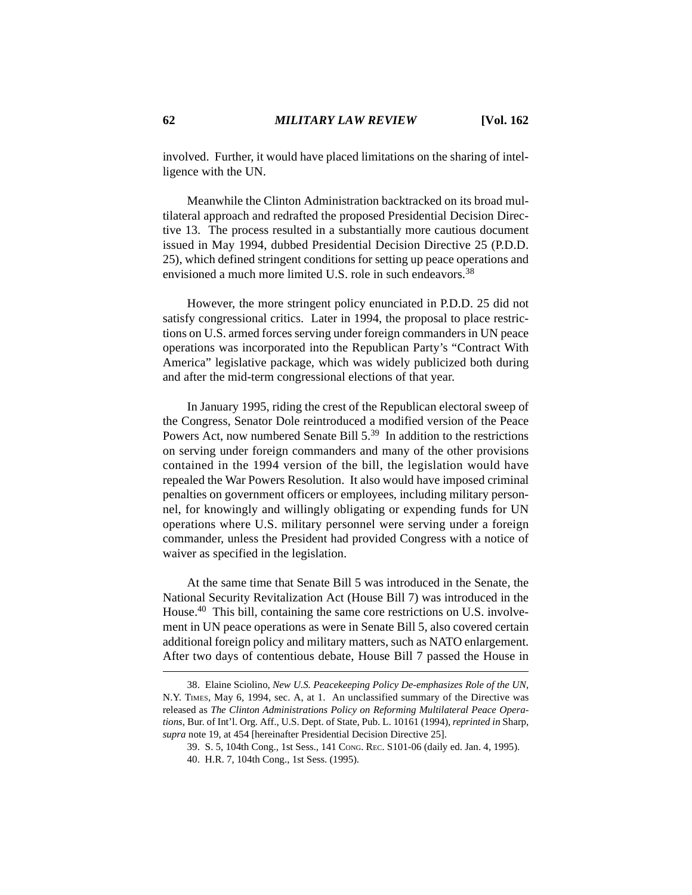involved. Further, it would have placed limitations on the sharing of intelligence with the UN.

Meanwhile the Clinton Administration backtracked on its broad multilateral approach and redrafted the proposed Presidential Decision Directive 13. The process resulted in a substantially more cautious document issued in May 1994, dubbed Presidential Decision Directive 25 (P.D.D. 25), which defined stringent conditions for setting up peace operations and envisioned a much more limited U.S. role in such endeavors.<sup>38</sup>

However, the more stringent policy enunciated in P.D.D. 25 did not satisfy congressional critics. Later in 1994, the proposal to place restrictions on U.S. armed forces serving under foreign commanders in UN peace operations was incorporated into the Republican Party's "Contract With America" legislative package, which was widely publicized both during and after the mid-term congressional elections of that year.

In January 1995, riding the crest of the Republican electoral sweep of the Congress, Senator Dole reintroduced a modified version of the Peace Powers Act, now numbered Senate Bill 5.<sup>39</sup> In addition to the restrictions on serving under foreign commanders and many of the other provisions contained in the 1994 version of the bill, the legislation would have repealed the War Powers Resolution. It also would have imposed criminal penalties on government officers or employees, including military personnel, for knowingly and willingly obligating or expending funds for UN operations where U.S. military personnel were serving under a foreign commander, unless the President had provided Congress with a notice of waiver as specified in the legislation.

At the same time that Senate Bill 5 was introduced in the Senate, the National Security Revitalization Act (House Bill 7) was introduced in the House.<sup>40</sup> This bill, containing the same core restrictions on U.S. involvement in UN peace operations as were in Senate Bill 5, also covered certain additional foreign policy and military matters, such as NATO enlargement. After two days of contentious debate, House Bill 7 passed the House in

<sup>38.</sup> Elaine Sciolino, *New U.S. Peacekeeping Policy De-emphasizes Role of the UN*, N.Y. TIMES, May 6, 1994, sec. A, at 1. An unclassified summary of the Directive was released as *The Clinton Administrations Policy on Reforming Multilateral Peace Operations*, Bur. of Int'l. Org. Aff., U.S. Dept. of State, Pub. L. 10161 (1994), *reprinted in* Sharp, *supra* note 19, at 454 [hereinafter Presidential Decision Directive 25].

<sup>39.</sup> S. 5, 104th Cong., 1st Sess., 141 CONG. REC. S101-06 (daily ed. Jan. 4, 1995).

<sup>40.</sup> H.R. 7, 104th Cong., 1st Sess. (1995).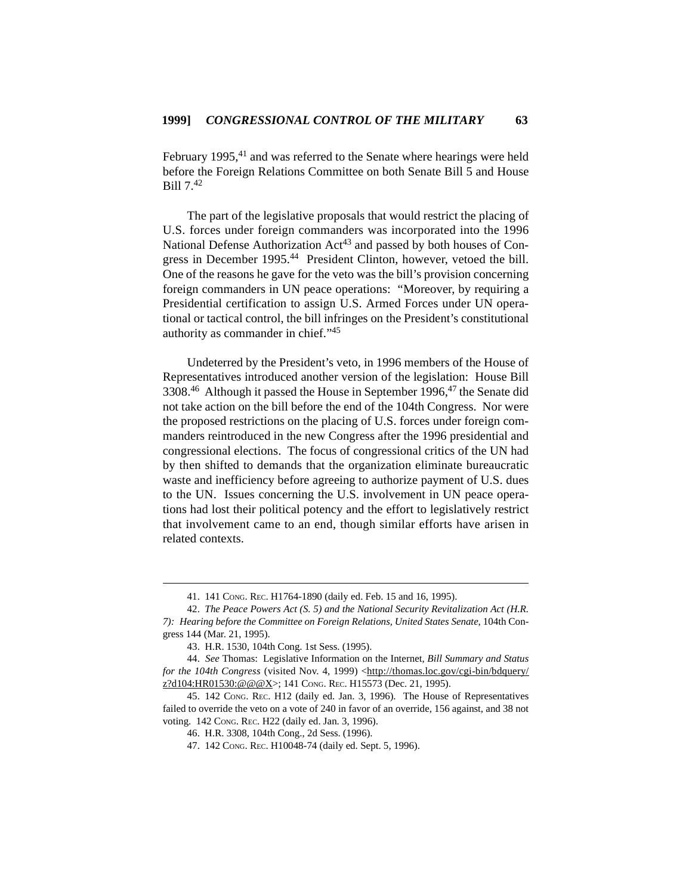February 1995,<sup>41</sup> and was referred to the Senate where hearings were held before the Foreign Relations Committee on both Senate Bill 5 and House Bill 7.<sup>42</sup>

The part of the legislative proposals that would restrict the placing of U.S. forces under foreign commanders was incorporated into the 1996 National Defense Authorization  $Act^{43}$  and passed by both houses of Congress in December 1995.<sup>44</sup> President Clinton, however, vetoed the bill. One of the reasons he gave for the veto was the bill's provision concerning foreign commanders in UN peace operations: "Moreover, by requiring a Presidential certification to assign U.S. Armed Forces under UN operational or tactical control, the bill infringes on the President's constitutional authority as commander in chief."45

Undeterred by the President's veto, in 1996 members of the House of Representatives introduced another version of the legislation: House Bill 3308.46 Although it passed the House in September 1996,47 the Senate did not take action on the bill before the end of the 104th Congress. Nor were the proposed restrictions on the placing of U.S. forces under foreign commanders reintroduced in the new Congress after the 1996 presidential and congressional elections. The focus of congressional critics of the UN had by then shifted to demands that the organization eliminate bureaucratic waste and inefficiency before agreeing to authorize payment of U.S. dues to the UN. Issues concerning the U.S. involvement in UN peace operations had lost their political potency and the effort to legislatively restrict that involvement came to an end, though similar efforts have arisen in related contexts.

<sup>41. 141</sup> CONG. REC. H1764-1890 (daily ed. Feb. 15 and 16, 1995).

<sup>42.</sup> *The Peace Powers Act (S. 5) and the National Security Revitalization Act (H.R. 7): Hearing before the Committee on Foreign Relations, United States Senate*, 104th Congress 144 (Mar. 21, 1995).

<sup>43.</sup> H.R. 1530, 104th Cong. 1st Sess. (1995).

<sup>44.</sup> *See* Thomas: Legislative Information on the Internet, *Bill Summary and Status for the 104th Congress* (visited Nov. 4, 1999) <http://thomas.loc.gov/cgi-bin/bdquery/ z?d104:HR01530:@@@X>; 141 Cong. REC. H15573 (Dec. 21, 1995).

<sup>45. 142</sup> CONG. REC. H12 (daily ed. Jan. 3, 1996). The House of Representatives failed to override the veto on a vote of 240 in favor of an override, 156 against, and 38 not voting. 142 CONG. REC. H22 (daily ed. Jan. 3, 1996).

<sup>46.</sup> H.R. 3308, 104th Cong., 2d Sess. (1996).

<sup>47. 142</sup> CONG. REC. H10048-74 (daily ed. Sept. 5, 1996).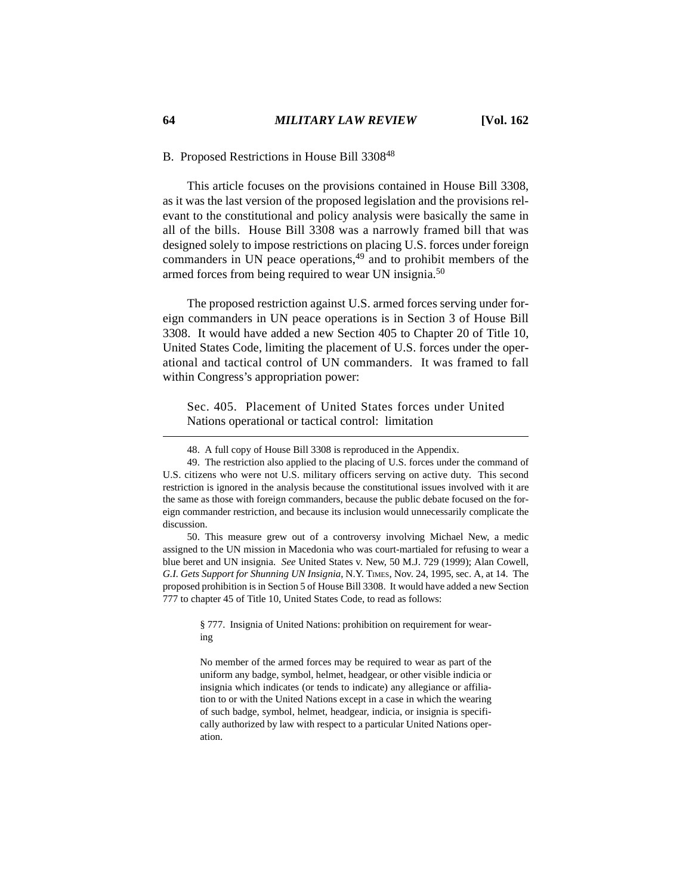### B. Proposed Restrictions in House Bill 3308<sup>48</sup>

This article focuses on the provisions contained in House Bill 3308, as it was the last version of the proposed legislation and the provisions relevant to the constitutional and policy analysis were basically the same in all of the bills. House Bill 3308 was a narrowly framed bill that was designed solely to impose restrictions on placing U.S. forces under foreign commanders in UN peace operations, $49$  and to prohibit members of the armed forces from being required to wear UN insignia.<sup>50</sup>

The proposed restriction against U.S. armed forces serving under foreign commanders in UN peace operations is in Section 3 of House Bill 3308. It would have added a new Section 405 to Chapter 20 of Title 10, United States Code, limiting the placement of U.S. forces under the operational and tactical control of UN commanders. It was framed to fall within Congress's appropriation power:

Sec. 405. Placement of United States forces under United Nations operational or tactical control: limitation

50. This measure grew out of a controversy involving Michael New, a medic assigned to the UN mission in Macedonia who was court-martialed for refusing to wear a blue beret and UN insignia. *See* United States v. New, 50 M.J. 729 (1999); Alan Cowell, *G.I. Gets Support for Shunning UN Insignia*, N.Y. TIMES, Nov. 24, 1995, sec. A, at 14. The proposed prohibition is in Section 5 of House Bill 3308. It would have added a new Section 777 to chapter 45 of Title 10, United States Code, to read as follows:

> § 777. Insignia of United Nations: prohibition on requirement for wearing

> No member of the armed forces may be required to wear as part of the uniform any badge, symbol, helmet, headgear, or other visible indicia or insignia which indicates (or tends to indicate) any allegiance or affiliation to or with the United Nations except in a case in which the wearing of such badge, symbol, helmet, headgear, indicia, or insignia is specifically authorized by law with respect to a particular United Nations operation.

<sup>48.</sup> A full copy of House Bill 3308 is reproduced in the Appendix.

<sup>49.</sup> The restriction also applied to the placing of U.S. forces under the command of U.S. citizens who were not U.S. military officers serving on active duty. This second restriction is ignored in the analysis because the constitutional issues involved with it are the same as those with foreign commanders, because the public debate focused on the foreign commander restriction, and because its inclusion would unnecessarily complicate the discussion.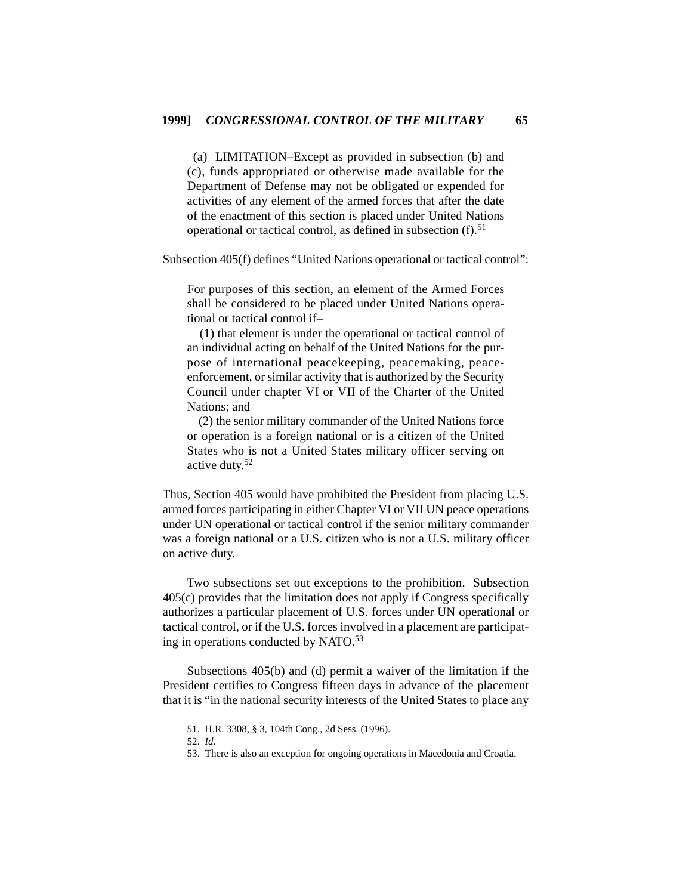(a) LIMITATION–Except as provided in subsection (b) and (c), funds appropriated or otherwise made available for the Department of Defense may not be obligated or expended for activities of any element of the armed forces that after the date of the enactment of this section is placed under United Nations operational or tactical control, as defined in subsection  $(f)$ .<sup>51</sup>

Subsection 405(f) defines "United Nations operational or tactical control":

For purposes of this section, an element of the Armed Forces shall be considered to be placed under United Nations operational or tactical control if–

 (1) that element is under the operational or tactical control of an individual acting on behalf of the United Nations for the purpose of international peacekeeping, peacemaking, peaceenforcement, or similar activity that is authorized by the Security Council under chapter VI or VII of the Charter of the United Nations; and

 (2) the senior military commander of the United Nations force or operation is a foreign national or is a citizen of the United States who is not a United States military officer serving on active duty.<sup>52</sup>

Thus, Section 405 would have prohibited the President from placing U.S. armed forces participating in either Chapter VI or VII UN peace operations under UN operational or tactical control if the senior military commander was a foreign national or a U.S. citizen who is not a U.S. military officer on active duty.

Two subsections set out exceptions to the prohibition. Subsection 405(c) provides that the limitation does not apply if Congress specifically authorizes a particular placement of U.S. forces under UN operational or tactical control, or if the U.S. forces involved in a placement are participating in operations conducted by NATO.<sup>53</sup>

Subsections 405(b) and (d) permit a waiver of the limitation if the President certifies to Congress fifteen days in advance of the placement that it is "in the national security interests of the United States to place any

<sup>51.</sup> H.R. 3308, § 3, 104th Cong., 2d Sess. (1996).

<sup>52.</sup> *Id.*

<sup>53.</sup> There is also an exception for ongoing operations in Macedonia and Croatia.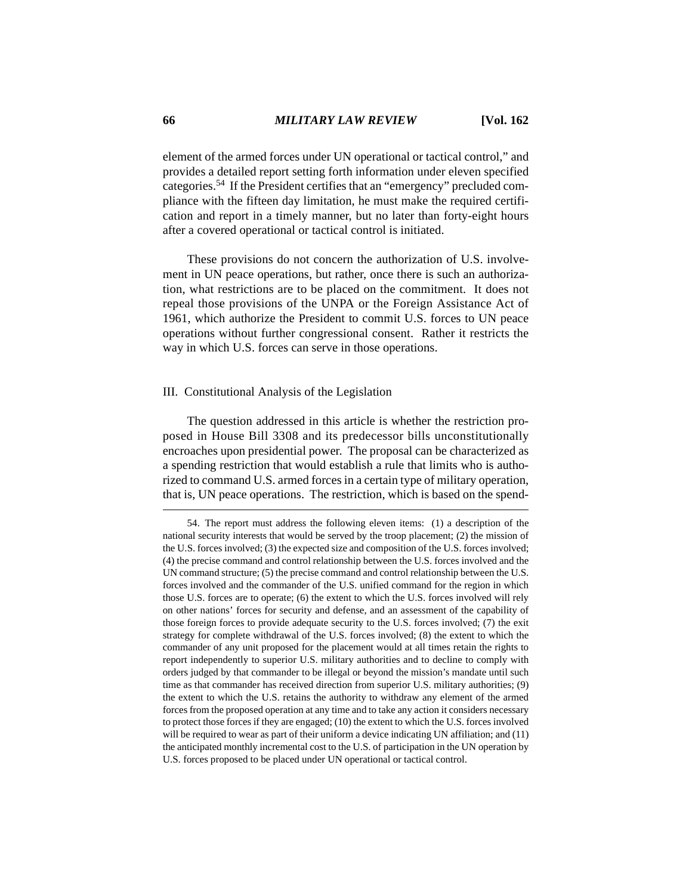element of the armed forces under UN operational or tactical control," and provides a detailed report setting forth information under eleven specified categories.54 If the President certifies that an "emergency" precluded compliance with the fifteen day limitation, he must make the required certification and report in a timely manner, but no later than forty-eight hours after a covered operational or tactical control is initiated.

These provisions do not concern the authorization of U.S. involvement in UN peace operations, but rather, once there is such an authorization, what restrictions are to be placed on the commitment. It does not repeal those provisions of the UNPA or the Foreign Assistance Act of 1961, which authorize the President to commit U.S. forces to UN peace operations without further congressional consent. Rather it restricts the way in which U.S. forces can serve in those operations.

#### III. Constitutional Analysis of the Legislation

The question addressed in this article is whether the restriction proposed in House Bill 3308 and its predecessor bills unconstitutionally encroaches upon presidential power. The proposal can be characterized as a spending restriction that would establish a rule that limits who is authorized to command U.S. armed forces in a certain type of military operation, that is, UN peace operations. The restriction, which is based on the spend-

<sup>54.</sup> The report must address the following eleven items: (1) a description of the national security interests that would be served by the troop placement; (2) the mission of the U.S. forces involved; (3) the expected size and composition of the U.S. forces involved; (4) the precise command and control relationship between the U.S. forces involved and the UN command structure; (5) the precise command and control relationship between the U.S. forces involved and the commander of the U.S. unified command for the region in which those U.S. forces are to operate; (6) the extent to which the U.S. forces involved will rely on other nations' forces for security and defense, and an assessment of the capability of those foreign forces to provide adequate security to the U.S. forces involved; (7) the exit strategy for complete withdrawal of the U.S. forces involved; (8) the extent to which the commander of any unit proposed for the placement would at all times retain the rights to report independently to superior U.S. military authorities and to decline to comply with orders judged by that commander to be illegal or beyond the mission's mandate until such time as that commander has received direction from superior U.S. military authorities; (9) the extent to which the U.S. retains the authority to withdraw any element of the armed forces from the proposed operation at any time and to take any action it considers necessary to protect those forces if they are engaged; (10) the extent to which the U.S. forces involved will be required to wear as part of their uniform a device indicating UN affiliation; and (11) the anticipated monthly incremental cost to the U.S. of participation in the UN operation by U.S. forces proposed to be placed under UN operational or tactical control.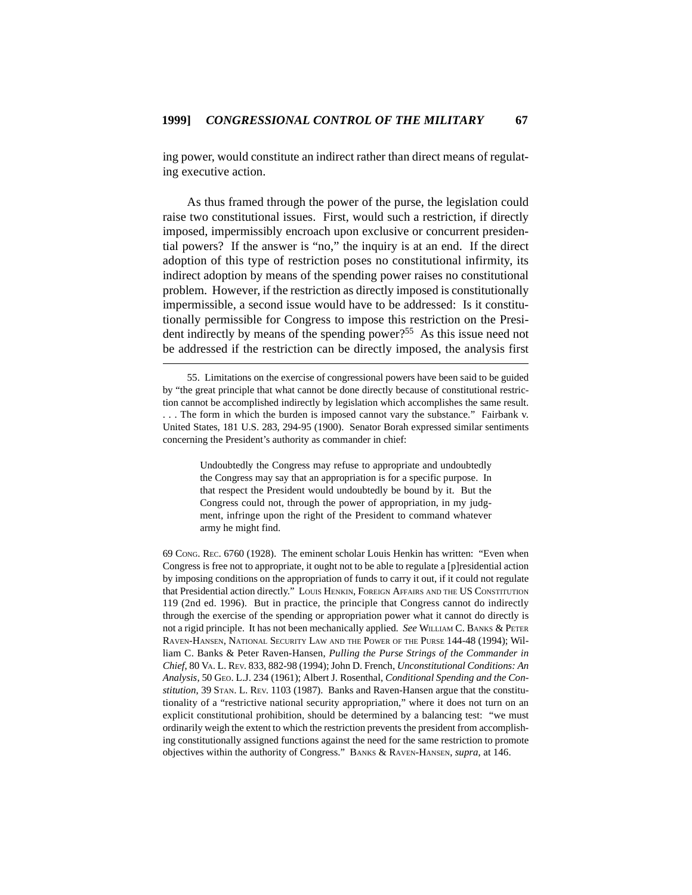ing power, would constitute an indirect rather than direct means of regulating executive action.

As thus framed through the power of the purse, the legislation could raise two constitutional issues. First, would such a restriction, if directly imposed, impermissibly encroach upon exclusive or concurrent presidential powers? If the answer is "no," the inquiry is at an end. If the direct adoption of this type of restriction poses no constitutional infirmity, its indirect adoption by means of the spending power raises no constitutional problem. However, if the restriction as directly imposed is constitutionally impermissible, a second issue would have to be addressed: Is it constitutionally permissible for Congress to impose this restriction on the President indirectly by means of the spending power?<sup>55</sup> As this issue need not be addressed if the restriction can be directly imposed, the analysis first

Undoubtedly the Congress may refuse to appropriate and undoubtedly the Congress may say that an appropriation is for a specific purpose. In that respect the President would undoubtedly be bound by it. But the Congress could not, through the power of appropriation, in my judgment, infringe upon the right of the President to command whatever army he might find.

69 CONG. REC. 6760 (1928). The eminent scholar Louis Henkin has written: "Even when Congress is free not to appropriate, it ought not to be able to regulate a [p]residential action by imposing conditions on the appropriation of funds to carry it out, if it could not regulate that Presidential action directly." LOUIS HENKIN, FOREIGN AFFAIRS AND THE US CONSTITUTION 119 (2nd ed. 1996). But in practice, the principle that Congress cannot do indirectly through the exercise of the spending or appropriation power what it cannot do directly is not a rigid principle. It has not been mechanically applied. *See* WILLIAM C. BANKS & PETER RAVEN-HANSEN, NATIONAL SECURITY LAW AND THE POWER OF THE PURSE 144-48 (1994); William C. Banks & Peter Raven-Hansen, *Pulling the Purse Strings of the Commander in Chief*, 80 VA. L. REV. 833, 882-98 (1994); John D. French, *Unconstitutional Conditions: An Analysis*, 50 GEO. L.J. 234 (1961); Albert J. Rosenthal, *Conditional Spending and the Constitution*, 39 STAN. L. REV. 1103 (1987). Banks and Raven-Hansen argue that the constitutionality of a "restrictive national security appropriation," where it does not turn on an explicit constitutional prohibition, should be determined by a balancing test: "we must ordinarily weigh the extent to which the restriction prevents the president from accomplishing constitutionally assigned functions against the need for the same restriction to promote objectives within the authority of Congress." BANKS & RAVEN-HANSEN, *supra*, at 146.

<sup>55.</sup> Limitations on the exercise of congressional powers have been said to be guided by "the great principle that what cannot be done directly because of constitutional restriction cannot be accomplished indirectly by legislation which accomplishes the same result. . . . The form in which the burden is imposed cannot vary the substance." Fairbank v. United States, 181 U.S. 283, 294-95 (1900). Senator Borah expressed similar sentiments concerning the President's authority as commander in chief: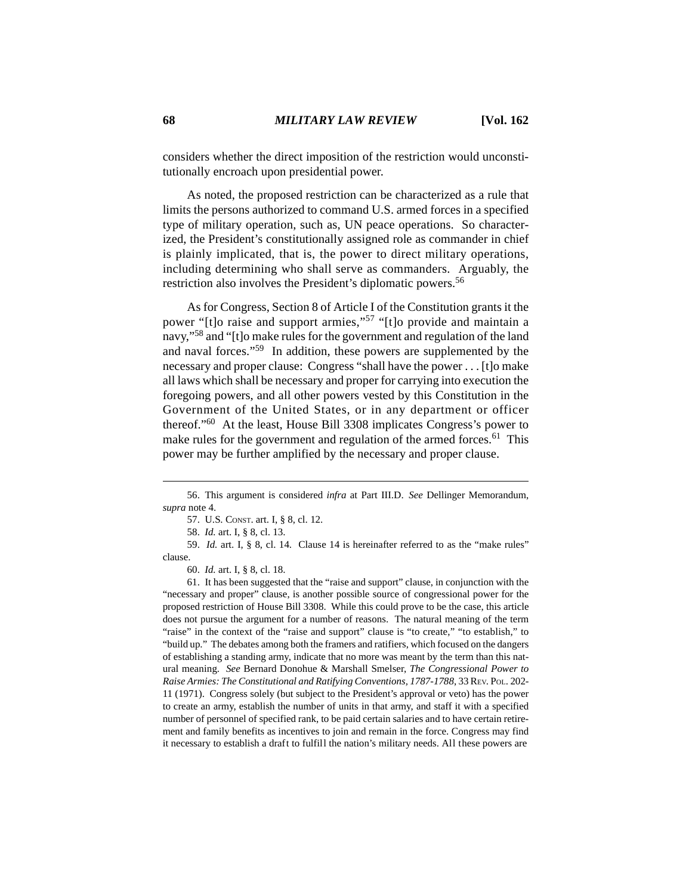considers whether the direct imposition of the restriction would unconstitutionally encroach upon presidential power.

As noted, the proposed restriction can be characterized as a rule that limits the persons authorized to command U.S. armed forces in a specified type of military operation, such as, UN peace operations. So characterized, the President's constitutionally assigned role as commander in chief is plainly implicated, that is, the power to direct military operations, including determining who shall serve as commanders. Arguably, the restriction also involves the President's diplomatic powers.56

As for Congress, Section 8 of Article I of the Constitution grants it the power "[t]o raise and support armies,"57 "[t]o provide and maintain a navy,"58 and "[t]o make rules for the government and regulation of the land and naval forces."59 In addition, these powers are supplemented by the necessary and proper clause: Congress "shall have the power . . . [t]o make all laws which shall be necessary and proper for carrying into execution the foregoing powers, and all other powers vested by this Constitution in the Government of the United States, or in any department or officer thereof."60 At the least, House Bill 3308 implicates Congress's power to make rules for the government and regulation of the armed forces.<sup>61</sup> This power may be further amplified by the necessary and proper clause.

58. *Id.* art. I, § 8, cl. 13.

61. It has been suggested that the "raise and support" clause, in conjunction with the "necessary and proper" clause, is another possible source of congressional power for the proposed restriction of House Bill 3308. While this could prove to be the case, this article does not pursue the argument for a number of reasons. The natural meaning of the term "raise" in the context of the "raise and support" clause is "to create," "to establish," to "build up." The debates among both the framers and ratifiers, which focused on the dangers of establishing a standing army, indicate that no more was meant by the term than this natural meaning. *See* Bernard Donohue & Marshall Smelser, *The Congressional Power to Raise Armies: The Constitutional and Ratifying Conventions, 1787-1788*, 33 REV. POL. 202- 11 (1971). Congress solely (but subject to the President's approval or veto) has the power to create an army, establish the number of units in that army, and staff it with a specified number of personnel of specified rank, to be paid certain salaries and to have certain retirement and family benefits as incentives to join and remain in the force. Congress may find it necessary to establish a draft to fulfill the nation's military needs. All these powers are

<sup>56.</sup> This argument is considered *infra* at Part III.D. *See* Dellinger Memorandum, *supra* note 4.

<sup>57.</sup> U.S. CONST. art. I, § 8, cl. 12.

<sup>59.</sup> *Id.* art. I, § 8, cl. 14. Clause 14 is hereinafter referred to as the "make rules" clause.

<sup>60.</sup> *Id.* art. I, § 8, cl. 18.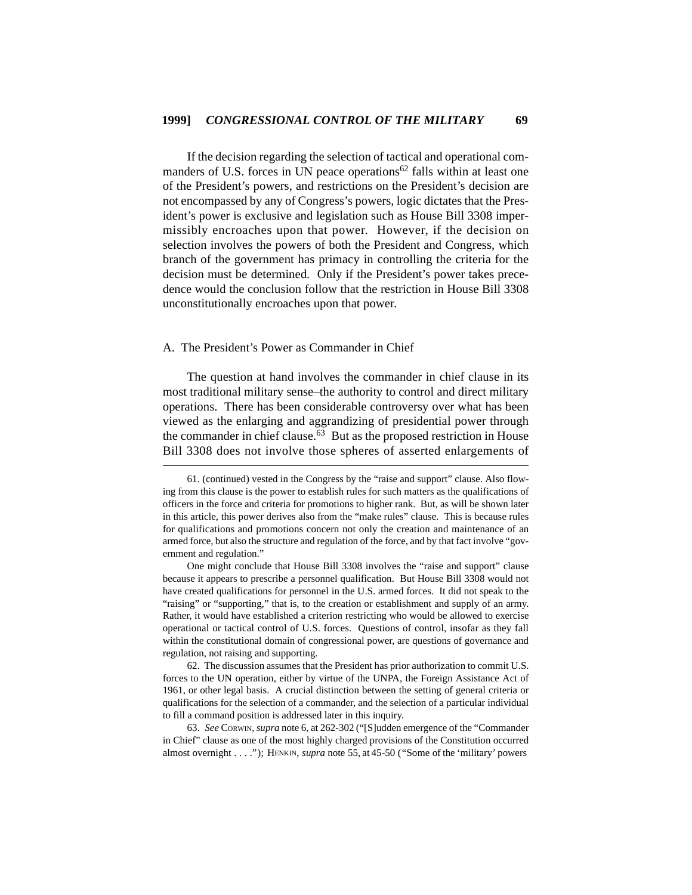If the decision regarding the selection of tactical and operational commanders of U.S. forces in UN peace operations<sup>62</sup> falls within at least one of the President's powers, and restrictions on the President's decision are not encompassed by any of Congress's powers, logic dictates that the President's power is exclusive and legislation such as House Bill 3308 impermissibly encroaches upon that power. However, if the decision on selection involves the powers of both the President and Congress, which branch of the government has primacy in controlling the criteria for the decision must be determined. Only if the President's power takes precedence would the conclusion follow that the restriction in House Bill 3308 unconstitutionally encroaches upon that power.

#### A. The President's Power as Commander in Chief

The question at hand involves the commander in chief clause in its most traditional military sense–the authority to control and direct military operations. There has been considerable controversy over what has been viewed as the enlarging and aggrandizing of presidential power through the commander in chief clause. $63$  But as the proposed restriction in House Bill 3308 does not involve those spheres of asserted enlargements of

<sup>61. (</sup>continued) vested in the Congress by the "raise and support" clause. Also flowing from this clause is the power to establish rules for such matters as the qualifications of officers in the force and criteria for promotions to higher rank. But, as will be shown later in this article, this power derives also from the "make rules" clause. This is because rules for qualifications and promotions concern not only the creation and maintenance of an armed force, but also the structure and regulation of the force, and by that fact involve "government and regulation."

One might conclude that House Bill 3308 involves the "raise and support" clause because it appears to prescribe a personnel qualification. But House Bill 3308 would not have created qualifications for personnel in the U.S. armed forces. It did not speak to the "raising" or "supporting," that is, to the creation or establishment and supply of an army. Rather, it would have established a criterion restricting who would be allowed to exercise operational or tactical control of U.S. forces. Questions of control, insofar as they fall within the constitutional domain of congressional power, are questions of governance and regulation, not raising and supporting.

<sup>62.</sup> The discussion assumes that the President has prior authorization to commit U.S. forces to the UN operation, either by virtue of the UNPA, the Foreign Assistance Act of 1961, or other legal basis. A crucial distinction between the setting of general criteria or qualifications for the selection of a commander, and the selection of a particular individual to fill a command position is addressed later in this inquiry.

<sup>63.</sup> *See* CORWIN, *supra* note 6, at 262-302 ("[S]udden emergence of the "Commander in Chief" clause as one of the most highly charged provisions of the Constitution occurred almost overnight . . . ."); HENKIN, *supra* note 55, at 45-50 ("Some of the 'military' powers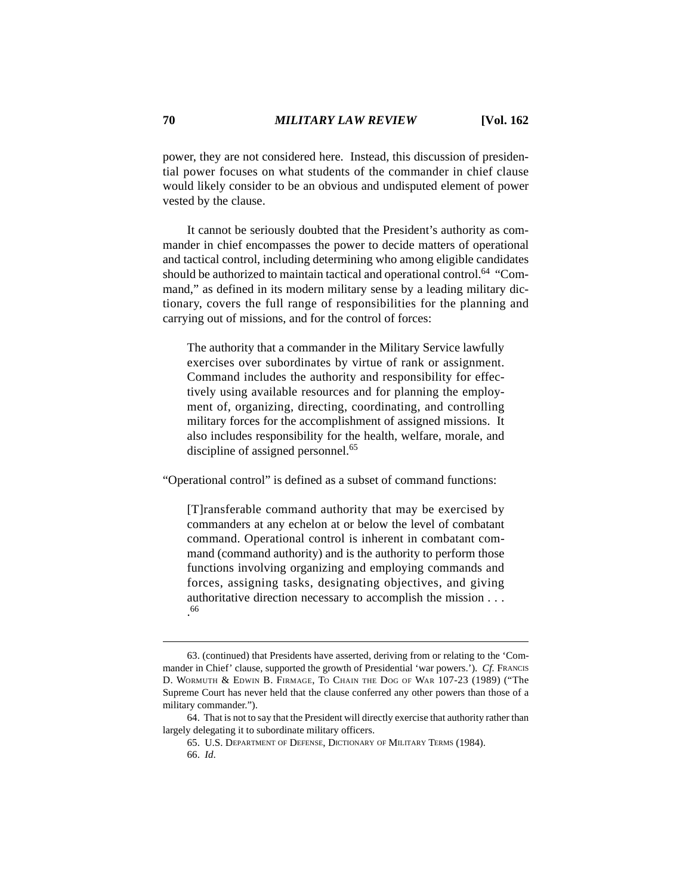power, they are not considered here. Instead, this discussion of presidential power focuses on what students of the commander in chief clause would likely consider to be an obvious and undisputed element of power vested by the clause.

It cannot be seriously doubted that the President's authority as commander in chief encompasses the power to decide matters of operational and tactical control, including determining who among eligible candidates should be authorized to maintain tactical and operational control.<sup>64</sup> "Command," as defined in its modern military sense by a leading military dictionary, covers the full range of responsibilities for the planning and carrying out of missions, and for the control of forces:

The authority that a commander in the Military Service lawfully exercises over subordinates by virtue of rank or assignment. Command includes the authority and responsibility for effectively using available resources and for planning the employment of, organizing, directing, coordinating, and controlling military forces for the accomplishment of assigned missions. It also includes responsibility for the health, welfare, morale, and discipline of assigned personnel.<sup>65</sup>

"Operational control" is defined as a subset of command functions:

[T]ransferable command authority that may be exercised by commanders at any echelon at or below the level of combatant command. Operational control is inherent in combatant command (command authority) and is the authority to perform those functions involving organizing and employing commands and forces, assigning tasks, designating objectives, and giving authoritative direction necessary to accomplish the mission . . . . 66

<sup>63. (</sup>continued) that Presidents have asserted, deriving from or relating to the 'Commander in Chief' clause, supported the growth of Presidential 'war powers.'). *Cf.* FRANCIS D. WORMUTH & EDWIN B. FIRMAGE, TO CHAIN THE DOG OF WAR 107-23 (1989) ("The Supreme Court has never held that the clause conferred any other powers than those of a military commander.").

<sup>64.</sup> That is not to say that the President will directly exercise that authority rather than largely delegating it to subordinate military officers.

<sup>65.</sup> U.S. DEPARTMENT OF DEFENSE, DICTIONARY OF MILITARY TERMS (1984).

<sup>66.</sup> *Id*.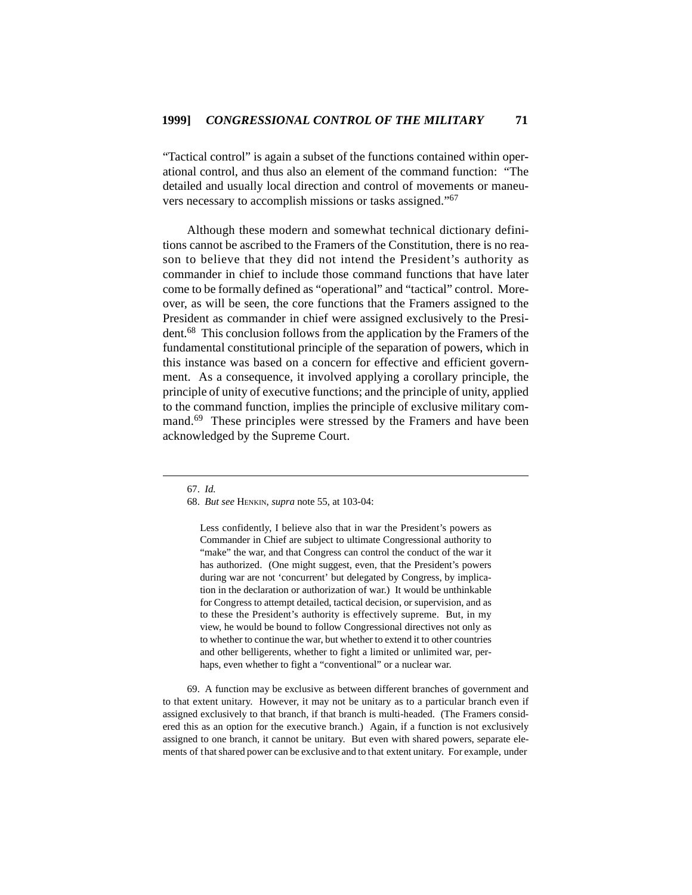"Tactical control" is again a subset of the functions contained within operational control, and thus also an element of the command function: "The detailed and usually local direction and control of movements or maneuvers necessary to accomplish missions or tasks assigned."<sup>67</sup>

Although these modern and somewhat technical dictionary definitions cannot be ascribed to the Framers of the Constitution, there is no reason to believe that they did not intend the President's authority as commander in chief to include those command functions that have later come to be formally defined as "operational" and "tactical" control. Moreover, as will be seen, the core functions that the Framers assigned to the President as commander in chief were assigned exclusively to the President.68 This conclusion follows from the application by the Framers of the fundamental constitutional principle of the separation of powers, which in this instance was based on a concern for effective and efficient government. As a consequence, it involved applying a corollary principle, the principle of unity of executive functions; and the principle of unity, applied to the command function, implies the principle of exclusive military command.<sup>69</sup> These principles were stressed by the Framers and have been acknowledged by the Supreme Court.

Less confidently, I believe also that in war the President's powers as Commander in Chief are subject to ultimate Congressional authority to "make" the war, and that Congress can control the conduct of the war it has authorized. (One might suggest, even, that the President's powers during war are not 'concurrent' but delegated by Congress, by implication in the declaration or authorization of war.) It would be unthinkable for Congress to attempt detailed, tactical decision, or supervision, and as to these the President's authority is effectively supreme. But, in my view, he would be bound to follow Congressional directives not only as to whether to continue the war, but whether to extend it to other countries and other belligerents, whether to fight a limited or unlimited war, perhaps, even whether to fight a "conventional" or a nuclear war.

69. A function may be exclusive as between different branches of government and to that extent unitary. However, it may not be unitary as to a particular branch even if assigned exclusively to that branch, if that branch is multi-headed. (The Framers considered this as an option for the executive branch.) Again, if a function is not exclusively assigned to one branch, it cannot be unitary. But even with shared powers, separate elements of that shared power can be exclusive and to that extent unitary. For example, under

<sup>67.</sup> *Id.*

<sup>68.</sup> *But see* HENKIN, *supra* note 55, at 103-04: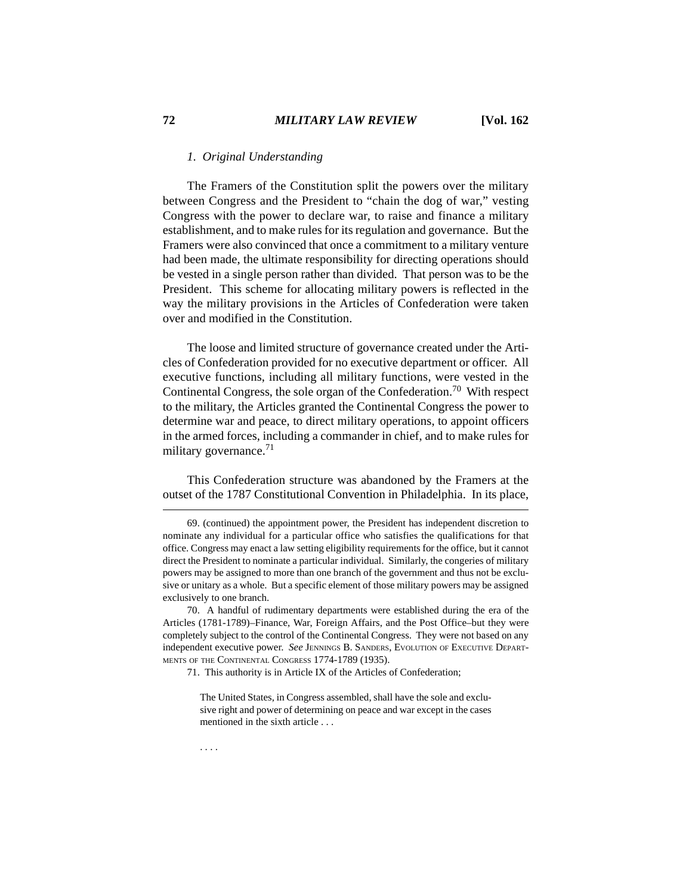### *1. Original Understanding*

The Framers of the Constitution split the powers over the military between Congress and the President to "chain the dog of war," vesting Congress with the power to declare war, to raise and finance a military establishment, and to make rules for its regulation and governance. But the Framers were also convinced that once a commitment to a military venture had been made, the ultimate responsibility for directing operations should be vested in a single person rather than divided. That person was to be the President. This scheme for allocating military powers is reflected in the way the military provisions in the Articles of Confederation were taken over and modified in the Constitution.

The loose and limited structure of governance created under the Articles of Confederation provided for no executive department or officer. All executive functions, including all military functions, were vested in the Continental Congress, the sole organ of the Confederation.<sup>70</sup> With respect to the military, the Articles granted the Continental Congress the power to determine war and peace, to direct military operations, to appoint officers in the armed forces, including a commander in chief, and to make rules for military governance. $71$ 

This Confederation structure was abandoned by the Framers at the outset of the 1787 Constitutional Convention in Philadelphia. In its place,

71. This authority is in Article IX of the Articles of Confederation;

<sup>69. (</sup>continued) the appointment power, the President has independent discretion to nominate any individual for a particular office who satisfies the qualifications for that office. Congress may enact a law setting eligibility requirements for the office, but it cannot direct the President to nominate a particular individual. Similarly, the congeries of military powers may be assigned to more than one branch of the government and thus not be exclusive or unitary as a whole. But a specific element of those military powers may be assigned exclusively to one branch.

<sup>70.</sup> A handful of rudimentary departments were established during the era of the Articles (1781-1789)–Finance, War, Foreign Affairs, and the Post Office–but they were completely subject to the control of the Continental Congress. They were not based on any independent executive power. *See* JENNINGS B. SANDERS, EVOLUTION OF EXECUTIVE DEPART-MENTS OF THE CONTINENTAL CONGRESS 1774-1789 (1935).

The United States, in Congress assembled, shall have the sole and exclusive right and power of determining on peace and war except in the cases mentioned in the sixth article . . .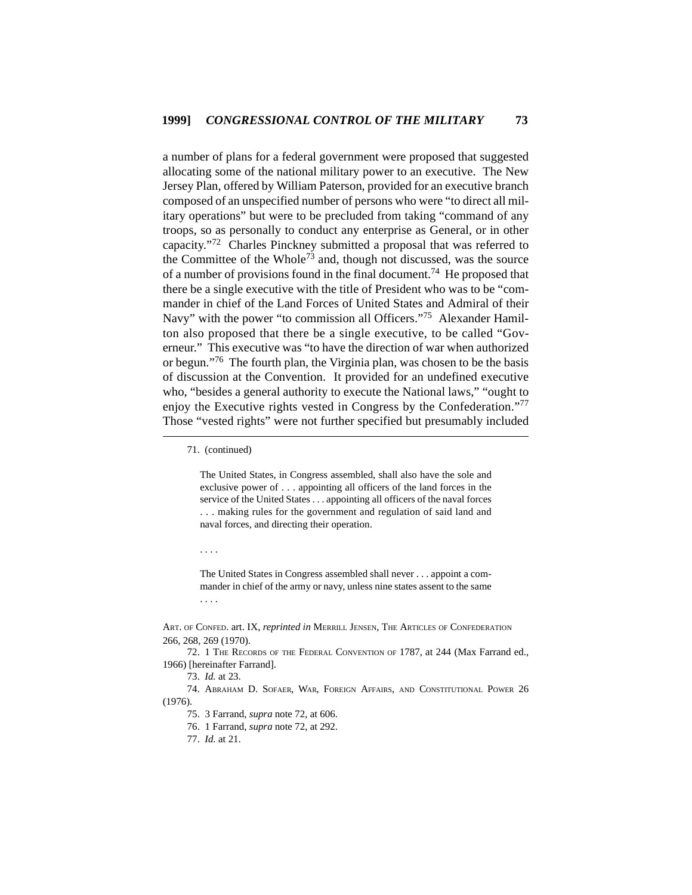a number of plans for a federal government were proposed that suggested allocating some of the national military power to an executive. The New Jersey Plan, offered by William Paterson, provided for an executive branch composed of an unspecified number of persons who were "to direct all military operations" but were to be precluded from taking "command of any troops, so as personally to conduct any enterprise as General, or in other capacity."72 Charles Pinckney submitted a proposal that was referred to the Committee of the Whole<sup>73</sup> and, though not discussed, was the source of a number of provisions found in the final document.<sup>74</sup> He proposed that there be a single executive with the title of President who was to be "commander in chief of the Land Forces of United States and Admiral of their Navy" with the power "to commission all Officers."<sup>75</sup> Alexander Hamilton also proposed that there be a single executive, to be called "Governeur." This executive was "to have the direction of war when authorized or begun."<sup>76</sup> The fourth plan, the Virginia plan, was chosen to be the basis of discussion at the Convention. It provided for an undefined executive who, "besides a general authority to execute the National laws," "ought to enjoy the Executive rights vested in Congress by the Confederation."<sup>77</sup> Those "vested rights" were not further specified but presumably included

71. (continued)

The United States, in Congress assembled, shall also have the sole and exclusive power of . . . appointing all officers of the land forces in the service of the United States . . . appointing all officers of the naval forces . . . making rules for the government and regulation of said land and naval forces, and directing their operation.

. . . .

The United States in Congress assembled shall never . . . appoint a commander in chief of the army or navy, unless nine states assent to the same . . . .

ART. OF CONFED. art. IX, *reprinted in* MERRILL JENSEN, THE ARTICLES OF CONFEDERATION 266, 268, 269 (1970).

<sup>72. 1</sup> THE RECORDS OF THE FEDERAL CONVENTION OF 1787, at 244 (Max Farrand ed., 1966) [hereinafter Farrand].

<sup>73.</sup> *Id.* at 23.

<sup>74.</sup> ABRAHAM D. SOFAER, WAR, FOREIGN AFFAIRS, AND CONSTITUTIONAL POWER 26 (1976).

<sup>75. 3</sup> Farrand, *supra* note 72, at 606.

<sup>76. 1</sup> Farrand, *supra* note 72, at 292.

<sup>77.</sup> *Id.* at 21.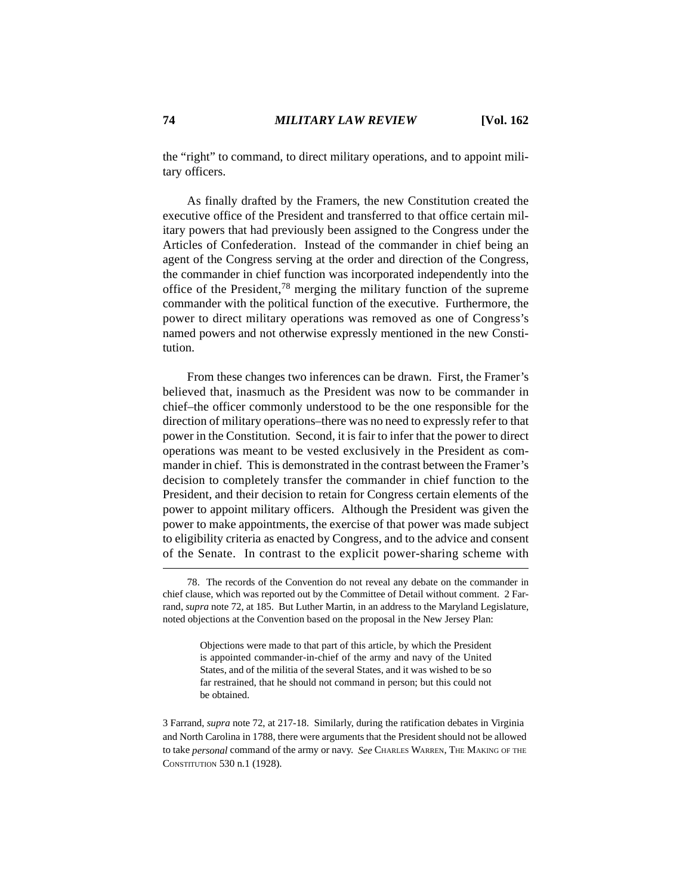the "right" to command, to direct military operations, and to appoint military officers.

As finally drafted by the Framers, the new Constitution created the executive office of the President and transferred to that office certain military powers that had previously been assigned to the Congress under the Articles of Confederation. Instead of the commander in chief being an agent of the Congress serving at the order and direction of the Congress, the commander in chief function was incorporated independently into the office of the President,78 merging the military function of the supreme commander with the political function of the executive. Furthermore, the power to direct military operations was removed as one of Congress's named powers and not otherwise expressly mentioned in the new Constitution.

From these changes two inferences can be drawn. First, the Framer's believed that, inasmuch as the President was now to be commander in chief–the officer commonly understood to be the one responsible for the direction of military operations–there was no need to expressly refer to that power in the Constitution. Second, it is fair to infer that the power to direct operations was meant to be vested exclusively in the President as commander in chief. This is demonstrated in the contrast between the Framer's decision to completely transfer the commander in chief function to the President, and their decision to retain for Congress certain elements of the power to appoint military officers. Although the President was given the power to make appointments, the exercise of that power was made subject to eligibility criteria as enacted by Congress, and to the advice and consent of the Senate. In contrast to the explicit power-sharing scheme with

Objections were made to that part of this article, by which the President is appointed commander-in-chief of the army and navy of the United States, and of the militia of the several States, and it was wished to be so far restrained, that he should not command in person; but this could not be obtained.

3 Farrand, *supra* note 72, at 217-18. Similarly, during the ratification debates in Virginia and North Carolina in 1788, there were arguments that the President should not be allowed to take *personal* command of the army or navy. *See* CHARLES WARREN, THE MAKING OF THE CONSTITUTION 530 n.1 (1928).

<sup>78.</sup> The records of the Convention do not reveal any debate on the commander in chief clause, which was reported out by the Committee of Detail without comment. 2 Farrand, *supra* note 72, at 185. But Luther Martin, in an address to the Maryland Legislature, noted objections at the Convention based on the proposal in the New Jersey Plan: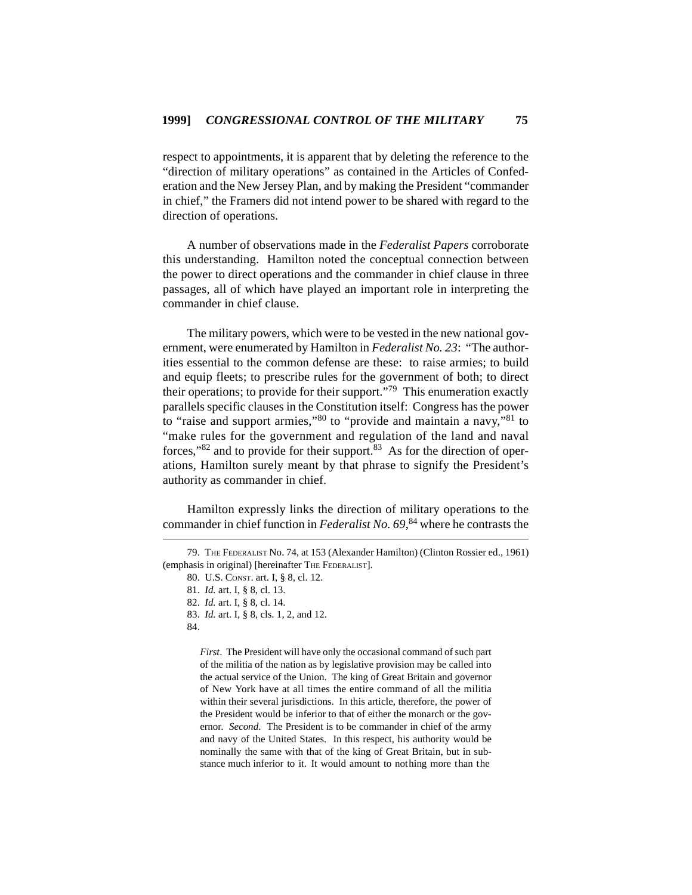respect to appointments, it is apparent that by deleting the reference to the "direction of military operations" as contained in the Articles of Confederation and the New Jersey Plan, and by making the President "commander in chief," the Framers did not intend power to be shared with regard to the direction of operations.

A number of observations made in the *Federalist Papers* corroborate this understanding. Hamilton noted the conceptual connection between the power to direct operations and the commander in chief clause in three passages, all of which have played an important role in interpreting the commander in chief clause.

The military powers, which were to be vested in the new national government, were enumerated by Hamilton in *Federalist No. 23*: "The authorities essential to the common defense are these: to raise armies; to build and equip fleets; to prescribe rules for the government of both; to direct their operations; to provide for their support. $\frac{779}{7}$  This enumeration exactly parallels specific clauses in the Constitution itself: Congress has the power to "raise and support armies,"80 to "provide and maintain a navy,"81 to "make rules for the government and regulation of the land and naval forces,"<sup>82</sup> and to provide for their support.<sup>83</sup> As for the direction of operations, Hamilton surely meant by that phrase to signify the President's authority as commander in chief.

Hamilton expressly links the direction of military operations to the commander in chief function in *Federalist No. 69*, 84 where he contrasts the

- 83. *Id.* art. I, § 8, cls. 1, 2, and 12.
- 84.

*First*. The President will have only the occasional command of such part of the militia of the nation as by legislative provision may be called into the actual service of the Union. The king of Great Britain and governor of New York have at all times the entire command of all the militia within their several jurisdictions. In this article, therefore, the power of the President would be inferior to that of either the monarch or the governor. *Second*. The President is to be commander in chief of the army and navy of the United States. In this respect, his authority would be nominally the same with that of the king of Great Britain, but in substance much inferior to it. It would amount to nothing more than the

<sup>79.</sup> THE FEDERALIST No. 74, at 153 (Alexander Hamilton) (Clinton Rossier ed., 1961) (emphasis in original) [hereinafter THE FEDERALIST].

<sup>80.</sup> U.S. CONST. art. I, § 8, cl. 12.

<sup>81.</sup> *Id.* art. I, § 8, cl. 13.

<sup>82.</sup> *Id.* art. I, § 8, cl. 14.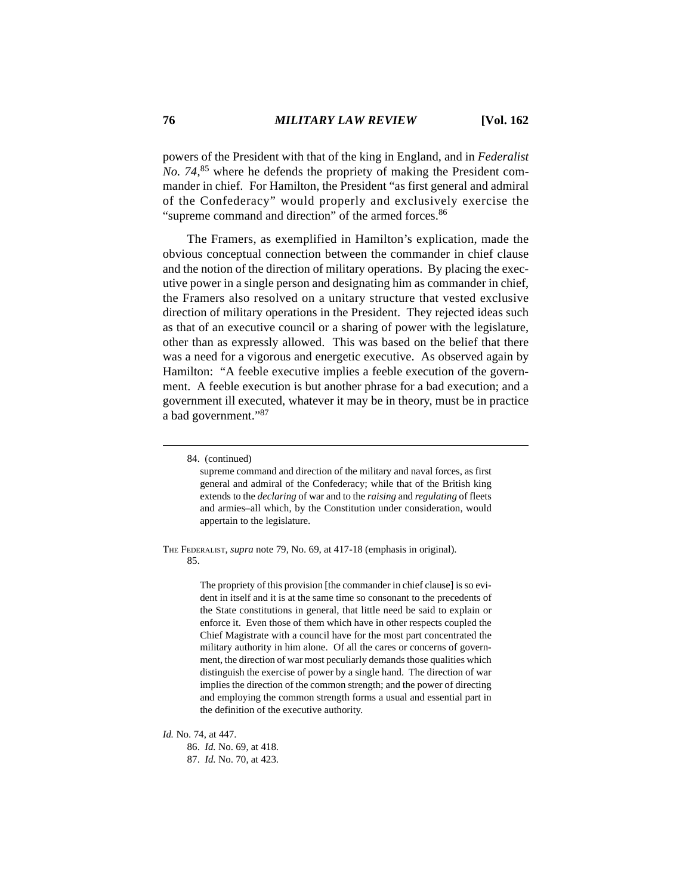powers of the President with that of the king in England, and in *Federalist No. 74*, 85 where he defends the propriety of making the President commander in chief. For Hamilton, the President "as first general and admiral of the Confederacy" would properly and exclusively exercise the "supreme command and direction" of the armed forces.<sup>86</sup>

The Framers, as exemplified in Hamilton's explication, made the obvious conceptual connection between the commander in chief clause and the notion of the direction of military operations. By placing the executive power in a single person and designating him as commander in chief, the Framers also resolved on a unitary structure that vested exclusive direction of military operations in the President. They rejected ideas such as that of an executive council or a sharing of power with the legislature, other than as expressly allowed. This was based on the belief that there was a need for a vigorous and energetic executive. As observed again by Hamilton: "A feeble executive implies a feeble execution of the government. A feeble execution is but another phrase for a bad execution; and a government ill executed, whatever it may be in theory, must be in practice a bad government."87

supreme command and direction of the military and naval forces, as first general and admiral of the Confederacy; while that of the British king extends to the *declaring* of war and to the *raising* and *regulating* of fleets and armies–all which, by the Constitution under consideration, would appertain to the legislature.

THE FEDERALIST, *supra* note 79, No. 69, at 417-18 (emphasis in original). 85.

> The propriety of this provision [the commander in chief clause] is so evident in itself and it is at the same time so consonant to the precedents of the State constitutions in general, that little need be said to explain or enforce it. Even those of them which have in other respects coupled the Chief Magistrate with a council have for the most part concentrated the military authority in him alone. Of all the cares or concerns of government, the direction of war most peculiarly demands those qualities which distinguish the exercise of power by a single hand. The direction of war implies the direction of the common strength; and the power of directing and employing the common strength forms a usual and essential part in the definition of the executive authority.

*Id.* No. 74, at 447.

86. *Id.* No. 69, at 418. 87. *Id.* No. 70, at 423.

<sup>84. (</sup>continued)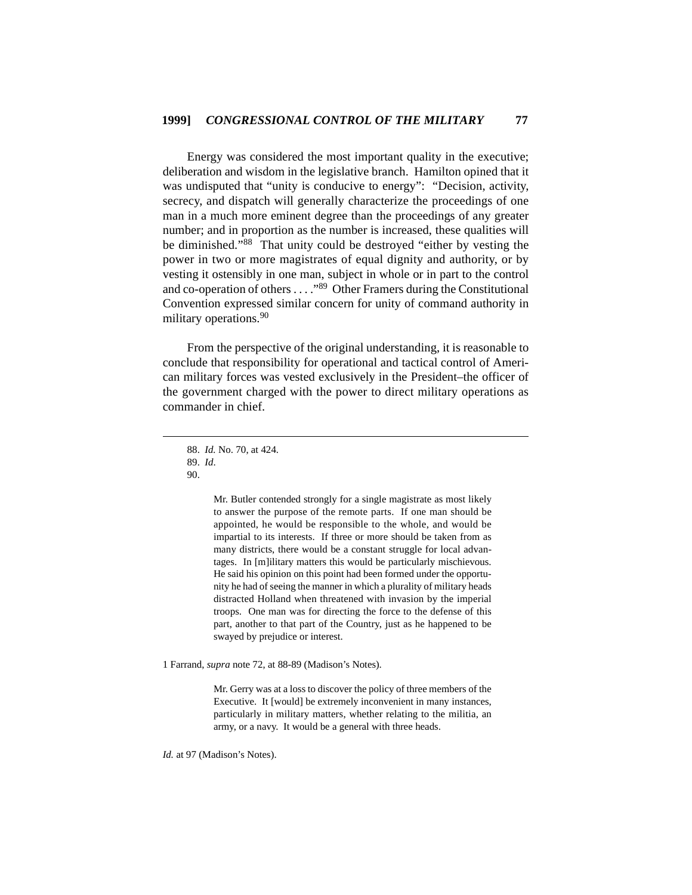Energy was considered the most important quality in the executive; deliberation and wisdom in the legislative branch. Hamilton opined that it was undisputed that "unity is conducive to energy": "Decision, activity, secrecy, and dispatch will generally characterize the proceedings of one man in a much more eminent degree than the proceedings of any greater number; and in proportion as the number is increased, these qualities will be diminished."88 That unity could be destroyed "either by vesting the power in two or more magistrates of equal dignity and authority, or by vesting it ostensibly in one man, subject in whole or in part to the control and co-operation of others . . . ."89 Other Framers during the Constitutional Convention expressed similar concern for unity of command authority in military operations.<sup>90</sup>

From the perspective of the original understanding, it is reasonable to conclude that responsibility for operational and tactical control of American military forces was vested exclusively in the President–the officer of the government charged with the power to direct military operations as commander in chief.

Mr. Butler contended strongly for a single magistrate as most likely to answer the purpose of the remote parts. If one man should be appointed, he would be responsible to the whole, and would be impartial to its interests. If three or more should be taken from as many districts, there would be a constant struggle for local advantages. In [m]ilitary matters this would be particularly mischievous. He said his opinion on this point had been formed under the opportunity he had of seeing the manner in which a plurality of military heads distracted Holland when threatened with invasion by the imperial troops. One man was for directing the force to the defense of this part, another to that part of the Country, just as he happened to be swayed by prejudice or interest.

1 Farrand, *supra* note 72, at 88-89 (Madison's Notes).

Mr. Gerry was at a loss to discover the policy of three members of the Executive. It [would] be extremely inconvenient in many instances, particularly in military matters, whether relating to the militia, an army, or a navy. It would be a general with three heads.

*Id.* at 97 (Madison's Notes).

<sup>88.</sup> *Id.* No. 70, at 424.

<sup>89.</sup> *Id*.

<sup>90.</sup>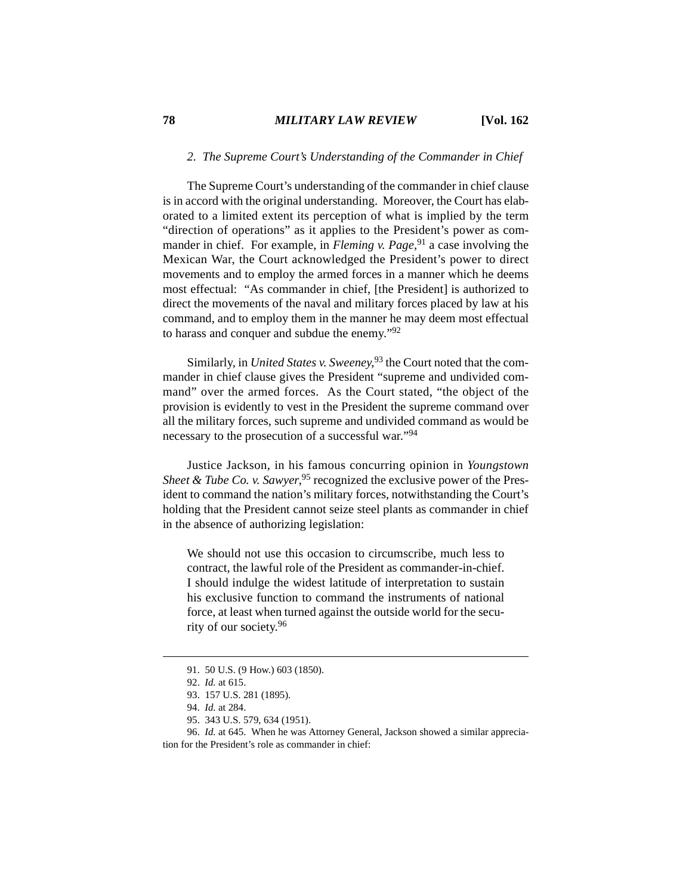## *2. The Supreme Court's Understanding of the Commander in Chief*

The Supreme Court's understanding of the commander in chief clause is in accord with the original understanding. Moreover, the Court has elaborated to a limited extent its perception of what is implied by the term "direction of operations" as it applies to the President's power as commander in chief. For example, in *Fleming v. Page*,<sup>91</sup> a case involving the Mexican War, the Court acknowledged the President's power to direct movements and to employ the armed forces in a manner which he deems most effectual: "As commander in chief, [the President] is authorized to direct the movements of the naval and military forces placed by law at his command, and to employ them in the manner he may deem most effectual to harass and conquer and subdue the enemy."92

Similarly, in *United States v. Sweeney*, 93 the Court noted that the commander in chief clause gives the President "supreme and undivided command" over the armed forces. As the Court stated, "the object of the provision is evidently to vest in the President the supreme command over all the military forces, such supreme and undivided command as would be necessary to the prosecution of a successful war."<sup>94</sup>

Justice Jackson, in his famous concurring opinion in *Youngstown* Sheet & Tube Co. v. Sawyer,<sup>95</sup> recognized the exclusive power of the President to command the nation's military forces, notwithstanding the Court's holding that the President cannot seize steel plants as commander in chief in the absence of authorizing legislation:

We should not use this occasion to circumscribe, much less to contract, the lawful role of the President as commander-in-chief. I should indulge the widest latitude of interpretation to sustain his exclusive function to command the instruments of national force, at least when turned against the outside world for the security of our society.<sup>96</sup>

<sup>91. 50</sup> U.S. (9 How.) 603 (1850).

<sup>92.</sup> *Id.* at 615.

<sup>93. 157</sup> U.S. 281 (1895).

<sup>94.</sup> *Id.* at 284.

<sup>95. 343</sup> U.S. 579, 634 (1951).

<sup>96.</sup> *Id.* at 645. When he was Attorney General, Jackson showed a similar appreciation for the President's role as commander in chief: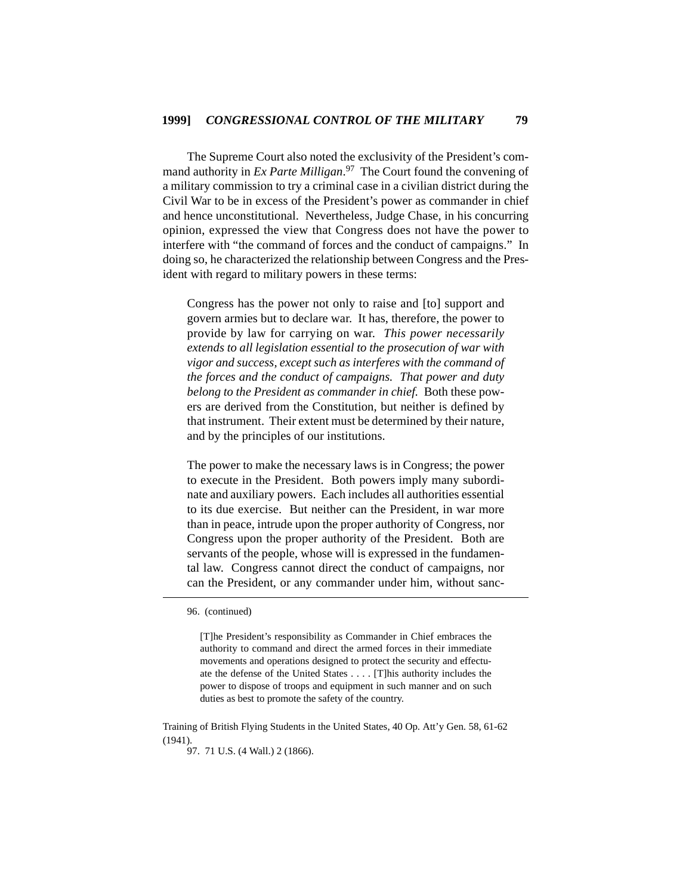The Supreme Court also noted the exclusivity of the President's command authority in *Ex Parte Milligan*. 97 The Court found the convening of a military commission to try a criminal case in a civilian district during the Civil War to be in excess of the President's power as commander in chief and hence unconstitutional. Nevertheless, Judge Chase, in his concurring opinion, expressed the view that Congress does not have the power to interfere with "the command of forces and the conduct of campaigns." In doing so, he characterized the relationship between Congress and the President with regard to military powers in these terms:

Congress has the power not only to raise and [to] support and govern armies but to declare war. It has, therefore, the power to provide by law for carrying on war. *This power necessarily extends to all legislation essential to the prosecution of war with vigor and success, except such as interferes with the command of the forces and the conduct of campaigns. That power and duty belong to the President as commander in chief.* Both these powers are derived from the Constitution, but neither is defined by that instrument. Their extent must be determined by their nature, and by the principles of our institutions.

The power to make the necessary laws is in Congress; the power to execute in the President. Both powers imply many subordinate and auxiliary powers. Each includes all authorities essential to its due exercise. But neither can the President, in war more than in peace, intrude upon the proper authority of Congress, nor Congress upon the proper authority of the President. Both are servants of the people, whose will is expressed in the fundamental law. Congress cannot direct the conduct of campaigns, nor can the President, or any commander under him, without sanc-

Training of British Flying Students in the United States, 40 Op. Att'y Gen. 58, 61-62 (1941).

97. 71 U.S. (4 Wall.) 2 (1866).

<sup>96. (</sup>continued)

<sup>[</sup>T]he President's responsibility as Commander in Chief embraces the authority to command and direct the armed forces in their immediate movements and operations designed to protect the security and effectuate the defense of the United States . . . . [T]his authority includes the power to dispose of troops and equipment in such manner and on such duties as best to promote the safety of the country.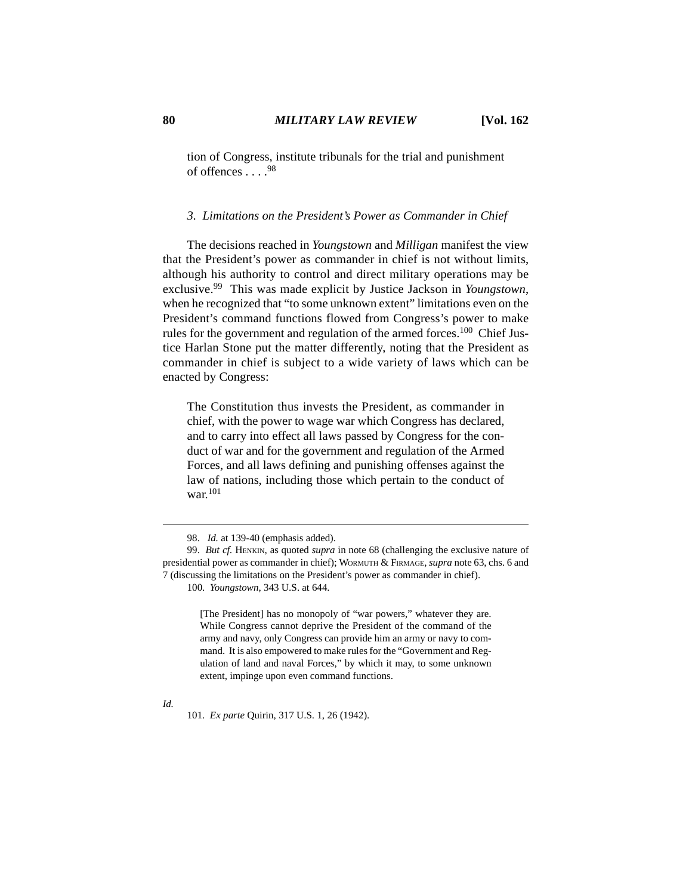tion of Congress, institute tribunals for the trial and punishment of offences  $.98$ 

## *3. Limitations on the President's Power as Commander in Chief*

The decisions reached in *Youngstown* and *Milligan* manifest the view that the President's power as commander in chief is not without limits, although his authority to control and direct military operations may be exclusive.99 This was made explicit by Justice Jackson in *Youngstown*, when he recognized that "to some unknown extent" limitations even on the President's command functions flowed from Congress's power to make rules for the government and regulation of the armed forces.<sup>100</sup> Chief Justice Harlan Stone put the matter differently, noting that the President as commander in chief is subject to a wide variety of laws which can be enacted by Congress:

The Constitution thus invests the President, as commander in chief, with the power to wage war which Congress has declared, and to carry into effect all laws passed by Congress for the conduct of war and for the government and regulation of the Armed Forces, and all laws defining and punishing offenses against the law of nations, including those which pertain to the conduct of war.<sup>101</sup>

100. *Youngstown*, 343 U.S. at 644.

[The President] has no monopoly of "war powers," whatever they are. While Congress cannot deprive the President of the command of the army and navy, only Congress can provide him an army or navy to command. It is also empowered to make rules for the "Government and Regulation of land and naval Forces," by which it may, to some unknown extent, impinge upon even command functions.

101. *Ex parte* Quirin, 317 U.S. 1, 26 (1942).

<sup>98.</sup> *Id.* at 139-40 (emphasis added).

<sup>99.</sup> *But cf.* HENKIN, as quoted *supra* in note 68 (challenging the exclusive nature of presidential power as commander in chief); WORMUTH & FIRMAGE, *supra* note 63, chs. 6 and 7 (discussing the limitations on the President's power as commander in chief).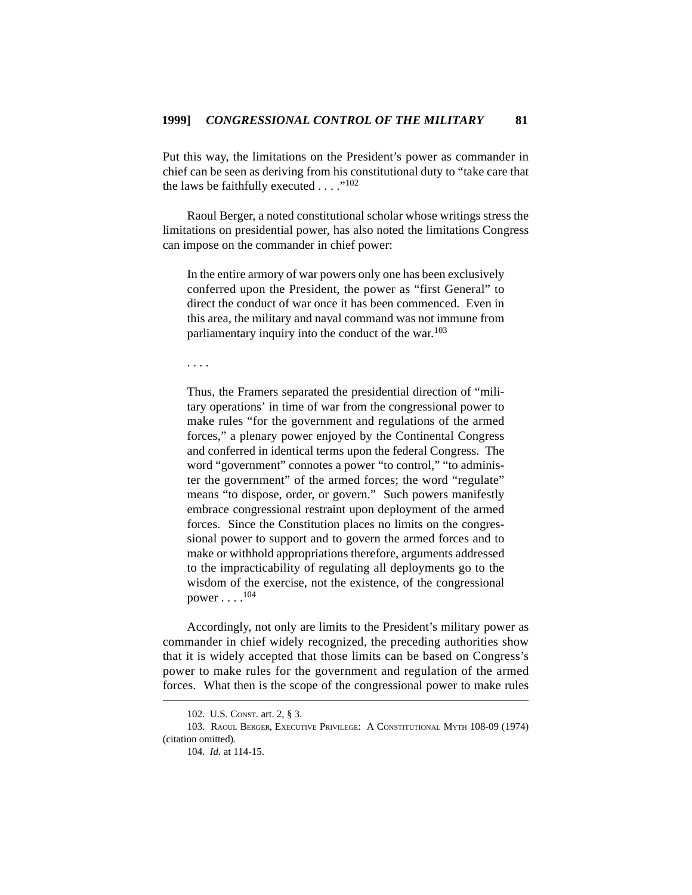Put this way, the limitations on the President's power as commander in chief can be seen as deriving from his constitutional duty to "take care that the laws be faithfully executed  $\dots$  ."<sup>102</sup>

Raoul Berger, a noted constitutional scholar whose writings stress the limitations on presidential power, has also noted the limitations Congress can impose on the commander in chief power:

In the entire armory of war powers only one has been exclusively conferred upon the President, the power as "first General" to direct the conduct of war once it has been commenced. Even in this area, the military and naval command was not immune from parliamentary inquiry into the conduct of the war.<sup>103</sup>

. . . .

Thus, the Framers separated the presidential direction of "military operations' in time of war from the congressional power to make rules "for the government and regulations of the armed forces," a plenary power enjoyed by the Continental Congress and conferred in identical terms upon the federal Congress. The word "government" connotes a power "to control," "to administer the government" of the armed forces; the word "regulate" means "to dispose, order, or govern." Such powers manifestly embrace congressional restraint upon deployment of the armed forces. Since the Constitution places no limits on the congressional power to support and to govern the armed forces and to make or withhold appropriations therefore, arguments addressed to the impracticability of regulating all deployments go to the wisdom of the exercise, not the existence, of the congressional power . . . .<sup>104</sup>

Accordingly, not only are limits to the President's military power as commander in chief widely recognized, the preceding authorities show that it is widely accepted that those limits can be based on Congress's power to make rules for the government and regulation of the armed forces. What then is the scope of the congressional power to make rules

<sup>102.</sup> U.S. CONST. art. 2, § 3.

<sup>103.</sup> RAOUL BERGER, EXECUTIVE PRIVILEGE: A CONSTITUTIONAL MYTH 108-09 (1974) (citation omitted).

<sup>104.</sup> *Id.* at 114-15.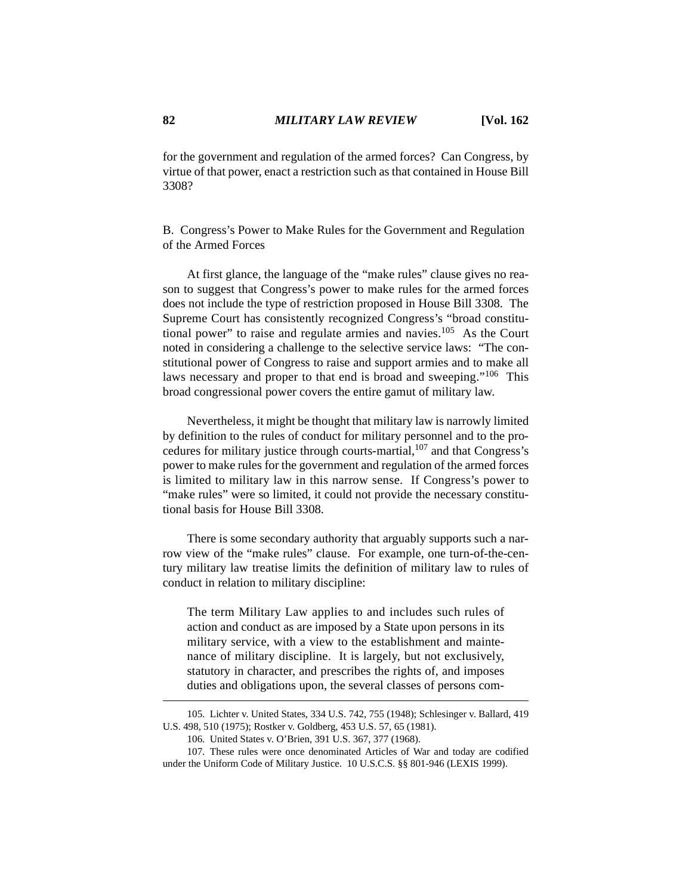for the government and regulation of the armed forces? Can Congress, by virtue of that power, enact a restriction such as that contained in House Bill 3308?

B. Congress's Power to Make Rules for the Government and Regulation of the Armed Forces

At first glance, the language of the "make rules" clause gives no reason to suggest that Congress's power to make rules for the armed forces does not include the type of restriction proposed in House Bill 3308. The Supreme Court has consistently recognized Congress's "broad constitutional power" to raise and regulate armies and navies.<sup>105</sup> As the Court noted in considering a challenge to the selective service laws: "The constitutional power of Congress to raise and support armies and to make all laws necessary and proper to that end is broad and sweeping."106 This broad congressional power covers the entire gamut of military law.

Nevertheless, it might be thought that military law is narrowly limited by definition to the rules of conduct for military personnel and to the procedures for military justice through courts-martial,<sup>107</sup> and that Congress's power to make rules for the government and regulation of the armed forces is limited to military law in this narrow sense. If Congress's power to "make rules" were so limited, it could not provide the necessary constitutional basis for House Bill 3308.

There is some secondary authority that arguably supports such a narrow view of the "make rules" clause. For example, one turn-of-the-century military law treatise limits the definition of military law to rules of conduct in relation to military discipline:

The term Military Law applies to and includes such rules of action and conduct as are imposed by a State upon persons in its military service, with a view to the establishment and maintenance of military discipline. It is largely, but not exclusively, statutory in character, and prescribes the rights of, and imposes duties and obligations upon, the several classes of persons com-

<sup>105.</sup> Lichter v. United States, 334 U.S. 742, 755 (1948); Schlesinger v. Ballard, 419 U.S. 498, 510 (1975); Rostker v. Goldberg, 453 U.S. 57, 65 (1981).

<sup>106.</sup> United States v. O'Brien, 391 U.S. 367, 377 (1968).

<sup>107.</sup> These rules were once denominated Articles of War and today are codified under the Uniform Code of Military Justice. 10 U.S.C.S. §§ 801-946 (LEXIS 1999).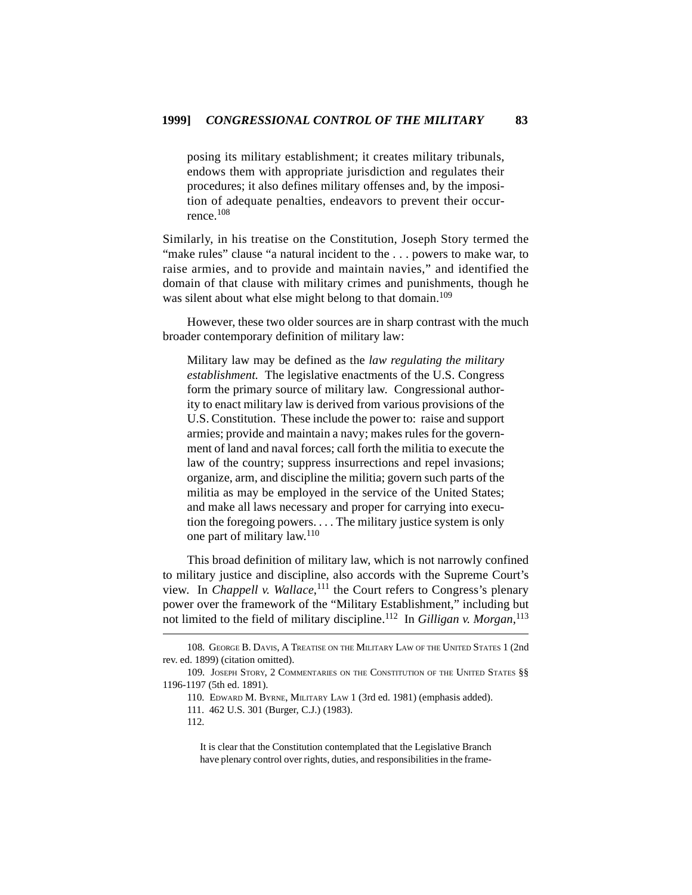posing its military establishment; it creates military tribunals, endows them with appropriate jurisdiction and regulates their procedures; it also defines military offenses and, by the imposition of adequate penalties, endeavors to prevent their occurrence.<sup>108</sup>

Similarly, in his treatise on the Constitution, Joseph Story termed the "make rules" clause "a natural incident to the ... powers to make war, to raise armies, and to provide and maintain navies," and identified the domain of that clause with military crimes and punishments, though he was silent about what else might belong to that domain.<sup>109</sup>

However, these two older sources are in sharp contrast with the much broader contemporary definition of military law:

Military law may be defined as the *law regulating the military establishment.* The legislative enactments of the U.S. Congress form the primary source of military law. Congressional authority to enact military law is derived from various provisions of the U.S. Constitution. These include the power to: raise and support armies; provide and maintain a navy; makes rules for the government of land and naval forces; call forth the militia to execute the law of the country; suppress insurrections and repel invasions; organize, arm, and discipline the militia; govern such parts of the militia as may be employed in the service of the United States; and make all laws necessary and proper for carrying into execution the foregoing powers. . . . The military justice system is only one part of military law.<sup>110</sup>

This broad definition of military law, which is not narrowly confined to military justice and discipline, also accords with the Supreme Court's view. In *Chappell v. Wallace*, 111 the Court refers to Congress's plenary power over the framework of the "Military Establishment," including but not limited to the field of military discipline.112 In *Gilligan v. Morgan*, 113

<sup>108.</sup> GEORGE B. DAVIS, A TREATISE ON THE MILITARY LAW OF THE UNITED STATES 1 (2nd rev. ed. 1899) (citation omitted).

<sup>109.</sup> JOSEPH STORY, 2 COMMENTARIES ON THE CONSTITUTION OF THE UNITED STATES §§ 1196-1197 (5th ed. 1891).

<sup>110.</sup> EDWARD M. BYRNE, MILITARY LAW 1 (3rd ed. 1981) (emphasis added).

<sup>111. 462</sup> U.S. 301 (Burger, C.J.) (1983).

<sup>112.</sup>

It is clear that the Constitution contemplated that the Legislative Branch have plenary control over rights, duties, and responsibilities in the frame-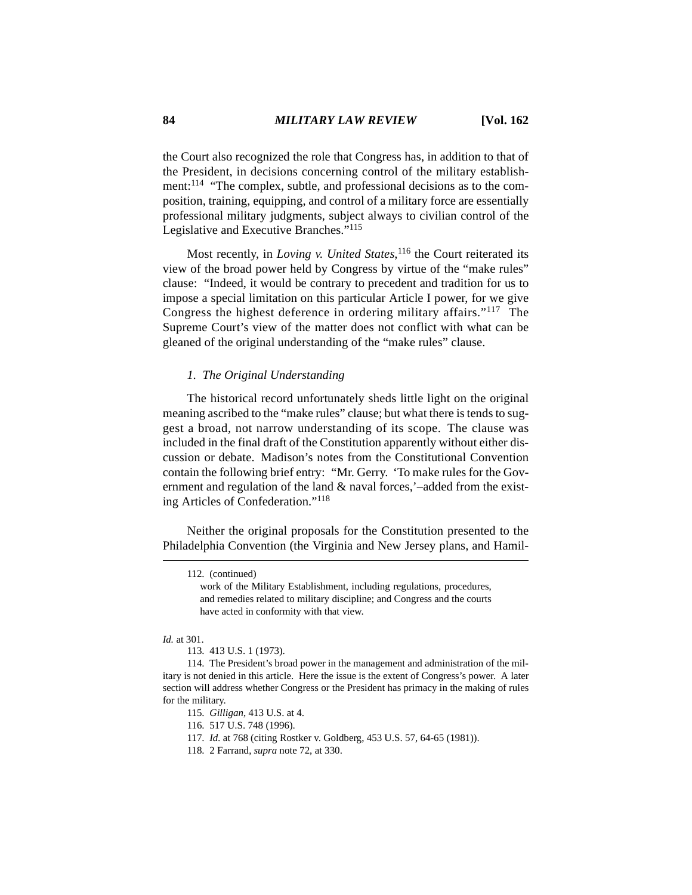the Court also recognized the role that Congress has, in addition to that of the President, in decisions concerning control of the military establishment:114 "The complex, subtle, and professional decisions as to the composition, training, equipping, and control of a military force are essentially professional military judgments, subject always to civilian control of the Legislative and Executive Branches."<sup>115</sup>

Most recently, in *Loving v. United States*,<sup>116</sup> the Court reiterated its view of the broad power held by Congress by virtue of the "make rules" clause: "Indeed, it would be contrary to precedent and tradition for us to impose a special limitation on this particular Article I power, for we give Congress the highest deference in ordering military affairs."117 The Supreme Court's view of the matter does not conflict with what can be gleaned of the original understanding of the "make rules" clause.

#### *1. The Original Understanding*

The historical record unfortunately sheds little light on the original meaning ascribed to the "make rules" clause; but what there is tends to suggest a broad, not narrow understanding of its scope. The clause was included in the final draft of the Constitution apparently without either discussion or debate. Madison's notes from the Constitutional Convention contain the following brief entry: "Mr. Gerry. 'To make rules for the Government and regulation of the land & naval forces,'–added from the existing Articles of Confederation."<sup>118</sup>

Neither the original proposals for the Constitution presented to the Philadelphia Convention (the Virginia and New Jersey plans, and Hamil-

<sup>112. (</sup>continued)

work of the Military Establishment, including regulations, procedures, and remedies related to military discipline; and Congress and the courts have acted in conformity with that view.

*Id.* at 301.

<sup>113. 413</sup> U.S. 1 (1973).

<sup>114.</sup> The President's broad power in the management and administration of the military is not denied in this article. Here the issue is the extent of Congress's power. A later section will address whether Congress or the President has primacy in the making of rules for the military.

<sup>115.</sup> *Gilligan*, 413 U.S. at 4.

<sup>116. 517</sup> U.S. 748 (1996).

<sup>117.</sup> *Id.* at 768 (citing Rostker v. Goldberg, 453 U.S. 57, 64-65 (1981)).

<sup>118. 2</sup> Farrand, *supra* note 72, at 330.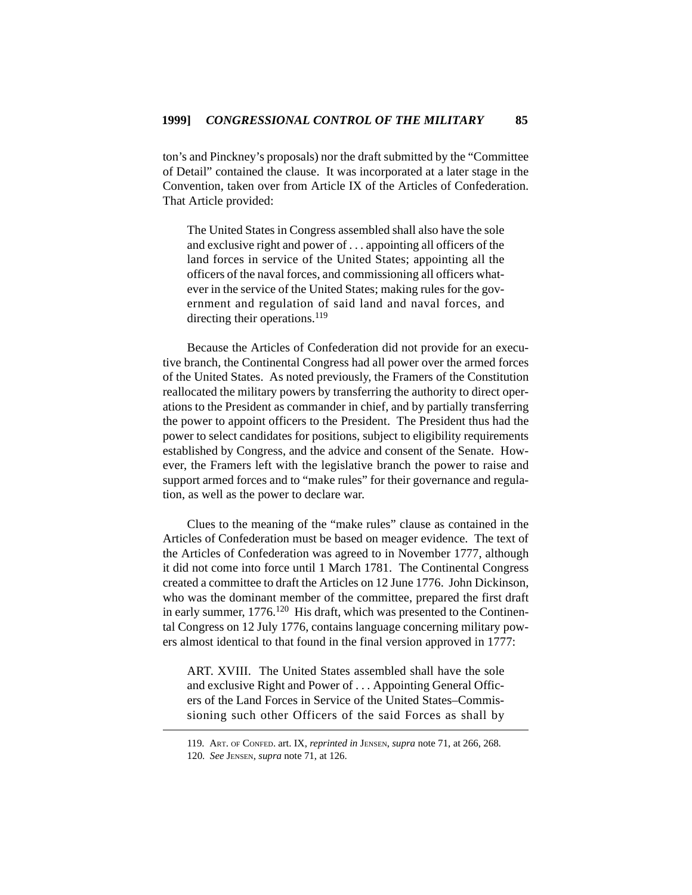ton's and Pinckney's proposals) nor the draft submitted by the "Committee of Detail" contained the clause. It was incorporated at a later stage in the Convention, taken over from Article IX of the Articles of Confederation. That Article provided:

The United States in Congress assembled shall also have the sole and exclusive right and power of . . . appointing all officers of the land forces in service of the United States; appointing all the officers of the naval forces, and commissioning all officers whatever in the service of the United States; making rules for the government and regulation of said land and naval forces, and directing their operations.<sup>119</sup>

Because the Articles of Confederation did not provide for an executive branch, the Continental Congress had all power over the armed forces of the United States. As noted previously, the Framers of the Constitution reallocated the military powers by transferring the authority to direct operations to the President as commander in chief, and by partially transferring the power to appoint officers to the President. The President thus had the power to select candidates for positions, subject to eligibility requirements established by Congress, and the advice and consent of the Senate. However, the Framers left with the legislative branch the power to raise and support armed forces and to "make rules" for their governance and regulation, as well as the power to declare war.

Clues to the meaning of the "make rules" clause as contained in the Articles of Confederation must be based on meager evidence. The text of the Articles of Confederation was agreed to in November 1777, although it did not come into force until 1 March 1781. The Continental Congress created a committee to draft the Articles on 12 June 1776. John Dickinson, who was the dominant member of the committee, prepared the first draft in early summer,  $1776$ <sup>120</sup> His draft, which was presented to the Continental Congress on 12 July 1776, contains language concerning military powers almost identical to that found in the final version approved in 1777:

ART. XVIII. The United States assembled shall have the sole and exclusive Right and Power of . . . Appointing General Officers of the Land Forces in Service of the United States–Commissioning such other Officers of the said Forces as shall by

<sup>119.</sup> ART. OF CONFED. art. IX, *reprinted in* JENSEN, *supra* note 71, at 266, 268. 120. *See* JENSEN, *supra* note 71, at 126.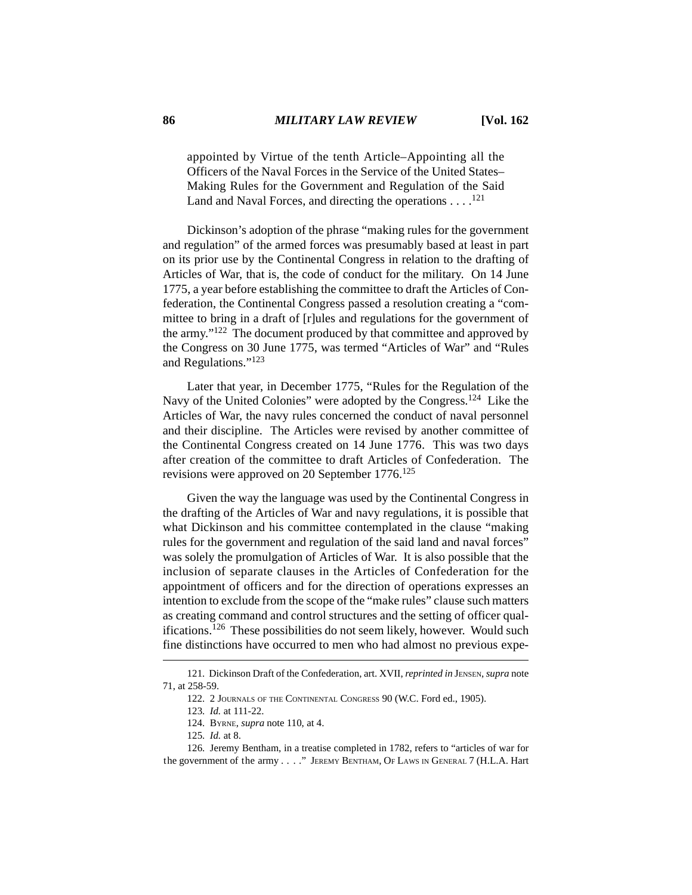appointed by Virtue of the tenth Article–Appointing all the Officers of the Naval Forces in the Service of the United States– Making Rules for the Government and Regulation of the Said Land and Naval Forces, and directing the operations  $\dots$ .<sup>121</sup>

Dickinson's adoption of the phrase "making rules for the government and regulation" of the armed forces was presumably based at least in part on its prior use by the Continental Congress in relation to the drafting of Articles of War, that is, the code of conduct for the military. On 14 June 1775, a year before establishing the committee to draft the Articles of Confederation, the Continental Congress passed a resolution creating a "committee to bring in a draft of [r]ules and regulations for the government of the army."122 The document produced by that committee and approved by the Congress on 30 June 1775, was termed "Articles of War" and "Rules and Regulations."123

Later that year, in December 1775, "Rules for the Regulation of the Navy of the United Colonies" were adopted by the Congress.124 Like the Articles of War, the navy rules concerned the conduct of naval personnel and their discipline. The Articles were revised by another committee of the Continental Congress created on 14 June 1776. This was two days after creation of the committee to draft Articles of Confederation. The revisions were approved on 20 September 1776.<sup>125</sup>

Given the way the language was used by the Continental Congress in the drafting of the Articles of War and navy regulations, it is possible that what Dickinson and his committee contemplated in the clause "making rules for the government and regulation of the said land and naval forces" was solely the promulgation of Articles of War. It is also possible that the inclusion of separate clauses in the Articles of Confederation for the appointment of officers and for the direction of operations expresses an intention to exclude from the scope of the "make rules" clause such matters as creating command and control structures and the setting of officer qualifications.126 These possibilities do not seem likely, however. Would such fine distinctions have occurred to men who had almost no previous expe-

<sup>121.</sup> Dickinson Draft of the Confederation, art. XVII, *reprinted in* JENSEN, *supra* note 71, at 258-59.

<sup>122. 2</sup> JOURNALS OF THE CONTINENTAL CONGRESS 90 (W.C. Ford ed., 1905).

<sup>123.</sup> *Id.* at 111-22.

<sup>124.</sup> BYRNE, *supra* note 110, at 4.

<sup>125.</sup> *Id.* at 8.

<sup>126.</sup> Jeremy Bentham, in a treatise completed in 1782, refers to "articles of war for the government of the army . . . ." JEREMY BENTHAM, OF LAWS IN GENERAL 7 (H.L.A. Hart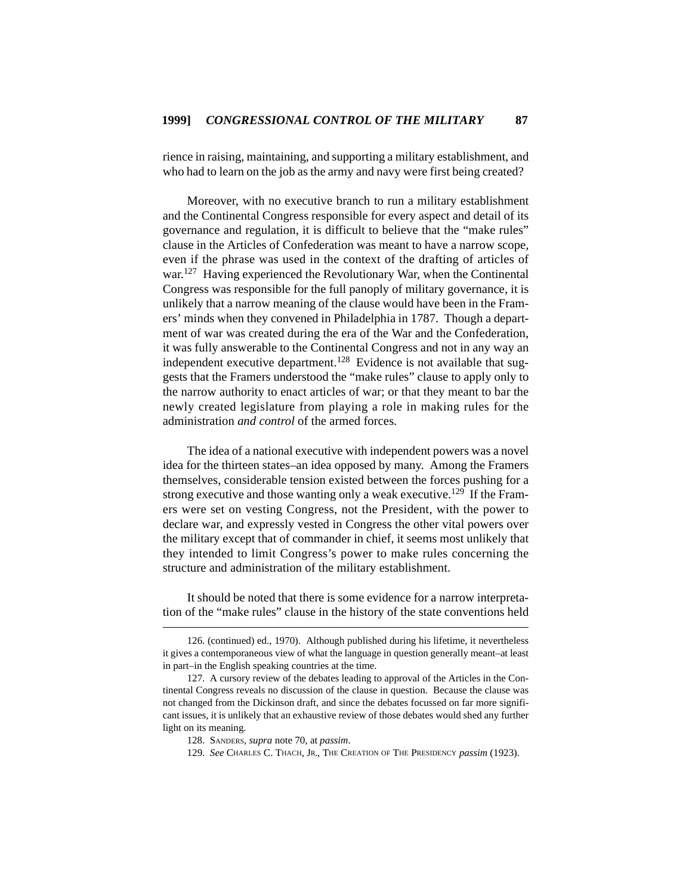rience in raising, maintaining, and supporting a military establishment, and who had to learn on the job as the army and navy were first being created?

Moreover, with no executive branch to run a military establishment and the Continental Congress responsible for every aspect and detail of its governance and regulation, it is difficult to believe that the "make rules" clause in the Articles of Confederation was meant to have a narrow scope, even if the phrase was used in the context of the drafting of articles of war.<sup>127</sup> Having experienced the Revolutionary War, when the Continental Congress was responsible for the full panoply of military governance, it is unlikely that a narrow meaning of the clause would have been in the Framers' minds when they convened in Philadelphia in 1787. Though a department of war was created during the era of the War and the Confederation, it was fully answerable to the Continental Congress and not in any way an independent executive department.<sup>128</sup> Evidence is not available that suggests that the Framers understood the "make rules" clause to apply only to the narrow authority to enact articles of war; or that they meant to bar the newly created legislature from playing a role in making rules for the administration *and control* of the armed forces.

The idea of a national executive with independent powers was a novel idea for the thirteen states–an idea opposed by many. Among the Framers themselves, considerable tension existed between the forces pushing for a strong executive and those wanting only a weak executive.<sup>129</sup> If the Framers were set on vesting Congress, not the President, with the power to declare war, and expressly vested in Congress the other vital powers over the military except that of commander in chief, it seems most unlikely that they intended to limit Congress's power to make rules concerning the structure and administration of the military establishment.

It should be noted that there is some evidence for a narrow interpretation of the "make rules" clause in the history of the state conventions held

<sup>126. (</sup>continued) ed., 1970). Although published during his lifetime, it nevertheless it gives a contemporaneous view of what the language in question generally meant–at least in part–in the English speaking countries at the time.

<sup>127.</sup> A cursory review of the debates leading to approval of the Articles in the Continental Congress reveals no discussion of the clause in question. Because the clause was not changed from the Dickinson draft, and since the debates focussed on far more significant issues, it is unlikely that an exhaustive review of those debates would shed any further light on its meaning.

<sup>128.</sup> SANDERS, *supra* note 70, at *passim*.

<sup>129.</sup> *See* CHARLES C. THACH, JR., THE CREATION OF THE PRESIDENCY *passim* (1923).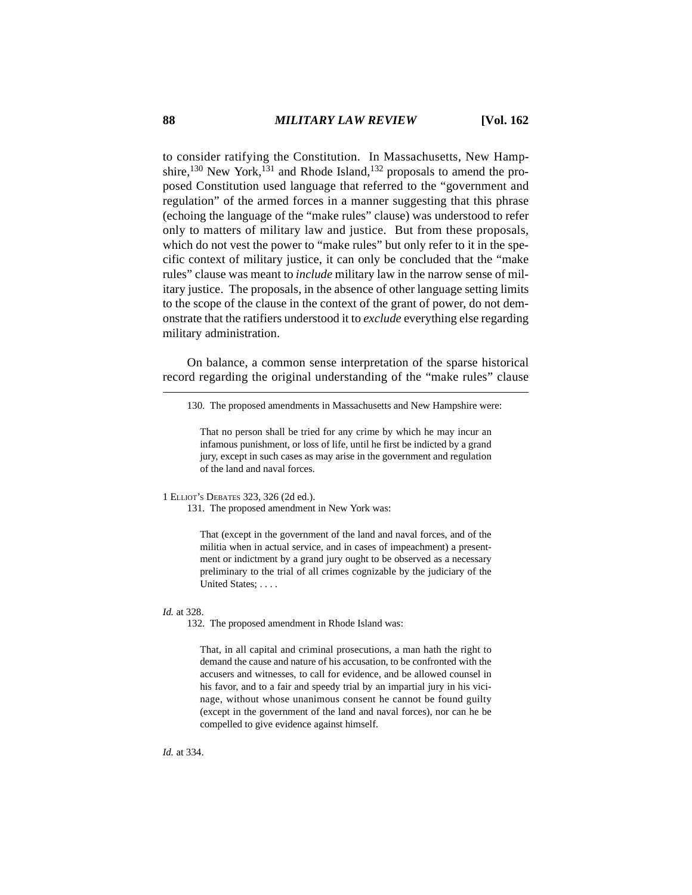to consider ratifying the Constitution. In Massachusetts, New Hampshire,<sup>130</sup> New York,<sup>131</sup> and Rhode Island,<sup>132</sup> proposals to amend the proposed Constitution used language that referred to the "government and regulation" of the armed forces in a manner suggesting that this phrase (echoing the language of the "make rules" clause) was understood to refer only to matters of military law and justice. But from these proposals, which do not vest the power to "make rules" but only refer to it in the specific context of military justice, it can only be concluded that the "make rules" clause was meant to *include* military law in the narrow sense of military justice. The proposals, in the absence of other language setting limits to the scope of the clause in the context of the grant of power, do not demonstrate that the ratifiers understood it to *exclude* everything else regarding military administration.

On balance, a common sense interpretation of the sparse historical record regarding the original understanding of the "make rules" clause

That no person shall be tried for any crime by which he may incur an infamous punishment, or loss of life, until he first be indicted by a grand jury, except in such cases as may arise in the government and regulation of the land and naval forces.

1 ELLIOT'S DEBATES 323, 326 (2d ed.).

131. The proposed amendment in New York was:

That (except in the government of the land and naval forces, and of the militia when in actual service, and in cases of impeachment) a presentment or indictment by a grand jury ought to be observed as a necessary preliminary to the trial of all crimes cognizable by the judiciary of the United States; . . . .

## *Id.* at 328.

132. The proposed amendment in Rhode Island was:

That, in all capital and criminal prosecutions, a man hath the right to demand the cause and nature of his accusation, to be confronted with the accusers and witnesses, to call for evidence, and be allowed counsel in his favor, and to a fair and speedy trial by an impartial jury in his vicinage, without whose unanimous consent he cannot be found guilty (except in the government of the land and naval forces), nor can he be compelled to give evidence against himself.

*Id.* at 334.

<sup>130.</sup> The proposed amendments in Massachusetts and New Hampshire were: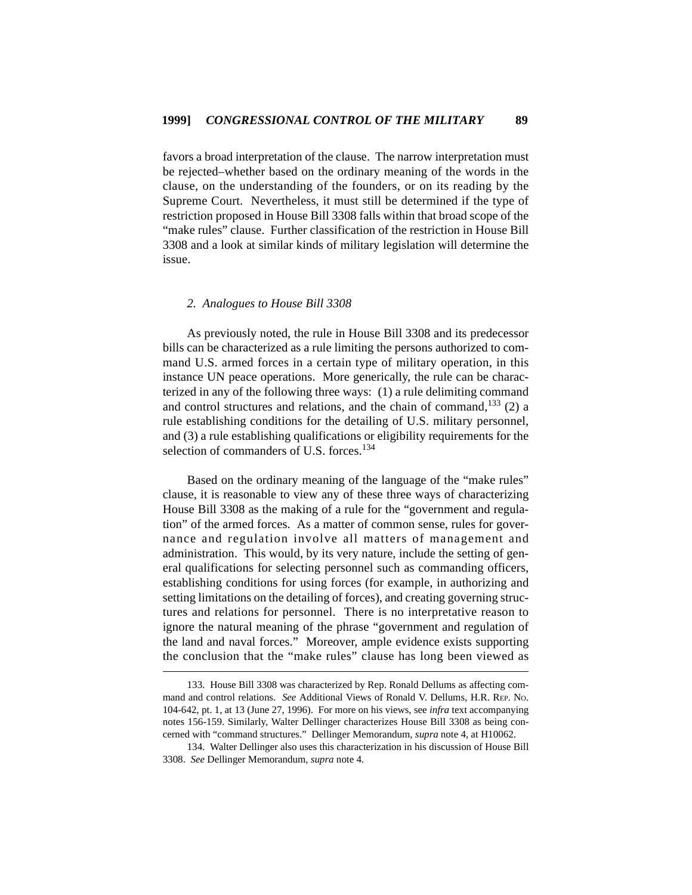favors a broad interpretation of the clause. The narrow interpretation must be rejected–whether based on the ordinary meaning of the words in the clause, on the understanding of the founders, or on its reading by the Supreme Court. Nevertheless, it must still be determined if the type of restriction proposed in House Bill 3308 falls within that broad scope of the "make rules" clause. Further classification of the restriction in House Bill 3308 and a look at similar kinds of military legislation will determine the issue.

## *2. Analogues to House Bill 3308*

As previously noted, the rule in House Bill 3308 and its predecessor bills can be characterized as a rule limiting the persons authorized to command U.S. armed forces in a certain type of military operation, in this instance UN peace operations. More generically, the rule can be characterized in any of the following three ways: (1) a rule delimiting command and control structures and relations, and the chain of command, $133$  (2) a rule establishing conditions for the detailing of U.S. military personnel, and (3) a rule establishing qualifications or eligibility requirements for the selection of commanders of U.S. forces.<sup>134</sup>

Based on the ordinary meaning of the language of the "make rules" clause, it is reasonable to view any of these three ways of characterizing House Bill 3308 as the making of a rule for the "government and regulation" of the armed forces. As a matter of common sense, rules for governance and regulation involve all matters of management and administration. This would, by its very nature, include the setting of general qualifications for selecting personnel such as commanding officers, establishing conditions for using forces (for example, in authorizing and setting limitations on the detailing of forces), and creating governing structures and relations for personnel. There is no interpretative reason to ignore the natural meaning of the phrase "government and regulation of the land and naval forces." Moreover, ample evidence exists supporting the conclusion that the "make rules" clause has long been viewed as

<sup>133.</sup> House Bill 3308 was characterized by Rep. Ronald Dellums as affecting command and control relations. *See* Additional Views of Ronald V. Dellums, H.R. REP. NO. 104-642, pt. 1, at 13 (June 27, 1996). For more on his views, see *infra* text accompanying notes 156-159. Similarly, Walter Dellinger characterizes House Bill 3308 as being concerned with "command structures." Dellinger Memorandum, *supra* note 4, at H10062.

<sup>134.</sup> Walter Dellinger also uses this characterization in his discussion of House Bill 3308. *See* Dellinger Memorandum, *supra* note 4.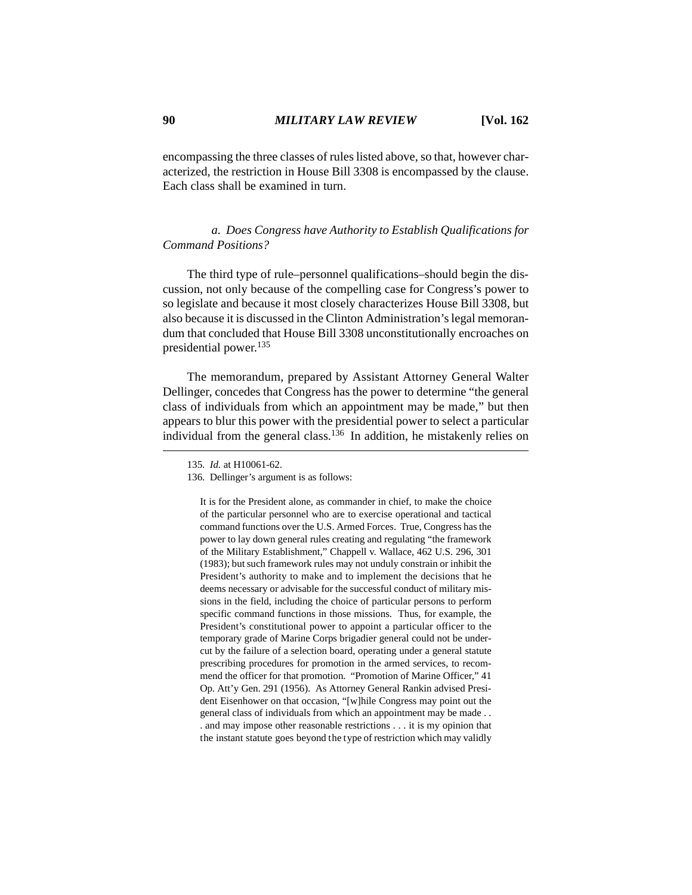encompassing the three classes of rules listed above, so that, however characterized, the restriction in House Bill 3308 is encompassed by the clause. Each class shall be examined in turn.

## *a. Does Congress have Authority to Establish Qualifications for Command Positions?*

The third type of rule–personnel qualifications–should begin the discussion, not only because of the compelling case for Congress's power to so legislate and because it most closely characterizes House Bill 3308, but also because it is discussed in the Clinton Administration's legal memorandum that concluded that House Bill 3308 unconstitutionally encroaches on presidential power.135

The memorandum, prepared by Assistant Attorney General Walter Dellinger, concedes that Congress has the power to determine "the general class of individuals from which an appointment may be made," but then appears to blur this power with the presidential power to select a particular individual from the general class.<sup>136</sup> In addition, he mistakenly relies on

It is for the President alone, as commander in chief, to make the choice of the particular personnel who are to exercise operational and tactical command functions over the U.S. Armed Forces. True, Congress has the power to lay down general rules creating and regulating "the framework of the Military Establishment," Chappell v. Wallace, 462 U.S. 296, 301 (1983); but such framework rules may not unduly constrain or inhibit the President's authority to make and to implement the decisions that he deems necessary or advisable for the successful conduct of military missions in the field, including the choice of particular persons to perform specific command functions in those missions. Thus, for example, the President's constitutional power to appoint a particular officer to the temporary grade of Marine Corps brigadier general could not be undercut by the failure of a selection board, operating under a general statute prescribing procedures for promotion in the armed services, to recommend the officer for that promotion. "Promotion of Marine Officer," 41 Op. Att'y Gen. 291 (1956). As Attorney General Rankin advised President Eisenhower on that occasion, "[w]hile Congress may point out the general class of individuals from which an appointment may be made . . . and may impose other reasonable restrictions . . . it is my opinion that the instant statute goes beyond the type of restriction which may validly

<sup>135.</sup> *Id.* at H10061-62.

<sup>136.</sup> Dellinger's argument is as follows: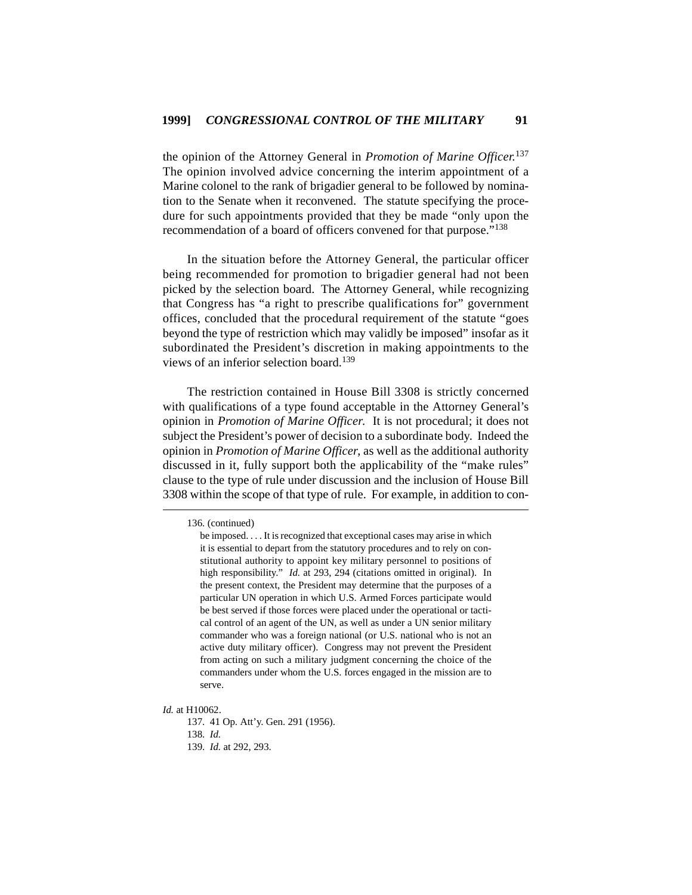the opinion of the Attorney General in *Promotion of Marine Officer.*<sup>137</sup> The opinion involved advice concerning the interim appointment of a Marine colonel to the rank of brigadier general to be followed by nomination to the Senate when it reconvened. The statute specifying the procedure for such appointments provided that they be made "only upon the recommendation of a board of officers convened for that purpose."<sup>138</sup>

In the situation before the Attorney General, the particular officer being recommended for promotion to brigadier general had not been picked by the selection board. The Attorney General, while recognizing that Congress has "a right to prescribe qualifications for" government offices, concluded that the procedural requirement of the statute "goes beyond the type of restriction which may validly be imposed" insofar as it subordinated the President's discretion in making appointments to the views of an inferior selection board.<sup>139</sup>

The restriction contained in House Bill 3308 is strictly concerned with qualifications of a type found acceptable in the Attorney General's opinion in *Promotion of Marine Officer*. It is not procedural; it does not subject the President's power of decision to a subordinate body. Indeed the opinion in *Promotion of Marine Officer*, as well as the additional authority discussed in it, fully support both the applicability of the "make rules" clause to the type of rule under discussion and the inclusion of House Bill 3308 within the scope of that type of rule. For example, in addition to con-

*Id.* at H10062.

137. 41 Op. Att'y. Gen. 291 (1956). 138. *Id.* 139. *Id.* at 292, 293.

<sup>136. (</sup>continued)

be imposed. . . . It is recognized that exceptional cases may arise in which it is essential to depart from the statutory procedures and to rely on constitutional authority to appoint key military personnel to positions of high responsibility." *Id.* at 293, 294 (citations omitted in original). In the present context, the President may determine that the purposes of a particular UN operation in which U.S. Armed Forces participate would be best served if those forces were placed under the operational or tactical control of an agent of the UN, as well as under a UN senior military commander who was a foreign national (or U.S. national who is not an active duty military officer). Congress may not prevent the President from acting on such a military judgment concerning the choice of the commanders under whom the U.S. forces engaged in the mission are to serve.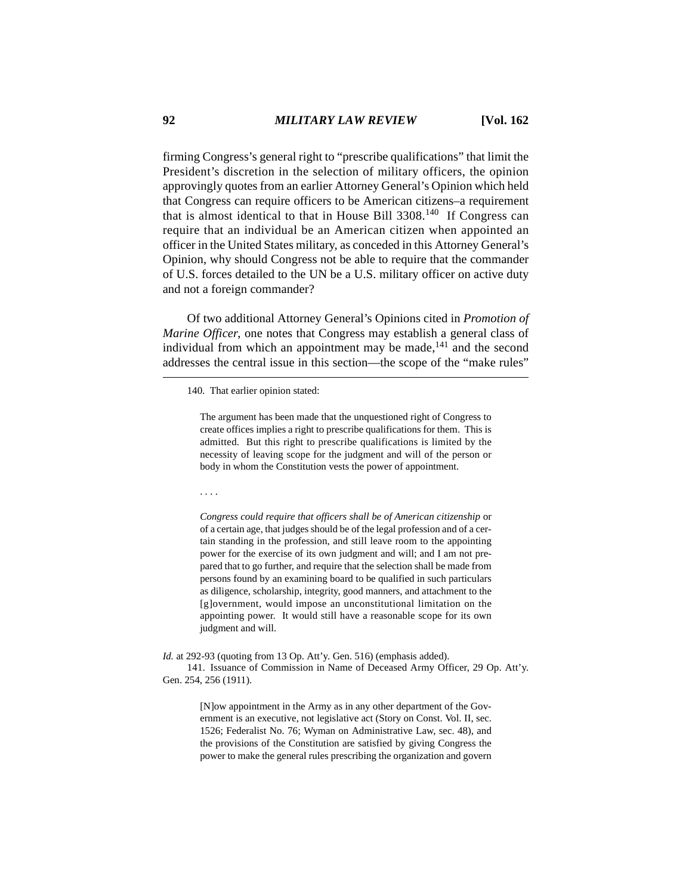firming Congress's general right to "prescribe qualifications" that limit the President's discretion in the selection of military officers, the opinion approvingly quotes from an earlier Attorney General's Opinion which held that Congress can require officers to be American citizens–a requirement that is almost identical to that in House Bill  $3308$ <sup>140</sup> If Congress can require that an individual be an American citizen when appointed an officer in the United States military, as conceded in this Attorney General's Opinion, why should Congress not be able to require that the commander of U.S. forces detailed to the UN be a U.S. military officer on active duty and not a foreign commander?

Of two additional Attorney General's Opinions cited in *Promotion of Marine Officer*, one notes that Congress may establish a general class of individual from which an appointment may be made,  $141$  and the second addresses the central issue in this section—the scope of the "make rules"

The argument has been made that the unquestioned right of Congress to create offices implies a right to prescribe qualifications for them. This is admitted. But this right to prescribe qualifications is limited by the necessity of leaving scope for the judgment and will of the person or body in whom the Constitution vests the power of appointment.

. . . .

*Congress could require that officers shall be of American citizenship* or of a certain age, that judges should be of the legal profession and of a certain standing in the profession, and still leave room to the appointing power for the exercise of its own judgment and will; and I am not prepared that to go further, and require that the selection shall be made from persons found by an examining board to be qualified in such particulars as diligence, scholarship, integrity, good manners, and attachment to the [g]overnment, would impose an unconstitutional limitation on the appointing power. It would still have a reasonable scope for its own judgment and will.

*Id.* at 292-93 (quoting from 13 Op. Att'y. Gen. 516) (emphasis added). 141. Issuance of Commission in Name of Deceased Army Officer, 29 Op. Att'y. Gen. 254, 256 (1911).

> [N]ow appointment in the Army as in any other department of the Government is an executive, not legislative act (Story on Const. Vol. II, sec. 1526; Federalist No. 76; Wyman on Administrative Law, sec. 48), and the provisions of the Constitution are satisfied by giving Congress the power to make the general rules prescribing the organization and govern

<sup>140.</sup> That earlier opinion stated: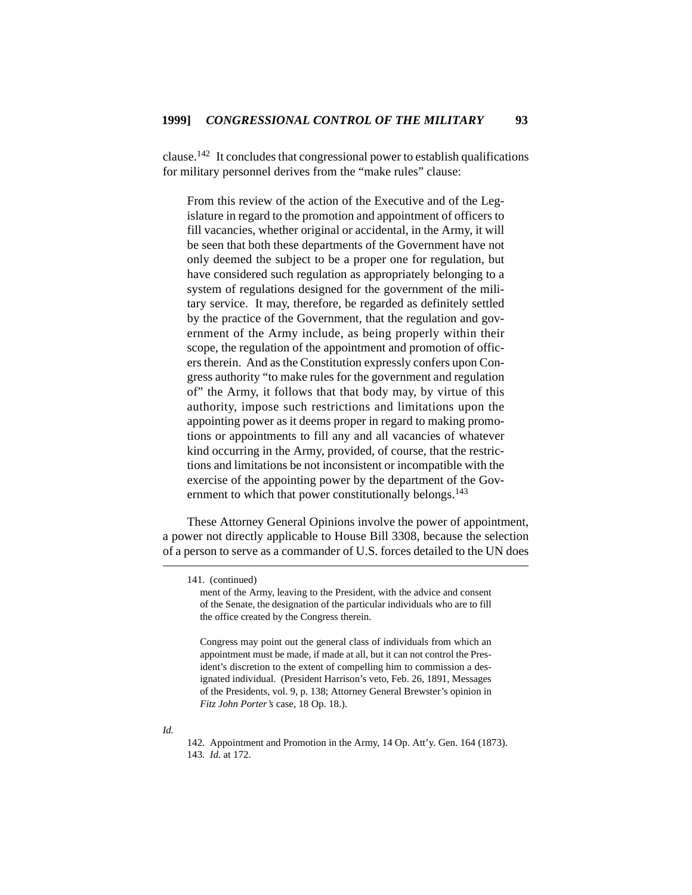clause.<sup>142</sup> It concludes that congressional power to establish qualifications for military personnel derives from the "make rules" clause:

From this review of the action of the Executive and of the Legislature in regard to the promotion and appointment of officers to fill vacancies, whether original or accidental, in the Army, it will be seen that both these departments of the Government have not only deemed the subject to be a proper one for regulation, but have considered such regulation as appropriately belonging to a system of regulations designed for the government of the military service. It may, therefore, be regarded as definitely settled by the practice of the Government, that the regulation and government of the Army include, as being properly within their scope, the regulation of the appointment and promotion of officers therein. And as the Constitution expressly confers upon Congress authority "to make rules for the government and regulation of" the Army, it follows that that body may, by virtue of this authority, impose such restrictions and limitations upon the appointing power as it deems proper in regard to making promotions or appointments to fill any and all vacancies of whatever kind occurring in the Army, provided, of course, that the restrictions and limitations be not inconsistent or incompatible with the exercise of the appointing power by the department of the Government to which that power constitutionally belongs.<sup>143</sup>

These Attorney General Opinions involve the power of appointment, a power not directly applicable to House Bill 3308, because the selection of a person to serve as a commander of U.S. forces detailed to the UN does

<sup>141. (</sup>continued)

ment of the Army, leaving to the President, with the advice and consent of the Senate, the designation of the particular individuals who are to fill the office created by the Congress therein.

Congress may point out the general class of individuals from which an appointment must be made, if made at all, but it can not control the President's discretion to the extent of compelling him to commission a designated individual. (President Harrison's veto, Feb. 26, 1891, Messages of the Presidents, vol. 9, p. 138; Attorney General Brewster's opinion in *Fitz John Porter's* case, 18 Op. 18.).

*Id.*

<sup>142.</sup> Appointment and Promotion in the Army, 14 Op. Att'y. Gen. 164 (1873). 143. *Id.* at 172.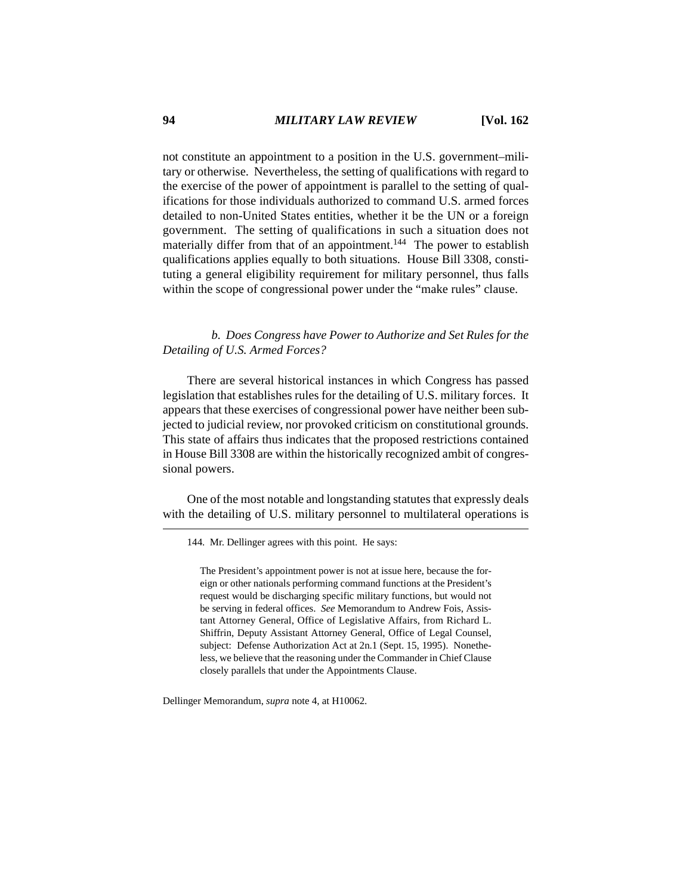not constitute an appointment to a position in the U.S. government–military or otherwise. Nevertheless, the setting of qualifications with regard to the exercise of the power of appointment is parallel to the setting of qualifications for those individuals authorized to command U.S. armed forces detailed to non-United States entities, whether it be the UN or a foreign government. The setting of qualifications in such a situation does not materially differ from that of an appointment.<sup>144</sup> The power to establish qualifications applies equally to both situations. House Bill 3308, constituting a general eligibility requirement for military personnel, thus falls within the scope of congressional power under the "make rules" clause.

*b. Does Congress have Power to Authorize and Set Rules for the Detailing of U.S. Armed Forces?*

There are several historical instances in which Congress has passed legislation that establishes rules for the detailing of U.S. military forces. It appears that these exercises of congressional power have neither been subjected to judicial review, nor provoked criticism on constitutional grounds. This state of affairs thus indicates that the proposed restrictions contained in House Bill 3308 are within the historically recognized ambit of congressional powers.

One of the most notable and longstanding statutes that expressly deals with the detailing of U.S. military personnel to multilateral operations is

144. Mr. Dellinger agrees with this point. He says:

The President's appointment power is not at issue here, because the foreign or other nationals performing command functions at the President's request would be discharging specific military functions, but would not be serving in federal offices. *See* Memorandum to Andrew Fois, Assistant Attorney General, Office of Legislative Affairs, from Richard L. Shiffrin, Deputy Assistant Attorney General, Office of Legal Counsel, subject: Defense Authorization Act at 2n.1 (Sept. 15, 1995). Nonetheless, we believe that the reasoning under the Commander in Chief Clause closely parallels that under the Appointments Clause.

Dellinger Memorandum, *supra* note 4, at H10062.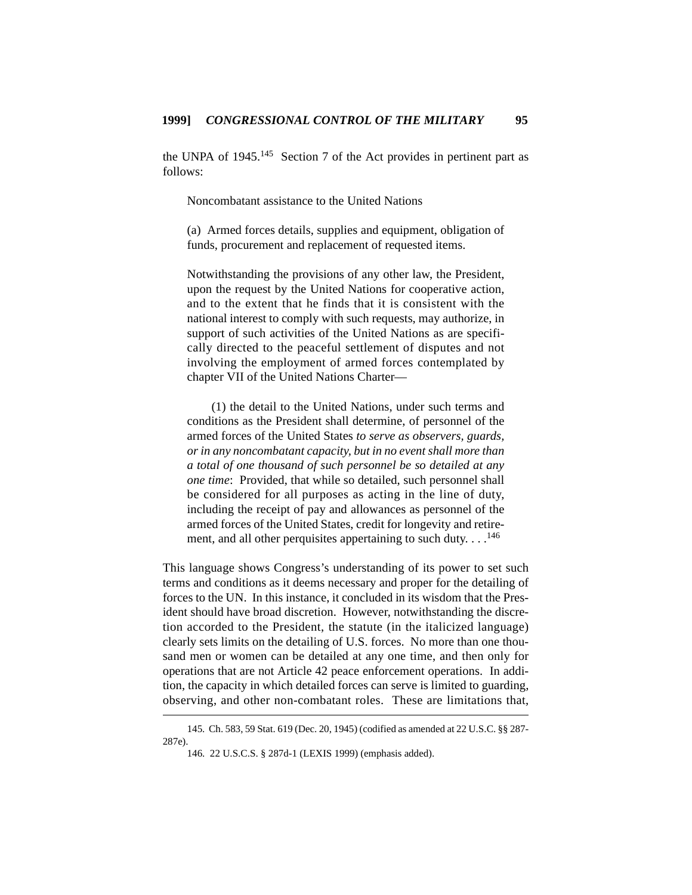the UNPA of  $1945$ <sup>145</sup> Section 7 of the Act provides in pertinent part as follows:

Noncombatant assistance to the United Nations

(a) Armed forces details, supplies and equipment, obligation of funds, procurement and replacement of requested items.

Notwithstanding the provisions of any other law, the President, upon the request by the United Nations for cooperative action, and to the extent that he finds that it is consistent with the national interest to comply with such requests, may authorize, in support of such activities of the United Nations as are specifically directed to the peaceful settlement of disputes and not involving the employment of armed forces contemplated by chapter VII of the United Nations Charter—

(1) the detail to the United Nations, under such terms and conditions as the President shall determine, of personnel of the armed forces of the United States *to serve as observers, guards, or in any noncombatant capacity, but in no event shall more than a total of one thousand of such personnel be so detailed at any one time*: Provided, that while so detailed, such personnel shall be considered for all purposes as acting in the line of duty, including the receipt of pay and allowances as personnel of the armed forces of the United States, credit for longevity and retirement, and all other perquisites appertaining to such duty.  $\ldots$ <sup>146</sup>

This language shows Congress's understanding of its power to set such terms and conditions as it deems necessary and proper for the detailing of forces to the UN. In this instance, it concluded in its wisdom that the President should have broad discretion. However, notwithstanding the discretion accorded to the President, the statute (in the italicized language) clearly sets limits on the detailing of U.S. forces. No more than one thousand men or women can be detailed at any one time, and then only for operations that are not Article 42 peace enforcement operations. In addition, the capacity in which detailed forces can serve is limited to guarding, observing, and other non-combatant roles. These are limitations that,

<sup>145.</sup> Ch. 583, 59 Stat. 619 (Dec. 20, 1945) (codified as amended at 22 U.S.C. §§ 287- 287e).

<sup>146. 22</sup> U.S.C.S. § 287d-1 (LEXIS 1999) (emphasis added).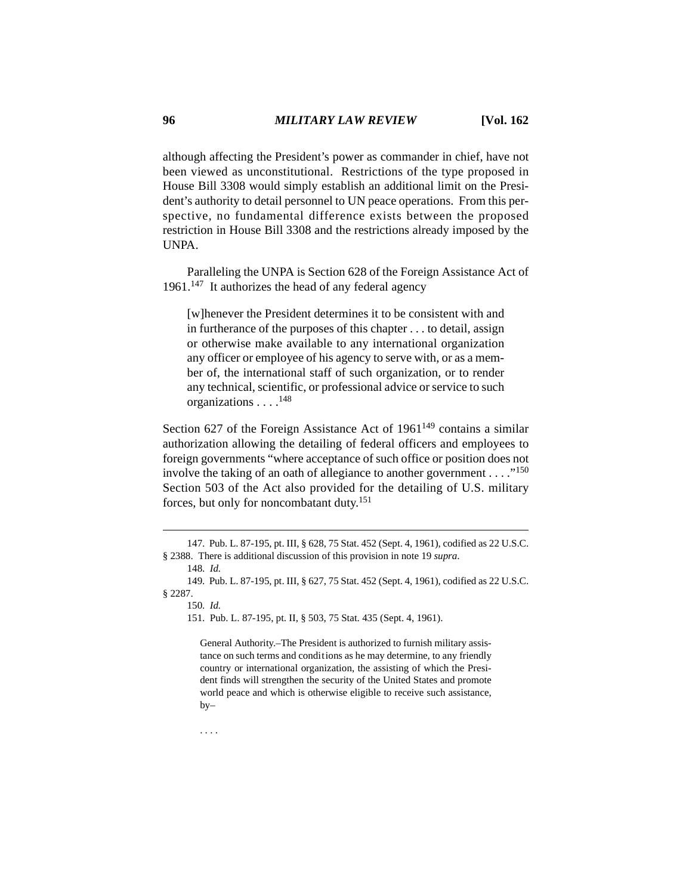although affecting the President's power as commander in chief, have not been viewed as unconstitutional. Restrictions of the type proposed in House Bill 3308 would simply establish an additional limit on the President's authority to detail personnel to UN peace operations. From this perspective, no fundamental difference exists between the proposed restriction in House Bill 3308 and the restrictions already imposed by the UNPA.

Paralleling the UNPA is Section 628 of the Foreign Assistance Act of  $1961$ .<sup>147</sup> It authorizes the head of any federal agency

[w]henever the President determines it to be consistent with and in furtherance of the purposes of this chapter . . . to detail, assign or otherwise make available to any international organization any officer or employee of his agency to serve with, or as a member of, the international staff of such organization, or to render any technical, scientific, or professional advice or service to such organizations . . . .<sup>148</sup>

Section 627 of the Foreign Assistance Act of  $1961^{149}$  contains a similar authorization allowing the detailing of federal officers and employees to foreign governments "where acceptance of such office or position does not involve the taking of an oath of allegiance to another government . . . ."<sup>150</sup> Section 503 of the Act also provided for the detailing of U.S. military forces, but only for noncombatant duty.<sup>151</sup>

General Authority.–The President is authorized to furnish military assistance on such terms and conditions as he may determine, to any friendly country or international organization, the assisting of which the President finds will strengthen the security of the United States and promote world peace and which is otherwise eligible to receive such assistance,  $by-$ 

. . . .

<sup>147.</sup> Pub. L. 87-195, pt. III, § 628, 75 Stat. 452 (Sept. 4, 1961), codified as 22 U.S.C. § 2388. There is additional discussion of this provision in note 19 *supra*.

<sup>148.</sup> *Id.*

<sup>149.</sup> Pub. L. 87-195, pt. III, § 627, 75 Stat. 452 (Sept. 4, 1961), codified as 22 U.S.C. § 2287.

<sup>150.</sup> *Id.*

<sup>151.</sup> Pub. L. 87-195, pt. II, § 503, 75 Stat. 435 (Sept. 4, 1961).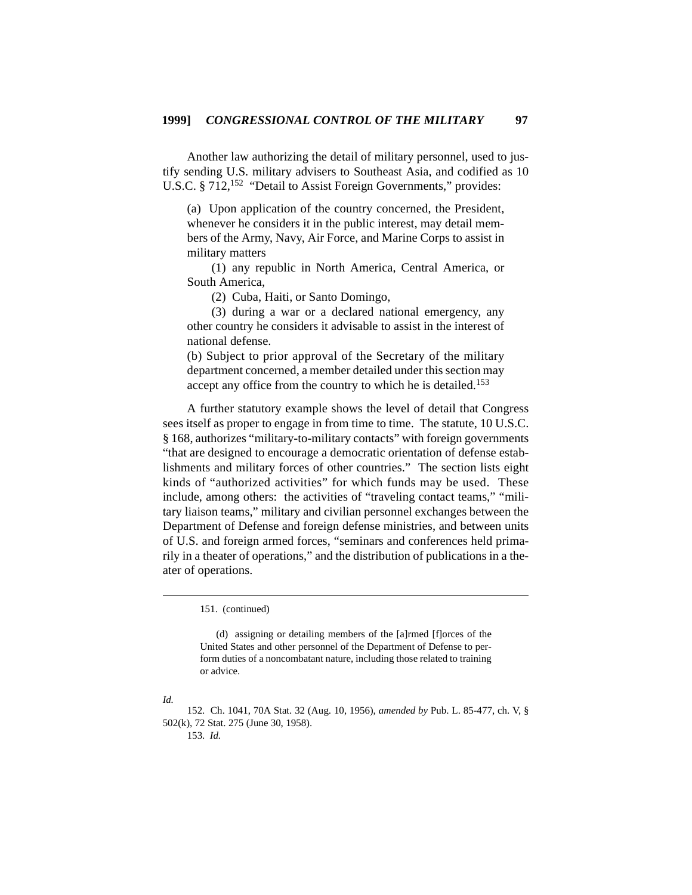Another law authorizing the detail of military personnel, used to justify sending U.S. military advisers to Southeast Asia, and codified as 10 U.S.C. § 712,<sup>152</sup> "Detail to Assist Foreign Governments," provides:

(a) Upon application of the country concerned, the President, whenever he considers it in the public interest, may detail members of the Army, Navy, Air Force, and Marine Corps to assist in military matters

(1) any republic in North America, Central America, or South America,

(2) Cuba, Haiti, or Santo Domingo,

(3) during a war or a declared national emergency, any other country he considers it advisable to assist in the interest of national defense.

(b) Subject to prior approval of the Secretary of the military department concerned, a member detailed under this section may accept any office from the country to which he is detailed.<sup>153</sup>

A further statutory example shows the level of detail that Congress sees itself as proper to engage in from time to time. The statute, 10 U.S.C. § 168, authorizes "military-to-military contacts" with foreign governments "that are designed to encourage a democratic orientation of defense establishments and military forces of other countries." The section lists eight kinds of "authorized activities" for which funds may be used. These include, among others: the activities of "traveling contact teams," "military liaison teams," military and civilian personnel exchanges between the Department of Defense and foreign defense ministries, and between units of U.S. and foreign armed forces, "seminars and conferences held primarily in a theater of operations," and the distribution of publications in a theater of operations.

151. (continued)

(d) assigning or detailing members of the [a]rmed [f]orces of the United States and other personnel of the Department of Defense to perform duties of a noncombatant nature, including those related to training or advice.

## *Id.*

152. Ch. 1041, 70A Stat. 32 (Aug. 10, 1956), *amended by* Pub. L. 85-477, ch. V, § 502(k), 72 Stat. 275 (June 30, 1958). 153. *Id.*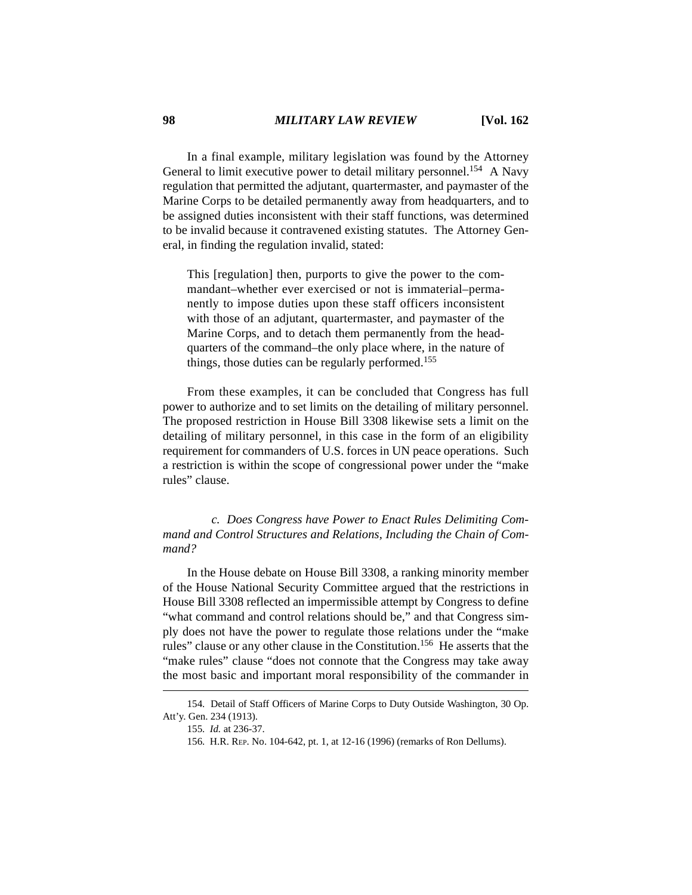In a final example, military legislation was found by the Attorney General to limit executive power to detail military personnel.<sup>154</sup> A Navy regulation that permitted the adjutant, quartermaster, and paymaster of the Marine Corps to be detailed permanently away from headquarters, and to be assigned duties inconsistent with their staff functions, was determined to be invalid because it contravened existing statutes. The Attorney General, in finding the regulation invalid, stated:

This [regulation] then, purports to give the power to the commandant–whether ever exercised or not is immaterial–permanently to impose duties upon these staff officers inconsistent with those of an adjutant, quartermaster, and paymaster of the Marine Corps, and to detach them permanently from the headquarters of the command–the only place where, in the nature of things, those duties can be regularly performed.<sup>155</sup>

From these examples, it can be concluded that Congress has full power to authorize and to set limits on the detailing of military personnel. The proposed restriction in House Bill 3308 likewise sets a limit on the detailing of military personnel, in this case in the form of an eligibility requirement for commanders of U.S. forces in UN peace operations. Such a restriction is within the scope of congressional power under the "make rules" clause.

*c. Does Congress have Power to Enact Rules Delimiting Command and Control Structures and Relations, Including the Chain of Command?*

In the House debate on House Bill 3308, a ranking minority member of the House National Security Committee argued that the restrictions in House Bill 3308 reflected an impermissible attempt by Congress to define "what command and control relations should be," and that Congress simply does not have the power to regulate those relations under the "make rules" clause or any other clause in the Constitution.156 He asserts that the "make rules" clause "does not connote that the Congress may take away the most basic and important moral responsibility of the commander in

<sup>154.</sup> Detail of Staff Officers of Marine Corps to Duty Outside Washington, 30 Op. Att'y. Gen. 234 (1913).

<sup>155.</sup> *Id.* at 236-37.

<sup>156.</sup> H.R. REP. No. 104-642, pt. 1, at 12-16 (1996) (remarks of Ron Dellums).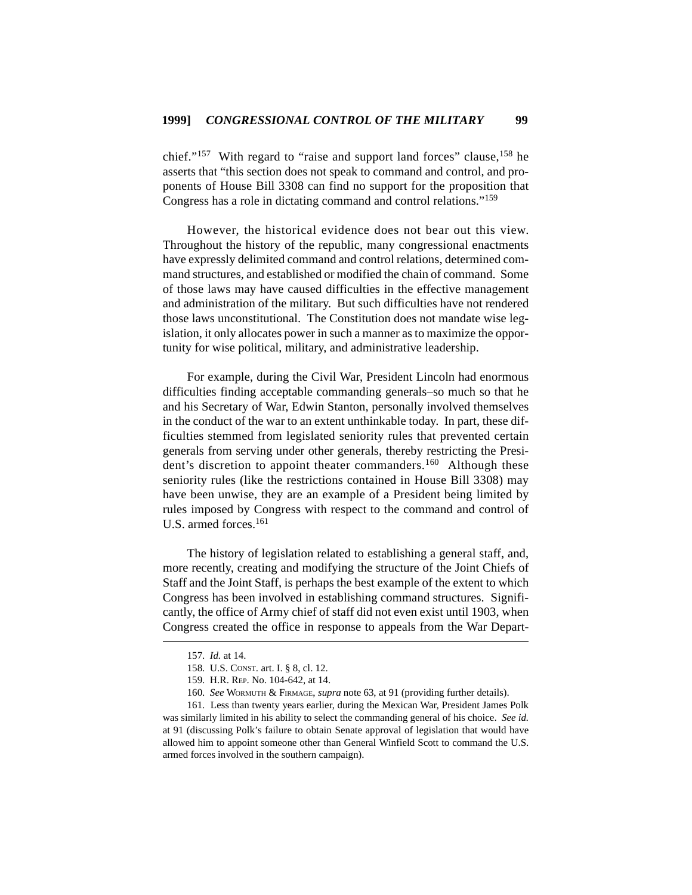chief."<sup>157</sup> With regard to "raise and support land forces" clause,  $158$  he asserts that "this section does not speak to command and control, and proponents of House Bill 3308 can find no support for the proposition that Congress has a role in dictating command and control relations."<sup>159</sup>

However, the historical evidence does not bear out this view. Throughout the history of the republic, many congressional enactments have expressly delimited command and control relations, determined command structures, and established or modified the chain of command. Some of those laws may have caused difficulties in the effective management and administration of the military. But such difficulties have not rendered those laws unconstitutional. The Constitution does not mandate wise legislation, it only allocates power in such a manner as to maximize the opportunity for wise political, military, and administrative leadership.

For example, during the Civil War, President Lincoln had enormous difficulties finding acceptable commanding generals–so much so that he and his Secretary of War, Edwin Stanton, personally involved themselves in the conduct of the war to an extent unthinkable today. In part, these difficulties stemmed from legislated seniority rules that prevented certain generals from serving under other generals, thereby restricting the President's discretion to appoint theater commanders.<sup>160</sup> Although these seniority rules (like the restrictions contained in House Bill 3308) may have been unwise, they are an example of a President being limited by rules imposed by Congress with respect to the command and control of U.S. armed forces.<sup>161</sup>

The history of legislation related to establishing a general staff, and, more recently, creating and modifying the structure of the Joint Chiefs of Staff and the Joint Staff, is perhaps the best example of the extent to which Congress has been involved in establishing command structures. Significantly, the office of Army chief of staff did not even exist until 1903, when Congress created the office in response to appeals from the War Depart-

<sup>157.</sup> *Id.* at 14.

<sup>158.</sup> U.S. CONST. art. I. § 8, cl. 12.

<sup>159.</sup> H.R. REP. No. 104-642, at 14.

<sup>160.</sup> *See* WORMUTH & FIRMAGE, *supra* note 63, at 91 (providing further details).

<sup>161.</sup> Less than twenty years earlier, during the Mexican War, President James Polk was similarly limited in his ability to select the commanding general of his choice. *See id.* at 91 (discussing Polk's failure to obtain Senate approval of legislation that would have allowed him to appoint someone other than General Winfield Scott to command the U.S. armed forces involved in the southern campaign).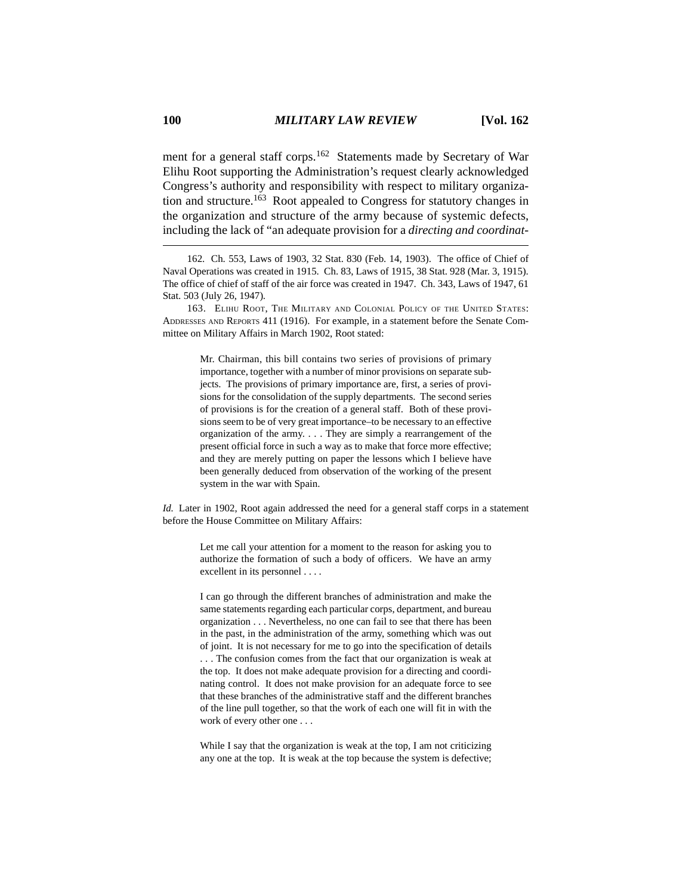ment for a general staff corps.162 Statements made by Secretary of War Elihu Root supporting the Administration's request clearly acknowledged Congress's authority and responsibility with respect to military organization and structure.<sup>163</sup> Root appealed to Congress for statutory changes in the organization and structure of the army because of systemic defects, including the lack of "an adequate provision for a *directing and coordinat-*

Mr. Chairman, this bill contains two series of provisions of primary importance, together with a number of minor provisions on separate subjects. The provisions of primary importance are, first, a series of provisions for the consolidation of the supply departments. The second series of provisions is for the creation of a general staff. Both of these provisions seem to be of very great importance–to be necessary to an effective organization of the army. . . . They are simply a rearrangement of the present official force in such a way as to make that force more effective; and they are merely putting on paper the lessons which I believe have been generally deduced from observation of the working of the present system in the war with Spain.

*Id.* Later in 1902, Root again addressed the need for a general staff corps in a statement before the House Committee on Military Affairs:

> Let me call your attention for a moment to the reason for asking you to authorize the formation of such a body of officers. We have an army excellent in its personnel . . . .

> I can go through the different branches of administration and make the same statements regarding each particular corps, department, and bureau organization . . . Nevertheless, no one can fail to see that there has been in the past, in the administration of the army, something which was out of joint. It is not necessary for me to go into the specification of details . . . The confusion comes from the fact that our organization is weak at the top. It does not make adequate provision for a directing and coordinating control. It does not make provision for an adequate force to see that these branches of the administrative staff and the different branches of the line pull together, so that the work of each one will fit in with the work of every other one . . .

> While I say that the organization is weak at the top, I am not criticizing any one at the top. It is weak at the top because the system is defective;

<sup>162.</sup> Ch. 553, Laws of 1903, 32 Stat. 830 (Feb. 14, 1903). The office of Chief of Naval Operations was created in 1915. Ch. 83, Laws of 1915, 38 Stat. 928 (Mar. 3, 1915). The office of chief of staff of the air force was created in 1947. Ch. 343, Laws of 1947, 61 Stat. 503 (July 26, 1947).

<sup>163.</sup> ELIHU ROOT, THE MILITARY AND COLONIAL POLICY OF THE UNITED STATES: ADDRESSES AND REPORTS 411 (1916). For example, in a statement before the Senate Committee on Military Affairs in March 1902, Root stated: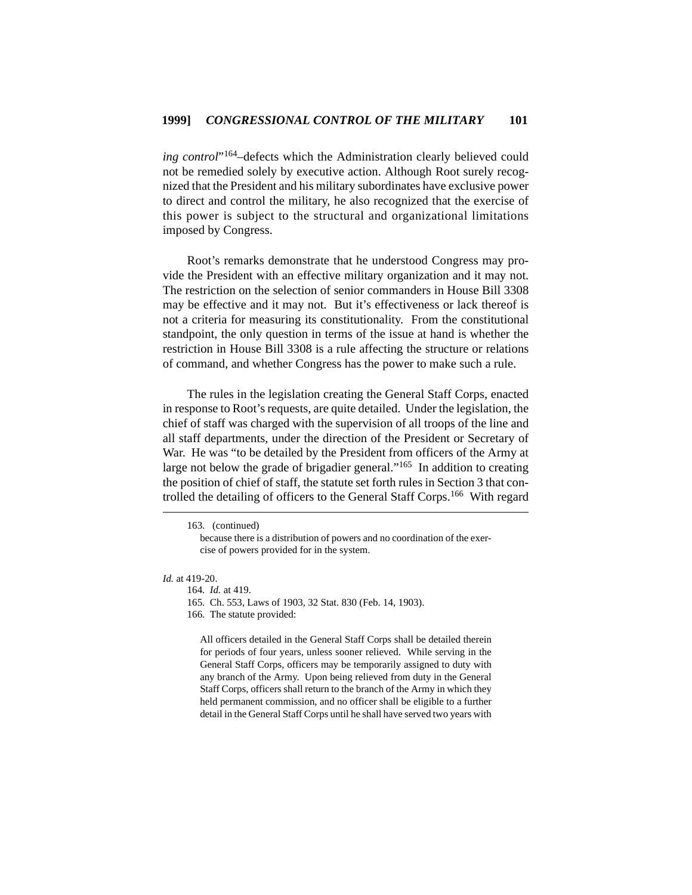*ing control*"164–defects which the Administration clearly believed could not be remedied solely by executive action. Although Root surely recognized that the President and his military subordinates have exclusive power to direct and control the military, he also recognized that the exercise of this power is subject to the structural and organizational limitations imposed by Congress.

Root's remarks demonstrate that he understood Congress may provide the President with an effective military organization and it may not. The restriction on the selection of senior commanders in House Bill 3308 may be effective and it may not. But it's effectiveness or lack thereof is not a criteria for measuring its constitutionality. From the constitutional standpoint, the only question in terms of the issue at hand is whether the restriction in House Bill 3308 is a rule affecting the structure or relations of command, and whether Congress has the power to make such a rule.

The rules in the legislation creating the General Staff Corps, enacted in response to Root's requests, are quite detailed. Under the legislation, the chief of staff was charged with the supervision of all troops of the line and all staff departments, under the direction of the President or Secretary of War. He was "to be detailed by the President from officers of the Army at large not below the grade of brigadier general."<sup>165</sup> In addition to creating the position of chief of staff, the statute set forth rules in Section 3 that controlled the detailing of officers to the General Staff Corps.166 With regard

#### *Id.* at 419-20.

164. *Id.* at 419.

All officers detailed in the General Staff Corps shall be detailed therein for periods of four years, unless sooner relieved. While serving in the General Staff Corps, officers may be temporarily assigned to duty with any branch of the Army. Upon being relieved from duty in the General Staff Corps, officers shall return to the branch of the Army in which they held permanent commission, and no officer shall be eligible to a further detail in the General Staff Corps until he shall have served two years with

<sup>163. (</sup>continued)

because there is a distribution of powers and no coordination of the exercise of powers provided for in the system.

<sup>165.</sup> Ch. 553, Laws of 1903, 32 Stat. 830 (Feb. 14, 1903).

<sup>166.</sup> The statute provided: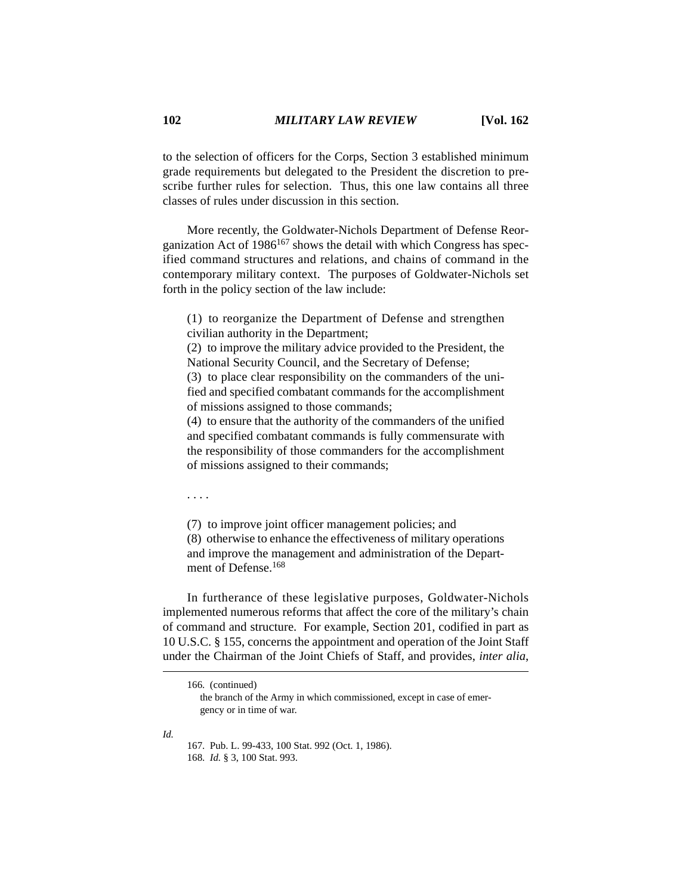to the selection of officers for the Corps, Section 3 established minimum grade requirements but delegated to the President the discretion to prescribe further rules for selection. Thus, this one law contains all three classes of rules under discussion in this section.

More recently, the Goldwater-Nichols Department of Defense Reorganization Act of  $1986^{167}$  shows the detail with which Congress has specified command structures and relations, and chains of command in the contemporary military context. The purposes of Goldwater-Nichols set forth in the policy section of the law include:

(1) to reorganize the Department of Defense and strengthen civilian authority in the Department;

(2) to improve the military advice provided to the President, the National Security Council, and the Secretary of Defense;

(3) to place clear responsibility on the commanders of the unified and specified combatant commands for the accomplishment of missions assigned to those commands;

(4) to ensure that the authority of the commanders of the unified and specified combatant commands is fully commensurate with the responsibility of those commanders for the accomplishment of missions assigned to their commands;

. . . .

(7) to improve joint officer management policies; and (8) otherwise to enhance the effectiveness of military operations and improve the management and administration of the Department of Defense.<sup>168</sup>

In furtherance of these legislative purposes, Goldwater-Nichols implemented numerous reforms that affect the core of the military's chain of command and structure. For example, Section 201, codified in part as 10 U.S.C. § 155, concerns the appointment and operation of the Joint Staff under the Chairman of the Joint Chiefs of Staff, and provides, *inter alia*,

166. (continued)

*Id.*

167. Pub. L. 99-433, 100 Stat. 992 (Oct. 1, 1986). 168. *Id.* § 3, 100 Stat. 993.

the branch of the Army in which commissioned, except in case of emergency or in time of war.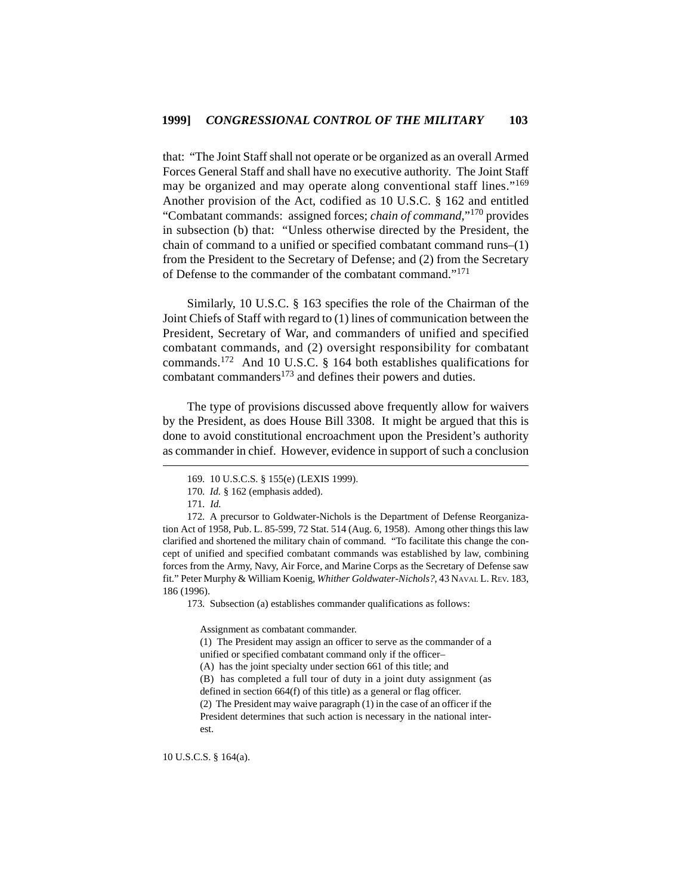that: "The Joint Staff shall not operate or be organized as an overall Armed Forces General Staff and shall have no executive authority. The Joint Staff may be organized and may operate along conventional staff lines."<sup>169</sup> Another provision of the Act, codified as 10 U.S.C. § 162 and entitled "Combatant commands: assigned forces; *chain of command*,"170 provides in subsection (b) that: "Unless otherwise directed by the President, the chain of command to a unified or specified combatant command runs–(1) from the President to the Secretary of Defense; and (2) from the Secretary of Defense to the commander of the combatant command."<sup>171</sup>

Similarly, 10 U.S.C. § 163 specifies the role of the Chairman of the Joint Chiefs of Staff with regard to (1) lines of communication between the President, Secretary of War, and commanders of unified and specified combatant commands, and (2) oversight responsibility for combatant commands.172 And 10 U.S.C. § 164 both establishes qualifications for combatant commanders<sup>173</sup> and defines their powers and duties.

The type of provisions discussed above frequently allow for waivers by the President, as does House Bill 3308. It might be argued that this is done to avoid constitutional encroachment upon the President's authority as commander in chief. However, evidence in support of such a conclusion

172. A precursor to Goldwater-Nichols is the Department of Defense Reorganization Act of 1958, Pub. L. 85-599, 72 Stat. 514 (Aug. 6, 1958). Among other things this law clarified and shortened the military chain of command. "To facilitate this change the concept of unified and specified combatant commands was established by law, combining forces from the Army, Navy, Air Force, and Marine Corps as the Secretary of Defense saw fit." Peter Murphy & William Koenig, *Whither Goldwater-Nichols?*, 43 NAVAL L. REV. 183, 186 (1996).

173. Subsection (a) establishes commander qualifications as follows:

Assignment as combatant commander.

(1) The President may assign an officer to serve as the commander of a unified or specified combatant command only if the officer– (A) has the joint specialty under section 661 of this title; and (B) has completed a full tour of duty in a joint duty assignment (as defined in section 664(f) of this title) as a general or flag officer. (2) The President may waive paragraph (1) in the case of an officer if the President determines that such action is necessary in the national interest.

10 U.S.C.S. § 164(a).

<sup>169. 10</sup> U.S.C.S. § 155(e) (LEXIS 1999).

<sup>170.</sup> *Id.* § 162 (emphasis added).

<sup>171.</sup> *Id.*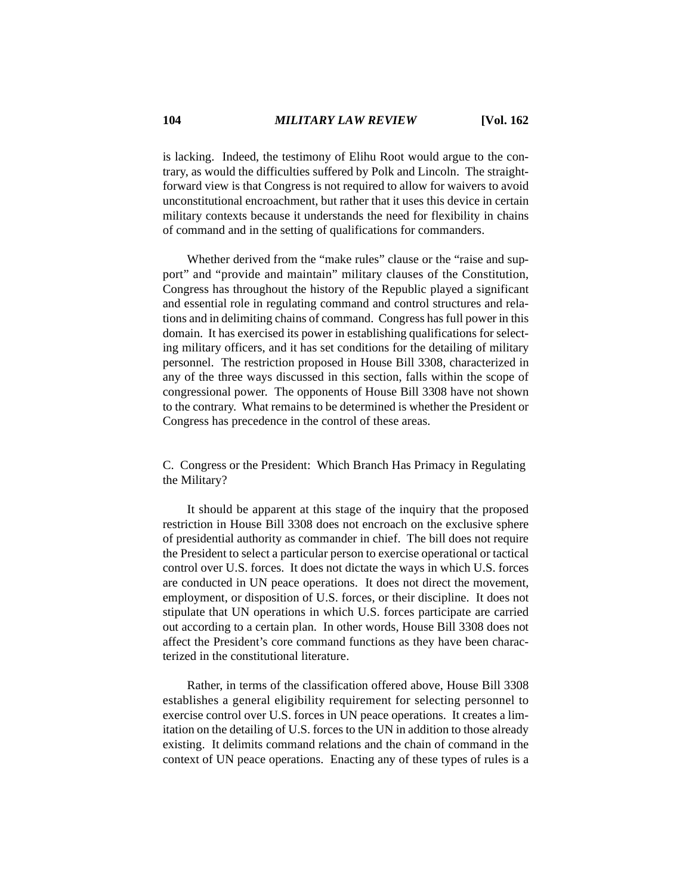is lacking. Indeed, the testimony of Elihu Root would argue to the contrary, as would the difficulties suffered by Polk and Lincoln. The straightforward view is that Congress is not required to allow for waivers to avoid unconstitutional encroachment, but rather that it uses this device in certain military contexts because it understands the need for flexibility in chains of command and in the setting of qualifications for commanders.

Whether derived from the "make rules" clause or the "raise and support" and "provide and maintain" military clauses of the Constitution, Congress has throughout the history of the Republic played a significant and essential role in regulating command and control structures and relations and in delimiting chains of command. Congress has full power in this domain. It has exercised its power in establishing qualifications for selecting military officers, and it has set conditions for the detailing of military personnel. The restriction proposed in House Bill 3308, characterized in any of the three ways discussed in this section, falls within the scope of congressional power. The opponents of House Bill 3308 have not shown to the contrary. What remains to be determined is whether the President or Congress has precedence in the control of these areas.

C. Congress or the President: Which Branch Has Primacy in Regulating the Military?

It should be apparent at this stage of the inquiry that the proposed restriction in House Bill 3308 does not encroach on the exclusive sphere of presidential authority as commander in chief. The bill does not require the President to select a particular person to exercise operational or tactical control over U.S. forces. It does not dictate the ways in which U.S. forces are conducted in UN peace operations. It does not direct the movement, employment, or disposition of U.S. forces, or their discipline. It does not stipulate that UN operations in which U.S. forces participate are carried out according to a certain plan. In other words, House Bill 3308 does not affect the President's core command functions as they have been characterized in the constitutional literature.

Rather, in terms of the classification offered above, House Bill 3308 establishes a general eligibility requirement for selecting personnel to exercise control over U.S. forces in UN peace operations. It creates a limitation on the detailing of U.S. forces to the UN in addition to those already existing. It delimits command relations and the chain of command in the context of UN peace operations. Enacting any of these types of rules is a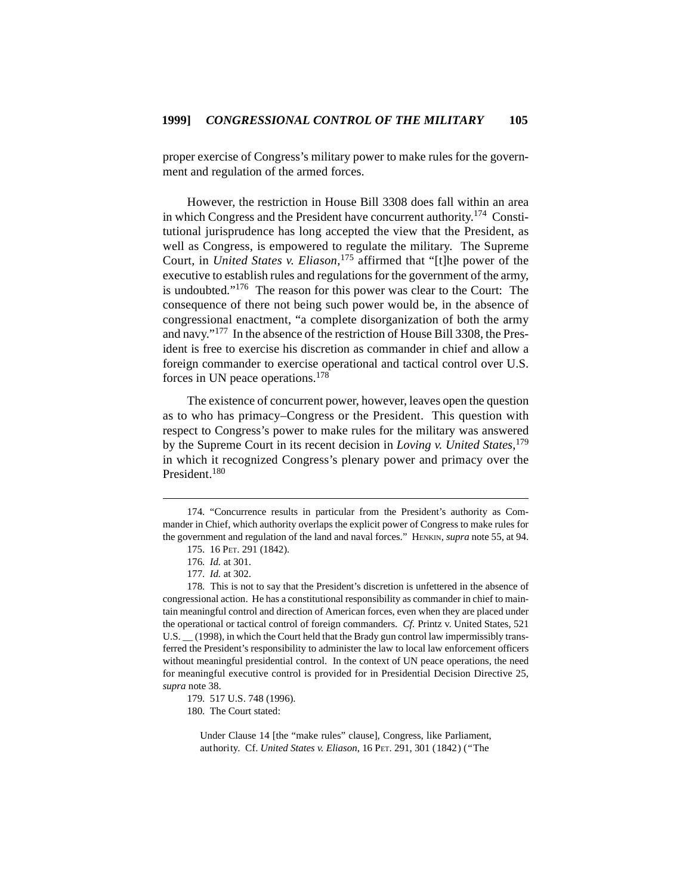proper exercise of Congress's military power to make rules for the government and regulation of the armed forces.

However, the restriction in House Bill 3308 does fall within an area in which Congress and the President have concurrent authority.174 Constitutional jurisprudence has long accepted the view that the President, as well as Congress, is empowered to regulate the military. The Supreme Court, in *United States v. Eliason*, 175 affirmed that "[t]he power of the executive to establish rules and regulations for the government of the army, is undoubted."176 The reason for this power was clear to the Court: The consequence of there not being such power would be, in the absence of congressional enactment, "a complete disorganization of both the army and navy."177 In the absence of the restriction of House Bill 3308, the President is free to exercise his discretion as commander in chief and allow a foreign commander to exercise operational and tactical control over U.S. forces in UN peace operations.<sup>178</sup>

The existence of concurrent power, however, leaves open the question as to who has primacy–Congress or the President. This question with respect to Congress's power to make rules for the military was answered by the Supreme Court in its recent decision in *Loving v. United States*, 179 in which it recognized Congress's plenary power and primacy over the President.<sup>180</sup>

<sup>174. &</sup>quot;Concurrence results in particular from the President's authority as Commander in Chief, which authority overlaps the explicit power of Congress to make rules for the government and regulation of the land and naval forces." HENKIN, *supra* note 55, at 94.

<sup>175. 16</sup> PET. 291 (1842).

<sup>176.</sup> *Id.* at 301.

<sup>177.</sup> *Id.* at 302.

<sup>178.</sup> This is not to say that the President's discretion is unfettered in the absence of congressional action. He has a constitutional responsibility as commander in chief to maintain meaningful control and direction of American forces, even when they are placed under the operational or tactical control of foreign commanders. *Cf.* Printz v. United States, 521 U.S.  $\_\_$  (1998), in which the Court held that the Brady gun control law impermissibly transferred the President's responsibility to administer the law to local law enforcement officers without meaningful presidential control. In the context of UN peace operations, the need for meaningful executive control is provided for in Presidential Decision Directive 25, *supra* note 38.

<sup>179. 517</sup> U.S. 748 (1996).

<sup>180.</sup> The Court stated:

Under Clause 14 [the "make rules" clause], Congress, like Parliament, authority. Cf. *United States v. Eliason*, 16 PET. 291, 301 (1842) ("The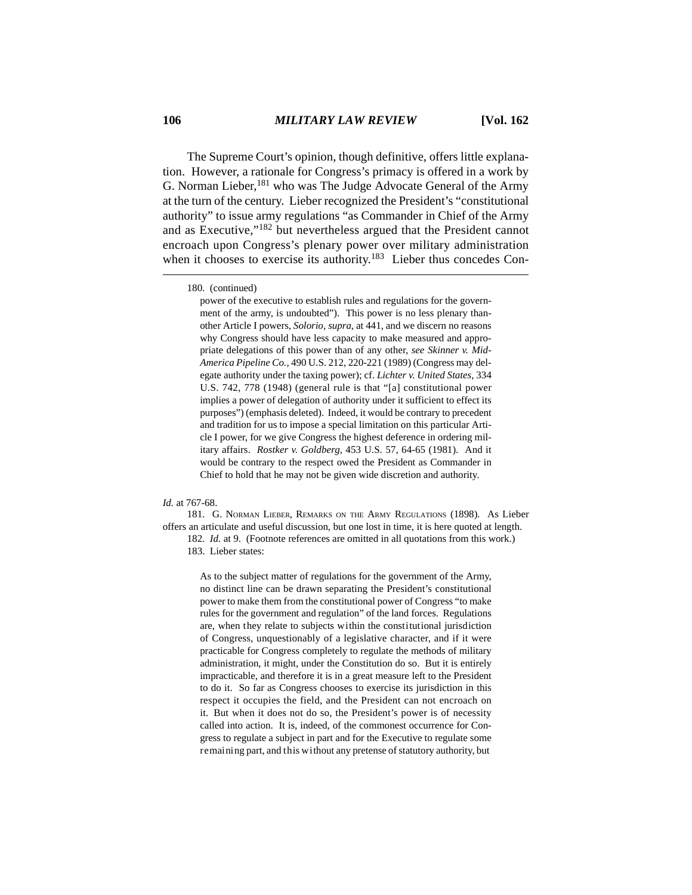The Supreme Court's opinion, though definitive, offers little explanation. However, a rationale for Congress's primacy is offered in a work by G. Norman Lieber,<sup>181</sup> who was The Judge Advocate General of the Army at the turn of the century. Lieber recognized the President's "constitutional authority" to issue army regulations "as Commander in Chief of the Army and as Executive,"182 but nevertheless argued that the President cannot encroach upon Congress's plenary power over military administration when it chooses to exercise its authority.<sup>183</sup> Lieber thus concedes Con-

power of the executive to establish rules and regulations for the government of the army, is undoubted"). This power is no less plenary thanother Article I powers, *Solorio*, *supra*, at 441, and we discern no reasons why Congress should have less capacity to make measured and appropriate delegations of this power than of any other, *see Skinner v. Mid-America Pipeline Co.*, 490 U.S. 212, 220-221 (1989) (Congress may delegate authority under the taxing power); cf. *Lichter v. United States*, 334 U.S. 742, 778 (1948) (general rule is that "[a] constitutional power implies a power of delegation of authority under it sufficient to effect its purposes") (emphasis deleted). Indeed, it would be contrary to precedent and tradition for us to impose a special limitation on this particular Article I power, for we give Congress the highest deference in ordering military affairs. *Rostker v. Goldberg*, 453 U.S. 57, 64-65 (1981). And it would be contrary to the respect owed the President as Commander in Chief to hold that he may not be given wide discretion and authority.

#### *Id.* at 767-68.

181. G. NORMAN LIEBER, REMARKS ON THE ARMY REGULATIONS (1898). As Lieber offers an articulate and useful discussion, but one lost in time, it is here quoted at length. 182. *Id.* at 9. (Footnote references are omitted in all quotations from this work.) 183. Lieber states:

> As to the subject matter of regulations for the government of the Army, no distinct line can be drawn separating the President's constitutional power to make them from the constitutional power of Congress "to make rules for the government and regulation" of the land forces. Regulations are, when they relate to subjects within the constitutional jurisdiction of Congress, unquestionably of a legislative character, and if it were practicable for Congress completely to regulate the methods of military administration, it might, under the Constitution do so. But it is entirely impracticable, and therefore it is in a great measure left to the President to do it. So far as Congress chooses to exercise its jurisdiction in this respect it occupies the field, and the President can not encroach on it. But when it does not do so, the President's power is of necessity called into action. It is, indeed, of the commonest occurrence for Congress to regulate a subject in part and for the Executive to regulate some remaining part, and this without any pretense of statutory authority, but

<sup>180. (</sup>continued)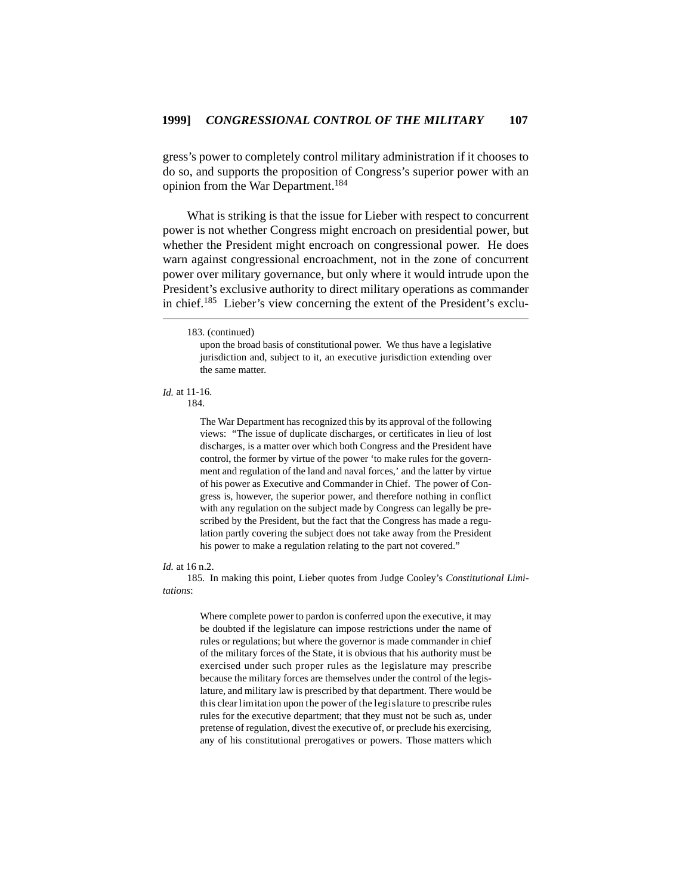gress's power to completely control military administration if it chooses to do so, and supports the proposition of Congress's superior power with an opinion from the War Department.<sup>184</sup>

What is striking is that the issue for Lieber with respect to concurrent power is not whether Congress might encroach on presidential power, but whether the President might encroach on congressional power. He does warn against congressional encroachment, not in the zone of concurrent power over military governance, but only where it would intrude upon the President's exclusive authority to direct military operations as commander in chief.185 Lieber's view concerning the extent of the President's exclu-

upon the broad basis of constitutional power. We thus have a legislative jurisdiction and, subject to it, an executive jurisdiction extending over the same matter.

# *Id.* at 11-16.

184.

The War Department has recognized this by its approval of the following views: "The issue of duplicate discharges, or certificates in lieu of lost discharges, is a matter over which both Congress and the President have control, the former by virtue of the power 'to make rules for the government and regulation of the land and naval forces,' and the latter by virtue of his power as Executive and Commander in Chief. The power of Congress is, however, the superior power, and therefore nothing in conflict with any regulation on the subject made by Congress can legally be prescribed by the President, but the fact that the Congress has made a regulation partly covering the subject does not take away from the President his power to make a regulation relating to the part not covered."

### *Id.* at 16 n.2.

185. In making this point, Lieber quotes from Judge Cooley's *Constitutional Limitations*:

> Where complete power to pardon is conferred upon the executive, it may be doubted if the legislature can impose restrictions under the name of rules or regulations; but where the governor is made commander in chief of the military forces of the State, it is obvious that his authority must be exercised under such proper rules as the legislature may prescribe because the military forces are themselves under the control of the legislature, and military law is prescribed by that department. There would be this clear limitation upon the power of the legislature to prescribe rules rules for the executive department; that they must not be such as, under pretense of regulation, divest the executive of, or preclude his exercising, any of his constitutional prerogatives or powers. Those matters which

<sup>183. (</sup>continued)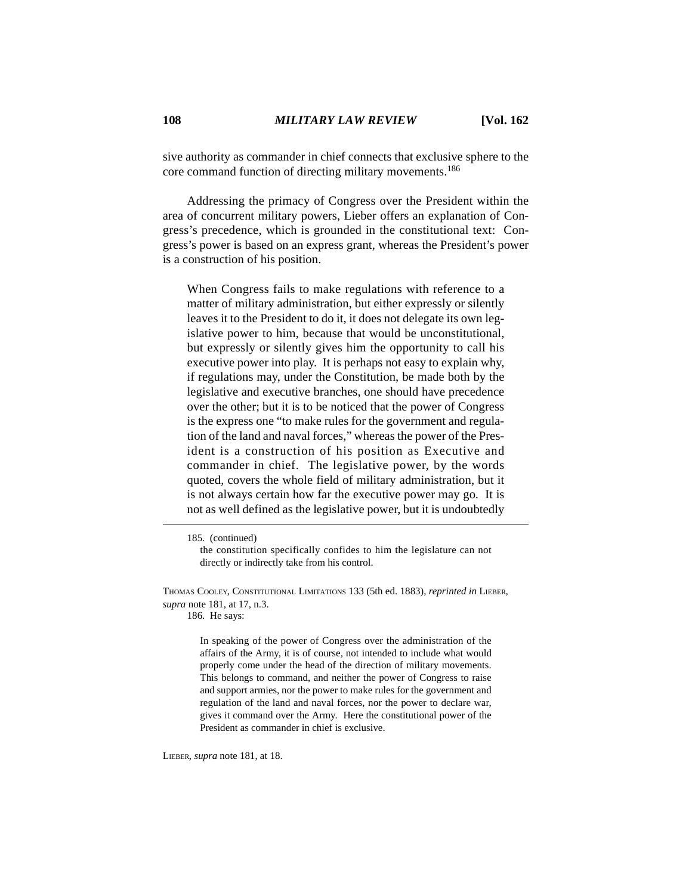sive authority as commander in chief connects that exclusive sphere to the core command function of directing military movements.<sup>186</sup>

Addressing the primacy of Congress over the President within the area of concurrent military powers, Lieber offers an explanation of Congress's precedence, which is grounded in the constitutional text: Congress's power is based on an express grant, whereas the President's power is a construction of his position.

When Congress fails to make regulations with reference to a matter of military administration, but either expressly or silently leaves it to the President to do it, it does not delegate its own legislative power to him, because that would be unconstitutional, but expressly or silently gives him the opportunity to call his executive power into play. It is perhaps not easy to explain why, if regulations may, under the Constitution, be made both by the legislative and executive branches, one should have precedence over the other; but it is to be noticed that the power of Congress is the express one "to make rules for the government and regulation of the land and naval forces," whereas the power of the President is a construction of his position as Executive and commander in chief. The legislative power, by the words quoted, covers the whole field of military administration, but it is not always certain how far the executive power may go. It is not as well defined as the legislative power, but it is undoubtedly

186. He says:

In speaking of the power of Congress over the administration of the affairs of the Army, it is of course, not intended to include what would properly come under the head of the direction of military movements. This belongs to command, and neither the power of Congress to raise and support armies, nor the power to make rules for the government and regulation of the land and naval forces, nor the power to declare war, gives it command over the Army. Here the constitutional power of the President as commander in chief is exclusive.

LIEBER, *supra* note 181, at 18.

<sup>185. (</sup>continued)

the constitution specifically confides to him the legislature can not directly or indirectly take from his control.

THOMAS COOLEY, CONSTITUTIONAL LIMITATIONS 133 (5th ed. 1883), *reprinted in* LIEBER, *supra* note 181, at 17, n.3.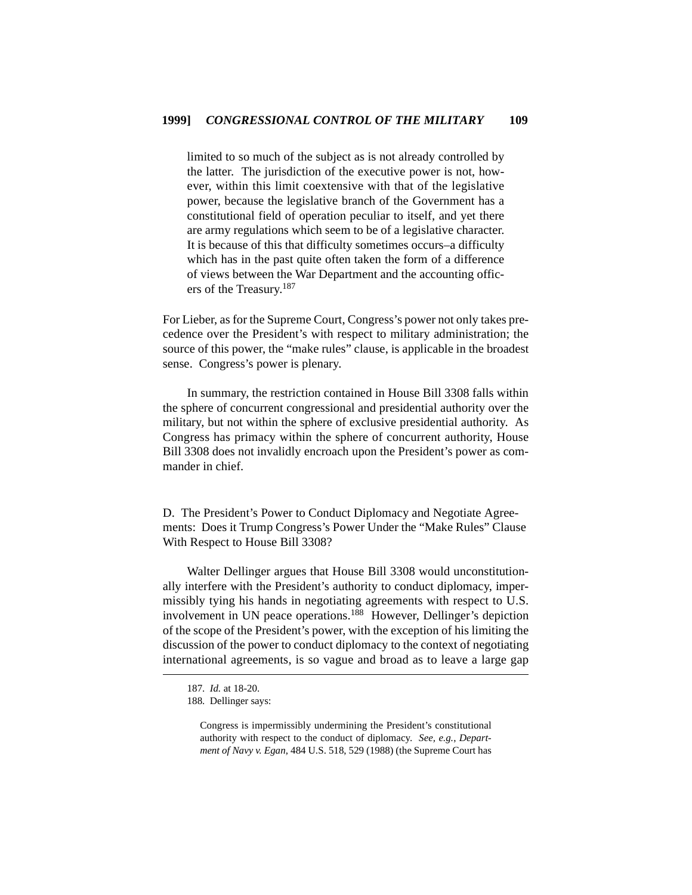limited to so much of the subject as is not already controlled by the latter. The jurisdiction of the executive power is not, however, within this limit coextensive with that of the legislative power, because the legislative branch of the Government has a constitutional field of operation peculiar to itself, and yet there are army regulations which seem to be of a legislative character. It is because of this that difficulty sometimes occurs–a difficulty which has in the past quite often taken the form of a difference of views between the War Department and the accounting officers of the Treasury.<sup>187</sup>

For Lieber, as for the Supreme Court, Congress's power not only takes precedence over the President's with respect to military administration; the source of this power, the "make rules" clause, is applicable in the broadest sense. Congress's power is plenary.

In summary, the restriction contained in House Bill 3308 falls within the sphere of concurrent congressional and presidential authority over the military, but not within the sphere of exclusive presidential authority. As Congress has primacy within the sphere of concurrent authority, House Bill 3308 does not invalidly encroach upon the President's power as commander in chief.

D. The President's Power to Conduct Diplomacy and Negotiate Agreements: Does it Trump Congress's Power Under the "Make Rules" Clause With Respect to House Bill 3308?

Walter Dellinger argues that House Bill 3308 would unconstitutionally interfere with the President's authority to conduct diplomacy, impermissibly tying his hands in negotiating agreements with respect to U.S. involvement in UN peace operations.<sup>188</sup> However, Dellinger's depiction of the scope of the President's power, with the exception of his limiting the discussion of the power to conduct diplomacy to the context of negotiating international agreements, is so vague and broad as to leave a large gap

<sup>187.</sup> *Id.* at 18-20.

<sup>188.</sup> Dellinger says:

Congress is impermissibly undermining the President's constitutional authority with respect to the conduct of diplomacy. *See, e.g.*, *Department of Navy v. Egan*, 484 U.S. 518, 529 (1988) (the Supreme Court has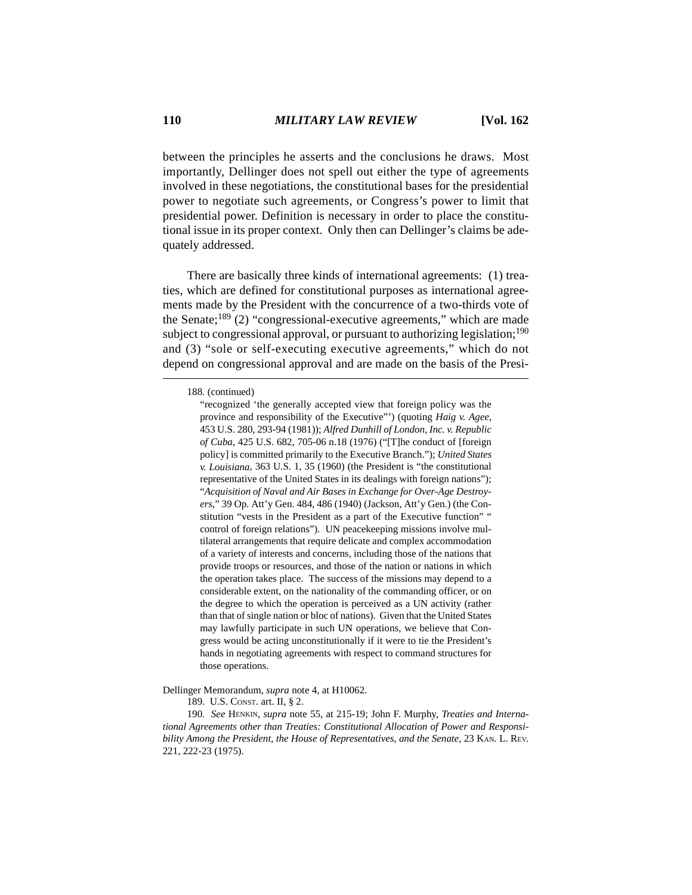between the principles he asserts and the conclusions he draws. Most importantly, Dellinger does not spell out either the type of agreements involved in these negotiations, the constitutional bases for the presidential power to negotiate such agreements, or Congress's power to limit that presidential power. Definition is necessary in order to place the constitutional issue in its proper context. Only then can Dellinger's claims be adequately addressed.

There are basically three kinds of international agreements: (1) treaties, which are defined for constitutional purposes as international agreements made by the President with the concurrence of a two-thirds vote of the Senate; $189$  (2) "congressional-executive agreements," which are made subject to congressional approval, or pursuant to authorizing legislation;<sup>190</sup> and (3) "sole or self-executing executive agreements," which do not depend on congressional approval and are made on the basis of the Presi-

188. (continued)

## Dellinger Memorandum, *supra* note 4, at H10062.

189. U.S. CONST. art. II, § 2.

190. *See* HENKIN, *supra* note 55, at 215-19; John F. Murphy, *Treaties and International Agreements other than Treaties: Constitutional Allocation of Power and Responsibility Among the President, the House of Representatives, and the Senate*, 23 KAN. L. REV. 221, 222-23 (1975).

<sup>&</sup>quot;recognized 'the generally accepted view that foreign policy was the province and responsibility of the Executive"') (quoting *Haig v. Agee*, 453 U.S. 280, 293-94 (1981)); *Alfred Dunhill of London, Inc. v. Republic of Cuba*, 425 U.S. 682, 705-06 n.18 (1976) ("[T]he conduct of [foreign policy] is committed primarily to the Executive Branch."); *United States v. Louisiana*, 363 U.S. 1, 35 (1960) (the President is "the constitutional representative of the United States in its dealings with foreign nations"); "*Acquisition of Naval and Air Bases in Exchange for Over-Age Destroyers*," 39 Op. Att'y Gen. 484, 486 (1940) (Jackson, Att'y Gen.) (the Constitution "vests in the President as a part of the Executive function" " control of foreign relations"). UN peacekeeping missions involve multilateral arrangements that require delicate and complex accommodation of a variety of interests and concerns, including those of the nations that provide troops or resources, and those of the nation or nations in which the operation takes place. The success of the missions may depend to a considerable extent, on the nationality of the commanding officer, or on the degree to which the operation is perceived as a UN activity (rather than that of single nation or bloc of nations). Given that the United States may lawfully participate in such UN operations, we believe that Congress would be acting unconstitutionally if it were to tie the President's hands in negotiating agreements with respect to command structures for those operations.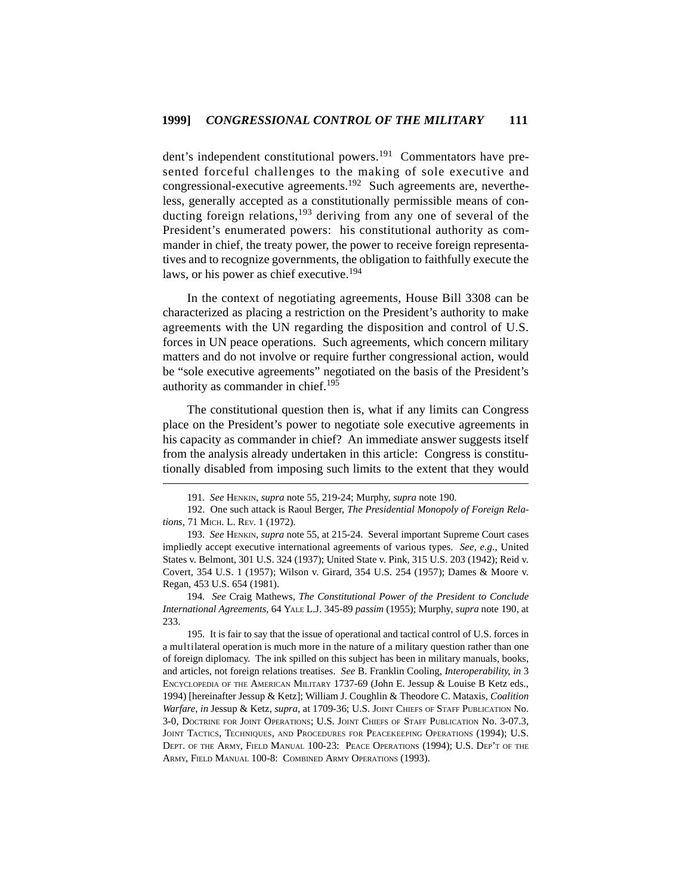dent's independent constitutional powers.<sup>191</sup> Commentators have presented forceful challenges to the making of sole executive and congressional-executive agreements.192 Such agreements are, nevertheless, generally accepted as a constitutionally permissible means of conducting foreign relations,<sup>193</sup> deriving from any one of several of the President's enumerated powers: his constitutional authority as commander in chief, the treaty power, the power to receive foreign representatives and to recognize governments, the obligation to faithfully execute the laws, or his power as chief executive.<sup>194</sup>

In the context of negotiating agreements, House Bill 3308 can be characterized as placing a restriction on the President's authority to make agreements with the UN regarding the disposition and control of U.S. forces in UN peace operations. Such agreements, which concern military matters and do not involve or require further congressional action, would be "sole executive agreements" negotiated on the basis of the President's authority as commander in chief.<sup>195</sup>

The constitutional question then is, what if any limits can Congress place on the President's power to negotiate sole executive agreements in his capacity as commander in chief? An immediate answer suggests itself from the analysis already undertaken in this article: Congress is constitutionally disabled from imposing such limits to the extent that they would

<sup>191.</sup> *See* HENKIN, *supra* note 55, 219-24; Murphy, *supra* note 190.

<sup>192.</sup> One such attack is Raoul Berger, *The Presidential Monopoly of Foreign Relations*, 71 MICH. L. REV. 1 (1972).

<sup>193.</sup> *See* HENKIN, *supra* note 55, at 215-24. Several important Supreme Court cases impliedly accept executive international agreements of various types. *See, e.g.*, United States v. Belmont, 301 U.S. 324 (1937); United State v. Pink, 315 U.S. 203 (1942); Reid v. Covert, 354 U.S. 1 (1957); Wilson v. Girard, 354 U.S. 254 (1957); Dames & Moore v. Regan, 453 U.S. 654 (1981).

<sup>194.</sup> *See* Craig Mathews, *The Constitutional Power of the President to Conclude International Agreements*, 64 YALE L.J. 345-89 *passim* (1955); Murphy, *supra* note 190, at 233.

<sup>195.</sup> It is fair to say that the issue of operational and tactical control of U.S. forces in a multilateral operation is much more in the nature of a military question rather than one of foreign diplomacy. The ink spilled on this subject has been in military manuals, books, and articles, not foreign relations treatises. *See* B. Franklin Cooling, *Interoperability*, *in* 3 ENCYCLOPEDIA OF THE AMERICAN MILITARY 1737-69 (John E. Jessup & Louise B Ketz eds., 1994) [hereinafter Jessup & Ketz]; William J. Coughlin & Theodore C. Mataxis, *Coalition Warfare*, *in* Jessup & Ketz, *supra*, at 1709-36; U.S. JOINT CHIEFS OF STAFF PUBLICATION No. 3-0, DOCTRINE FOR JOINT OPERATIONS; U.S. JOINT CHIEFS OF STAFF PUBLICATION No. 3-07.3, JOINT TACTICS, TECHNIQUES, AND PROCEDURES FOR PEACEKEEPING OPERATIONS (1994); U.S. DEPT. OF THE ARMY, FIELD MANUAL 100-23: PEACE OPERATIONS (1994); U.S. DEP'T OF THE ARMY, FIELD MANUAL 100-8: COMBINED ARMY OPERATIONS (1993).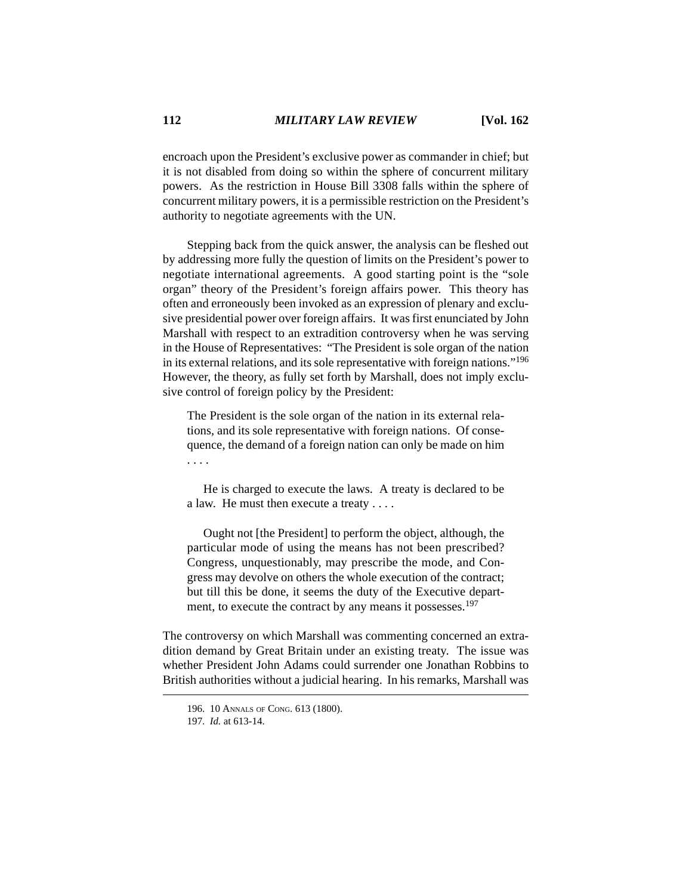encroach upon the President's exclusive power as commander in chief; but it is not disabled from doing so within the sphere of concurrent military powers. As the restriction in House Bill 3308 falls within the sphere of concurrent military powers, it is a permissible restriction on the President's authority to negotiate agreements with the UN.

Stepping back from the quick answer, the analysis can be fleshed out by addressing more fully the question of limits on the President's power to negotiate international agreements. A good starting point is the "sole organ" theory of the President's foreign affairs power. This theory has often and erroneously been invoked as an expression of plenary and exclusive presidential power over foreign affairs. It was first enunciated by John Marshall with respect to an extradition controversy when he was serving in the House of Representatives: "The President is sole organ of the nation in its external relations, and its sole representative with foreign nations."<sup>196</sup> However, the theory, as fully set forth by Marshall, does not imply exclusive control of foreign policy by the President:

The President is the sole organ of the nation in its external relations, and its sole representative with foreign nations. Of consequence, the demand of a foreign nation can only be made on him . . . .

He is charged to execute the laws. A treaty is declared to be a law. He must then execute a treaty . . . .

Ought not [the President] to perform the object, although, the particular mode of using the means has not been prescribed? Congress, unquestionably, may prescribe the mode, and Congress may devolve on others the whole execution of the contract; but till this be done, it seems the duty of the Executive department, to execute the contract by any means it possesses.<sup>197</sup>

The controversy on which Marshall was commenting concerned an extradition demand by Great Britain under an existing treaty. The issue was whether President John Adams could surrender one Jonathan Robbins to British authorities without a judicial hearing. In his remarks, Marshall was

<sup>196. 10</sup> ANNALS OF CONG. 613 (1800).

<sup>197.</sup> *Id.* at 613-14.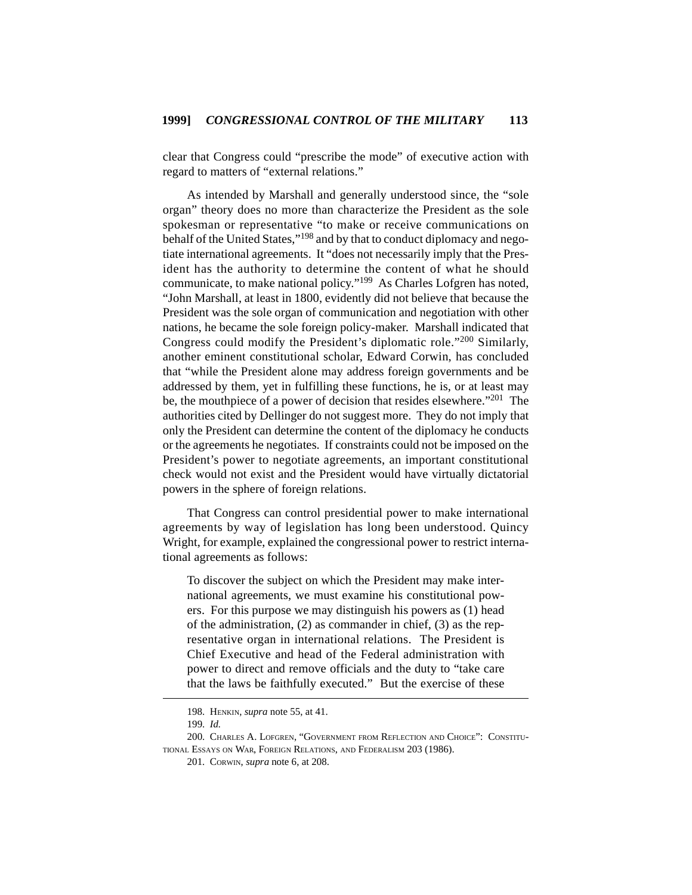clear that Congress could "prescribe the mode" of executive action with regard to matters of "external relations."

As intended by Marshall and generally understood since, the "sole organ" theory does no more than characterize the President as the sole spokesman or representative "to make or receive communications on behalf of the United States,"<sup>198</sup> and by that to conduct diplomacy and negotiate international agreements. It "does not necessarily imply that the President has the authority to determine the content of what he should communicate, to make national policy."199 As Charles Lofgren has noted, "John Marshall, at least in 1800, evidently did not believe that because the President was the sole organ of communication and negotiation with other nations, he became the sole foreign policy-maker. Marshall indicated that Congress could modify the President's diplomatic role."200 Similarly, another eminent constitutional scholar, Edward Corwin, has concluded that "while the President alone may address foreign governments and be addressed by them, yet in fulfilling these functions, he is, or at least may be, the mouthpiece of a power of decision that resides elsewhere."<sup>201</sup> The authorities cited by Dellinger do not suggest more. They do not imply that only the President can determine the content of the diplomacy he conducts or the agreements he negotiates. If constraints could not be imposed on the President's power to negotiate agreements, an important constitutional check would not exist and the President would have virtually dictatorial powers in the sphere of foreign relations.

That Congress can control presidential power to make international agreements by way of legislation has long been understood. Quincy Wright, for example, explained the congressional power to restrict international agreements as follows:

To discover the subject on which the President may make international agreements, we must examine his constitutional powers. For this purpose we may distinguish his powers as (1) head of the administration, (2) as commander in chief, (3) as the representative organ in international relations. The President is Chief Executive and head of the Federal administration with power to direct and remove officials and the duty to "take care that the laws be faithfully executed." But the exercise of these

<sup>198.</sup> HENKIN, *supra* note 55, at 41.

<sup>199.</sup> *Id.*

<sup>200.</sup> CHARLES A. LOFGREN, "GOVERNMENT FROM REFLECTION AND CHOICE": CONSTITU-TIONAL ESSAYS ON WAR, FOREIGN RELATIONS, AND FEDERALISM 203 (1986).

<sup>201.</sup> CORWIN, *supra* note 6, at 208.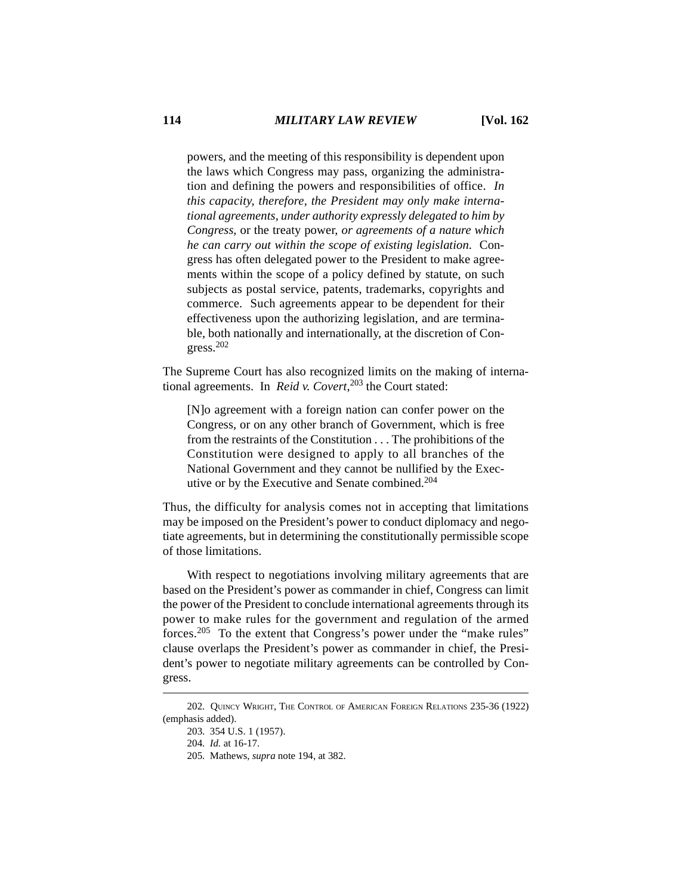powers, and the meeting of this responsibility is dependent upon the laws which Congress may pass, organizing the administration and defining the powers and responsibilities of office. *In this capacity, therefore, the President may only make international agreements, under authority expressly delegated to him by Congress*, or the treaty power, *or agreements of a nature which he can carry out within the scope of existing legislation*. Congress has often delegated power to the President to make agreements within the scope of a policy defined by statute, on such subjects as postal service, patents, trademarks, copyrights and commerce. Such agreements appear to be dependent for their effectiveness upon the authorizing legislation, and are terminable, both nationally and internationally, at the discretion of Congress.<sup>202</sup>

The Supreme Court has also recognized limits on the making of international agreements. In *Reid v. Covert*, 203 the Court stated:

[N]o agreement with a foreign nation can confer power on the Congress, or on any other branch of Government, which is free from the restraints of the Constitution . . . The prohibitions of the Constitution were designed to apply to all branches of the National Government and they cannot be nullified by the Executive or by the Executive and Senate combined.<sup>204</sup>

Thus, the difficulty for analysis comes not in accepting that limitations may be imposed on the President's power to conduct diplomacy and negotiate agreements, but in determining the constitutionally permissible scope of those limitations.

With respect to negotiations involving military agreements that are based on the President's power as commander in chief, Congress can limit the power of the President to conclude international agreements through its power to make rules for the government and regulation of the armed forces.205 To the extent that Congress's power under the "make rules" clause overlaps the President's power as commander in chief, the President's power to negotiate military agreements can be controlled by Congress.

<sup>202.</sup> QUINCY WRIGHT, THE CONTROL OF AMERICAN FOREIGN RELATIONS 235-36 (1922) (emphasis added).

<sup>203. 354</sup> U.S. 1 (1957).

<sup>204.</sup> *Id.* at 16-17.

<sup>205.</sup> Mathews, *supra* note 194, at 382.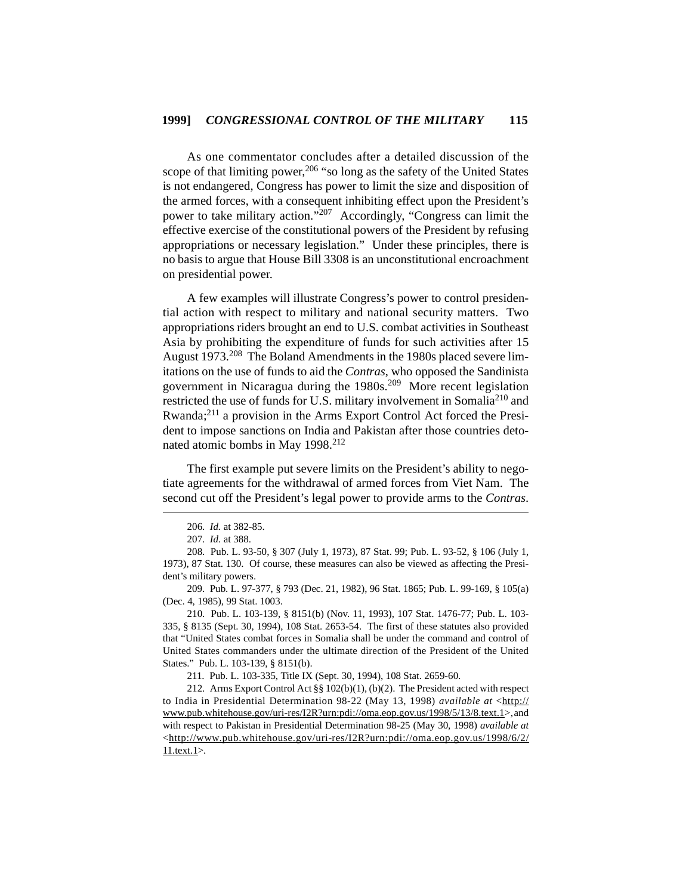As one commentator concludes after a detailed discussion of the scope of that limiting power,  $206$  "so long as the safety of the United States is not endangered, Congress has power to limit the size and disposition of the armed forces, with a consequent inhibiting effect upon the President's power to take military action."207 Accordingly, "Congress can limit the effective exercise of the constitutional powers of the President by refusing appropriations or necessary legislation." Under these principles, there is no basis to argue that House Bill 3308 is an unconstitutional encroachment on presidential power.

A few examples will illustrate Congress's power to control presidential action with respect to military and national security matters. Two appropriations riders brought an end to U.S. combat activities in Southeast Asia by prohibiting the expenditure of funds for such activities after 15 August 1973.<sup>208</sup> The Boland Amendments in the 1980s placed severe limitations on the use of funds to aid the *Contras*, who opposed the Sandinista government in Nicaragua during the 1980s.<sup>209</sup> More recent legislation restricted the use of funds for U.S. military involvement in Somalia<sup>210</sup> and Rwanda;211 a provision in the Arms Export Control Act forced the President to impose sanctions on India and Pakistan after those countries detonated atomic bombs in May 1998.<sup>212</sup>

The first example put severe limits on the President's ability to negotiate agreements for the withdrawal of armed forces from Viet Nam. The second cut off the President's legal power to provide arms to the *Contras*.

209. Pub. L. 97-377, § 793 (Dec. 21, 1982), 96 Stat. 1865; Pub. L. 99-169, § 105(a) (Dec. 4, 1985), 99 Stat. 1003.

211. Pub. L. 103-335, Title IX (Sept. 30, 1994), 108 Stat. 2659-60.

<sup>206.</sup> *Id.* at 382-85.

<sup>207.</sup> *Id.* at 388.

<sup>208.</sup> Pub. L. 93-50, § 307 (July 1, 1973), 87 Stat. 99; Pub. L. 93-52, § 106 (July 1, 1973), 87 Stat. 130. Of course, these measures can also be viewed as affecting the President's military powers.

<sup>210.</sup> Pub. L. 103-139, § 8151(b) (Nov. 11, 1993), 107 Stat. 1476-77; Pub. L. 103- 335, § 8135 (Sept. 30, 1994), 108 Stat. 2653-54. The first of these statutes also provided that "United States combat forces in Somalia shall be under the command and control of United States commanders under the ultimate direction of the President of the United States." Pub. L. 103-139, § 8151(b).

<sup>212.</sup> Arms Export Control Act §§ 102(b)(1), (b)(2). The President acted with respect to India in Presidential Determination 98-22 (May 13, 1998) *available at* <http:// www.pub.whitehouse.gov/uri-res/I2R?urn:pdi://oma.eop.gov.us/1998/5/13/8.text.1>,and with respect to Pakistan in Presidential Determination 98-25 (May 30, 1998) *available at* <http://www.pub.whitehouse.gov/uri-res/I2R?urn:pdi://oma.eop.gov.us/1998/6/2/ 11.text.1>.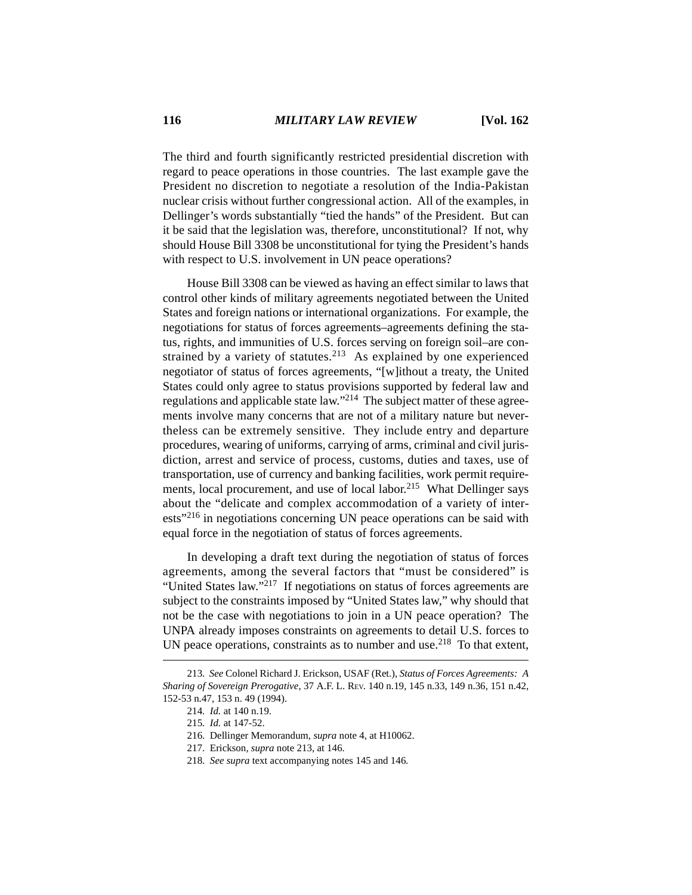The third and fourth significantly restricted presidential discretion with regard to peace operations in those countries. The last example gave the President no discretion to negotiate a resolution of the India-Pakistan nuclear crisis without further congressional action. All of the examples, in Dellinger's words substantially "tied the hands" of the President. But can it be said that the legislation was, therefore, unconstitutional? If not, why should House Bill 3308 be unconstitutional for tying the President's hands with respect to U.S. involvement in UN peace operations?

House Bill 3308 can be viewed as having an effect similar to laws that control other kinds of military agreements negotiated between the United States and foreign nations or international organizations. For example, the negotiations for status of forces agreements–agreements defining the status, rights, and immunities of U.S. forces serving on foreign soil–are constrained by a variety of statutes.<sup>213</sup> As explained by one experienced negotiator of status of forces agreements, "[w]ithout a treaty, the United States could only agree to status provisions supported by federal law and regulations and applicable state law."214 The subject matter of these agreements involve many concerns that are not of a military nature but nevertheless can be extremely sensitive. They include entry and departure procedures, wearing of uniforms, carrying of arms, criminal and civil jurisdiction, arrest and service of process, customs, duties and taxes, use of transportation, use of currency and banking facilities, work permit requirements, local procurement, and use of local labor.<sup>215</sup> What Dellinger says about the "delicate and complex accommodation of a variety of interests"216 in negotiations concerning UN peace operations can be said with equal force in the negotiation of status of forces agreements.

In developing a draft text during the negotiation of status of forces agreements, among the several factors that "must be considered" is "United States law."<sup>217</sup> If negotiations on status of forces agreements are subject to the constraints imposed by "United States law," why should that not be the case with negotiations to join in a UN peace operation? The UNPA already imposes constraints on agreements to detail U.S. forces to UN peace operations, constraints as to number and use.<sup>218</sup> To that extent,

<sup>213.</sup> *See* Colonel Richard J. Erickson, USAF (Ret.), *Status of Forces Agreements: A Sharing of Sovereign Prerogative*, 37 A.F. L. REV. 140 n.19, 145 n.33, 149 n.36, 151 n.42, 152-53 n.47, 153 n. 49 (1994).

<sup>214.</sup> *Id.* at 140 n.19.

<sup>215.</sup> *Id.* at 147-52.

<sup>216.</sup> Dellinger Memorandum, *supra* note 4, at H10062.

<sup>217.</sup> Erickson, *supra* note 213, at 146.

<sup>218.</sup> *See supra* text accompanying notes 145 and 146*.*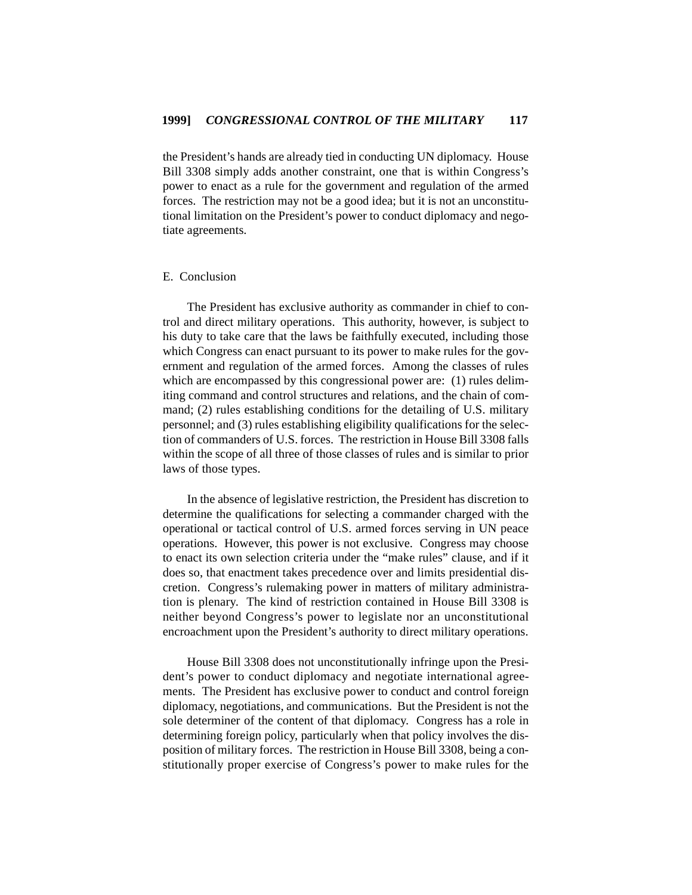the President's hands are already tied in conducting UN diplomacy. House Bill 3308 simply adds another constraint, one that is within Congress's power to enact as a rule for the government and regulation of the armed forces. The restriction may not be a good idea; but it is not an unconstitutional limitation on the President's power to conduct diplomacy and negotiate agreements.

## E. Conclusion

The President has exclusive authority as commander in chief to control and direct military operations. This authority, however, is subject to his duty to take care that the laws be faithfully executed, including those which Congress can enact pursuant to its power to make rules for the government and regulation of the armed forces. Among the classes of rules which are encompassed by this congressional power are: (1) rules delimiting command and control structures and relations, and the chain of command; (2) rules establishing conditions for the detailing of U.S. military personnel; and (3) rules establishing eligibility qualifications for the selection of commanders of U.S. forces. The restriction in House Bill 3308 falls within the scope of all three of those classes of rules and is similar to prior laws of those types.

In the absence of legislative restriction, the President has discretion to determine the qualifications for selecting a commander charged with the operational or tactical control of U.S. armed forces serving in UN peace operations. However, this power is not exclusive. Congress may choose to enact its own selection criteria under the "make rules" clause, and if it does so, that enactment takes precedence over and limits presidential discretion. Congress's rulemaking power in matters of military administration is plenary. The kind of restriction contained in House Bill 3308 is neither beyond Congress's power to legislate nor an unconstitutional encroachment upon the President's authority to direct military operations.

House Bill 3308 does not unconstitutionally infringe upon the President's power to conduct diplomacy and negotiate international agreements. The President has exclusive power to conduct and control foreign diplomacy, negotiations, and communications. But the President is not the sole determiner of the content of that diplomacy. Congress has a role in determining foreign policy, particularly when that policy involves the disposition of military forces. The restriction in House Bill 3308, being a constitutionally proper exercise of Congress's power to make rules for the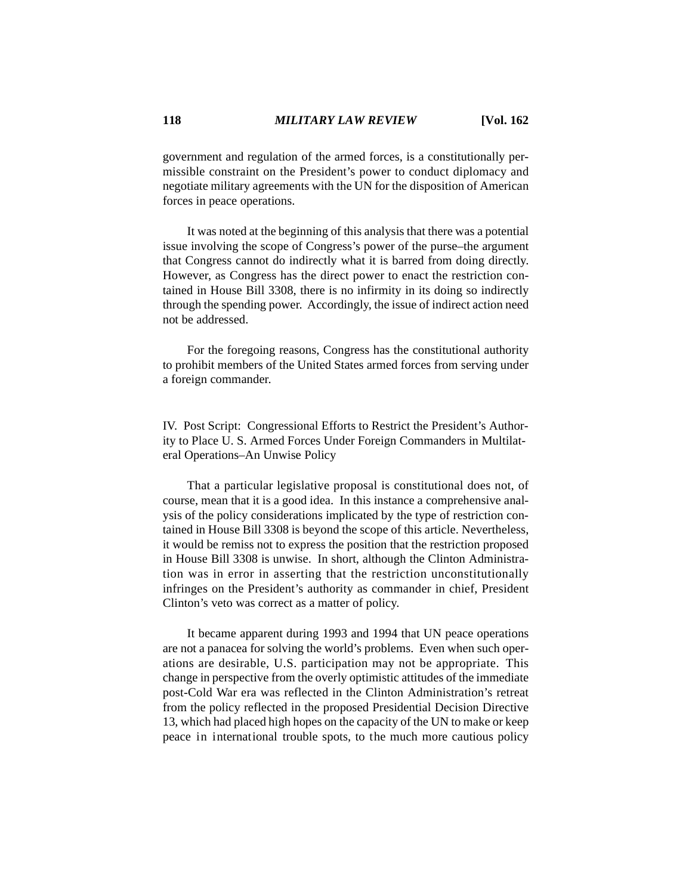government and regulation of the armed forces, is a constitutionally permissible constraint on the President's power to conduct diplomacy and negotiate military agreements with the UN for the disposition of American forces in peace operations.

It was noted at the beginning of this analysis that there was a potential issue involving the scope of Congress's power of the purse–the argument that Congress cannot do indirectly what it is barred from doing directly. However, as Congress has the direct power to enact the restriction contained in House Bill 3308, there is no infirmity in its doing so indirectly through the spending power. Accordingly, the issue of indirect action need not be addressed.

For the foregoing reasons, Congress has the constitutional authority to prohibit members of the United States armed forces from serving under a foreign commander.

IV. Post Script: Congressional Efforts to Restrict the President's Authority to Place U. S. Armed Forces Under Foreign Commanders in Multilateral Operations–An Unwise Policy

That a particular legislative proposal is constitutional does not, of course, mean that it is a good idea. In this instance a comprehensive analysis of the policy considerations implicated by the type of restriction contained in House Bill 3308 is beyond the scope of this article. Nevertheless, it would be remiss not to express the position that the restriction proposed in House Bill 3308 is unwise. In short, although the Clinton Administration was in error in asserting that the restriction unconstitutionally infringes on the President's authority as commander in chief, President Clinton's veto was correct as a matter of policy.

It became apparent during 1993 and 1994 that UN peace operations are not a panacea for solving the world's problems. Even when such operations are desirable, U.S. participation may not be appropriate. This change in perspective from the overly optimistic attitudes of the immediate post-Cold War era was reflected in the Clinton Administration's retreat from the policy reflected in the proposed Presidential Decision Directive 13, which had placed high hopes on the capacity of the UN to make or keep peace in international trouble spots, to the much more cautious policy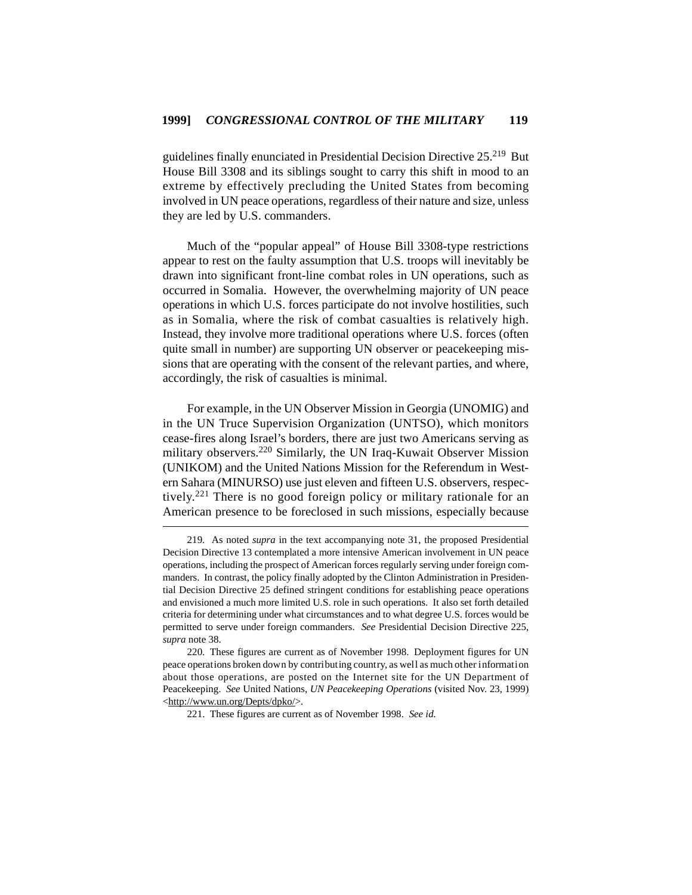guidelines finally enunciated in Presidential Decision Directive 25.219 But House Bill 3308 and its siblings sought to carry this shift in mood to an extreme by effectively precluding the United States from becoming involved in UN peace operations, regardless of their nature and size, unless they are led by U.S. commanders.

Much of the "popular appeal" of House Bill 3308-type restrictions appear to rest on the faulty assumption that U.S. troops will inevitably be drawn into significant front-line combat roles in UN operations, such as occurred in Somalia. However, the overwhelming majority of UN peace operations in which U.S. forces participate do not involve hostilities, such as in Somalia, where the risk of combat casualties is relatively high. Instead, they involve more traditional operations where U.S. forces (often quite small in number) are supporting UN observer or peacekeeping missions that are operating with the consent of the relevant parties, and where, accordingly, the risk of casualties is minimal.

For example, in the UN Observer Mission in Georgia (UNOMIG) and in the UN Truce Supervision Organization (UNTSO), which monitors cease-fires along Israel's borders, there are just two Americans serving as military observers.220 Similarly, the UN Iraq-Kuwait Observer Mission (UNIKOM) and the United Nations Mission for the Referendum in Western Sahara (MINURSO) use just eleven and fifteen U.S. observers, respectively.<sup>221</sup> There is no good foreign policy or military rationale for an American presence to be foreclosed in such missions, especially because

<sup>219.</sup> As noted *supra* in the text accompanying note 31, the proposed Presidential Decision Directive 13 contemplated a more intensive American involvement in UN peace operations, including the prospect of American forces regularly serving under foreign commanders. In contrast, the policy finally adopted by the Clinton Administration in Presidential Decision Directive 25 defined stringent conditions for establishing peace operations and envisioned a much more limited U.S. role in such operations. It also set forth detailed criteria for determining under what circumstances and to what degree U.S. forces would be permitted to serve under foreign commanders. *See* Presidential Decision Directive 225, *supra* note 38.

<sup>220.</sup> These figures are current as of November 1998. Deployment figures for UN peace operations broken down by contributing country, as well as much other information about those operations, are posted on the Internet site for the UN Department of Peacekeeping. *See* United Nations, *UN Peacekeeping Operations* (visited Nov. 23, 1999) <http://www.un.org/Depts/dpko/>.

<sup>221.</sup> These figures are current as of November 1998. *See id.*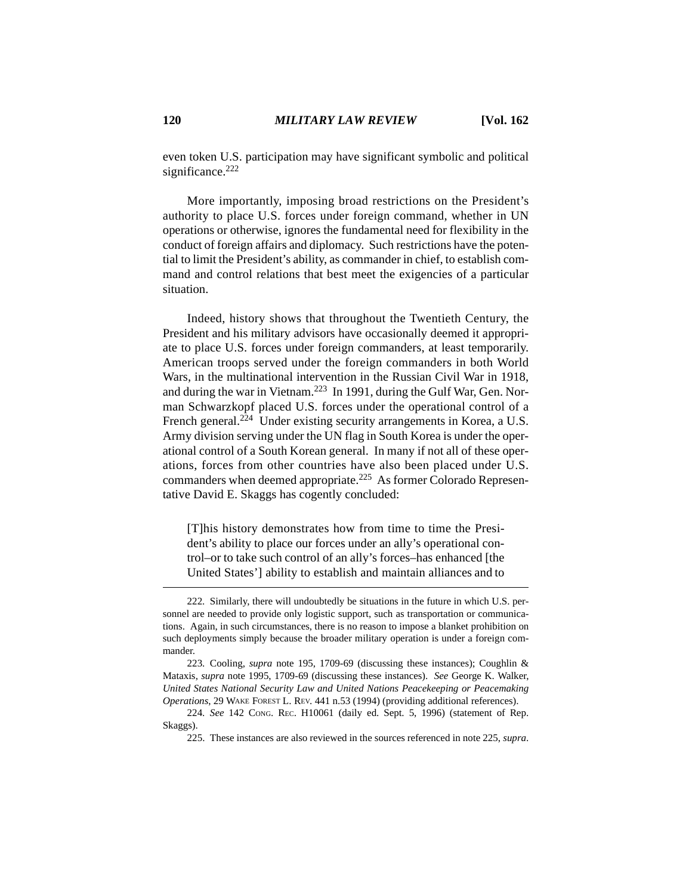even token U.S. participation may have significant symbolic and political significance.<sup>222</sup>

More importantly, imposing broad restrictions on the President's authority to place U.S. forces under foreign command, whether in UN operations or otherwise, ignores the fundamental need for flexibility in the conduct of foreign affairs and diplomacy. Such restrictions have the potential to limit the President's ability, as commander in chief, to establish command and control relations that best meet the exigencies of a particular situation.

Indeed, history shows that throughout the Twentieth Century, the President and his military advisors have occasionally deemed it appropriate to place U.S. forces under foreign commanders, at least temporarily. American troops served under the foreign commanders in both World Wars, in the multinational intervention in the Russian Civil War in 1918, and during the war in Vietnam.<sup>223</sup> In 1991, during the Gulf War, Gen. Norman Schwarzkopf placed U.S. forces under the operational control of a French general.<sup> $224$ </sup> Under existing security arrangements in Korea, a U.S. Army division serving under the UN flag in South Korea is under the operational control of a South Korean general. In many if not all of these operations, forces from other countries have also been placed under U.S. commanders when deemed appropriate.225 As former Colorado Representative David E. Skaggs has cogently concluded:

[T]his history demonstrates how from time to time the President's ability to place our forces under an ally's operational control–or to take such control of an ally's forces–has enhanced [the United States'] ability to establish and maintain alliances and to

<sup>222.</sup> Similarly, there will undoubtedly be situations in the future in which U.S. personnel are needed to provide only logistic support, such as transportation or communications. Again, in such circumstances, there is no reason to impose a blanket prohibition on such deployments simply because the broader military operation is under a foreign commander.

<sup>223.</sup> Cooling, *supra* note 195, 1709-69 (discussing these instances); Coughlin & Mataxis, *supra* note 1995, 1709-69 (discussing these instances). *See* George K. Walker, *United States National Security Law and United Nations Peacekeeping or Peacemaking Operations*, 29 WAKE FOREST L. REV. 441 n.53 (1994) (providing additional references).

<sup>224.</sup> *See* 142 CONG. REC. H10061 (daily ed. Sept. 5, 1996) (statement of Rep. Skaggs).

<sup>225.</sup> These instances are also reviewed in the sources referenced in note 225, *supra*.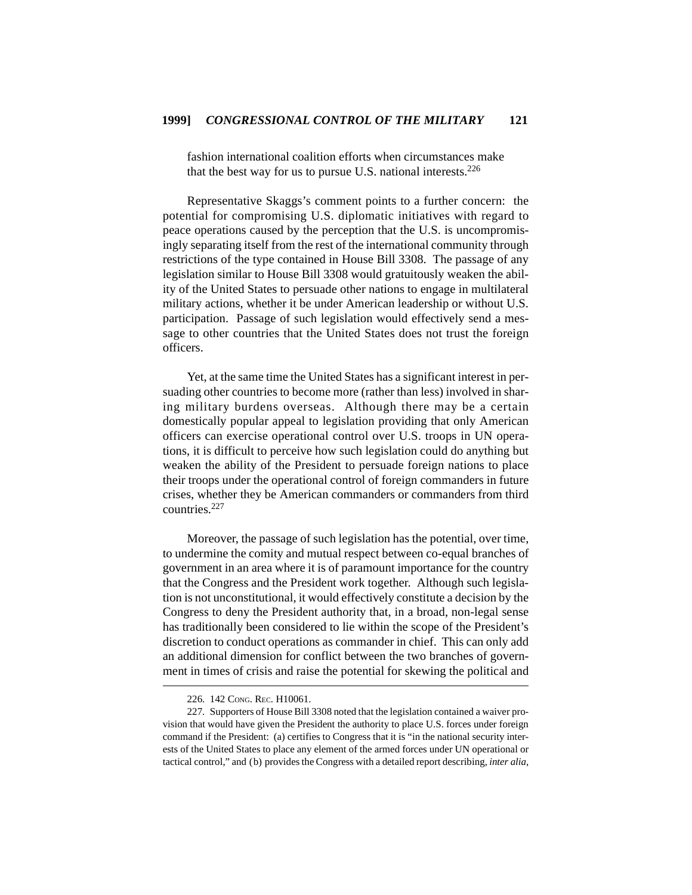fashion international coalition efforts when circumstances make that the best way for us to pursue U.S. national interests. $226$ 

Representative Skaggs's comment points to a further concern: the potential for compromising U.S. diplomatic initiatives with regard to peace operations caused by the perception that the U.S. is uncompromisingly separating itself from the rest of the international community through restrictions of the type contained in House Bill 3308. The passage of any legislation similar to House Bill 3308 would gratuitously weaken the ability of the United States to persuade other nations to engage in multilateral military actions, whether it be under American leadership or without U.S. participation. Passage of such legislation would effectively send a message to other countries that the United States does not trust the foreign officers.

Yet, at the same time the United States has a significant interest in persuading other countries to become more (rather than less) involved in sharing military burdens overseas. Although there may be a certain domestically popular appeal to legislation providing that only American officers can exercise operational control over U.S. troops in UN operations, it is difficult to perceive how such legislation could do anything but weaken the ability of the President to persuade foreign nations to place their troops under the operational control of foreign commanders in future crises, whether they be American commanders or commanders from third countries.<sup>227</sup>

Moreover, the passage of such legislation has the potential, over time, to undermine the comity and mutual respect between co-equal branches of government in an area where it is of paramount importance for the country that the Congress and the President work together. Although such legislation is not unconstitutional, it would effectively constitute a decision by the Congress to deny the President authority that, in a broad, non-legal sense has traditionally been considered to lie within the scope of the President's discretion to conduct operations as commander in chief. This can only add an additional dimension for conflict between the two branches of government in times of crisis and raise the potential for skewing the political and

<sup>226. 142</sup> CONG. REC. H10061.

<sup>227.</sup> Supporters of House Bill 3308 noted that the legislation contained a waiver provision that would have given the President the authority to place U.S. forces under foreign command if the President: (a) certifies to Congress that it is "in the national security interests of the United States to place any element of the armed forces under UN operational or tactical control," and (b) provides the Congress with a detailed report describing, *inter alia*,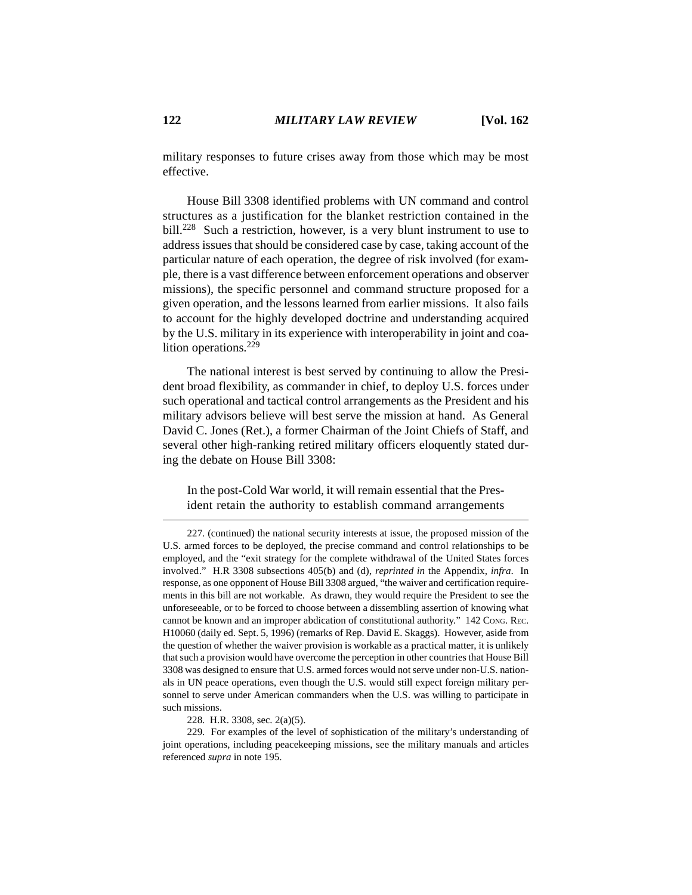military responses to future crises away from those which may be most effective.

House Bill 3308 identified problems with UN command and control structures as a justification for the blanket restriction contained in the bill.<sup>228</sup> Such a restriction, however, is a very blunt instrument to use to address issues that should be considered case by case, taking account of the particular nature of each operation, the degree of risk involved (for example, there is a vast difference between enforcement operations and observer missions), the specific personnel and command structure proposed for a given operation, and the lessons learned from earlier missions. It also fails to account for the highly developed doctrine and understanding acquired by the U.S. military in its experience with interoperability in joint and coalition operations.<sup>229</sup>

The national interest is best served by continuing to allow the President broad flexibility, as commander in chief, to deploy U.S. forces under such operational and tactical control arrangements as the President and his military advisors believe will best serve the mission at hand. As General David C. Jones (Ret.), a former Chairman of the Joint Chiefs of Staff, and several other high-ranking retired military officers eloquently stated during the debate on House Bill 3308:

In the post-Cold War world, it will remain essential that the President retain the authority to establish command arrangements

228. H.R. 3308, sec. 2(a)(5).

<sup>227. (</sup>continued) the national security interests at issue, the proposed mission of the U.S. armed forces to be deployed, the precise command and control relationships to be employed, and the "exit strategy for the complete withdrawal of the United States forces involved." H.R 3308 subsections 405(b) and (d), *reprinted in* the Appendix, *infra*. In response, as one opponent of House Bill 3308 argued, "the waiver and certification requirements in this bill are not workable. As drawn, they would require the President to see the unforeseeable, or to be forced to choose between a dissembling assertion of knowing what cannot be known and an improper abdication of constitutional authority." 142 CONG. REC. H10060 (daily ed. Sept. 5, 1996) (remarks of Rep. David E. Skaggs). However, aside from the question of whether the waiver provision is workable as a practical matter, it is unlikely that such a provision would have overcome the perception in other countries that House Bill 3308 was designed to ensure that U.S. armed forces would not serve under non-U.S. nationals in UN peace operations, even though the U.S. would still expect foreign military personnel to serve under American commanders when the U.S. was willing to participate in such missions.

<sup>229.</sup> For examples of the level of sophistication of the military's understanding of joint operations, including peacekeeping missions, see the military manuals and articles referenced *supra* in note 195.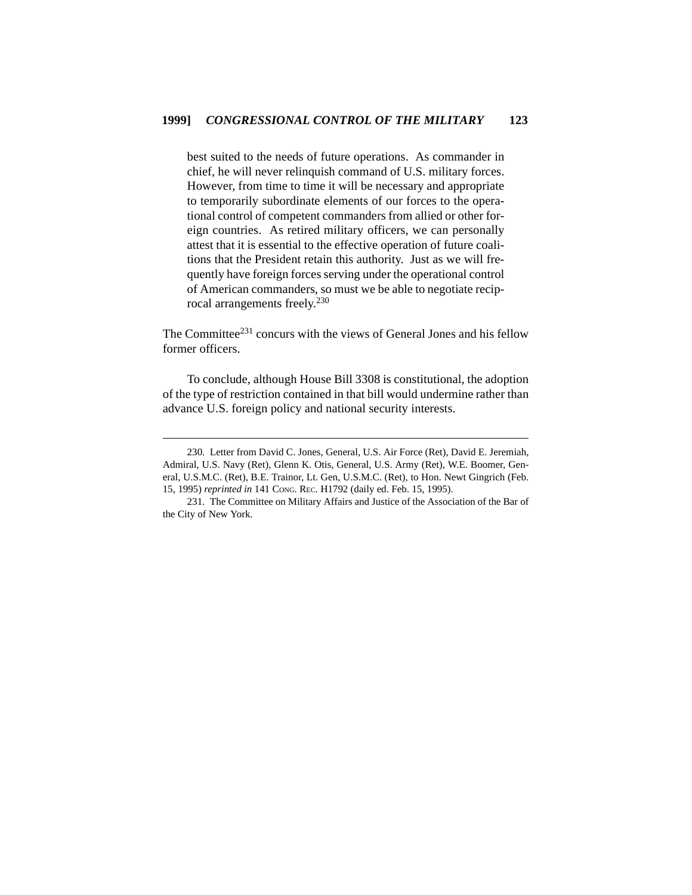best suited to the needs of future operations. As commander in chief, he will never relinquish command of U.S. military forces. However, from time to time it will be necessary and appropriate to temporarily subordinate elements of our forces to the operational control of competent commanders from allied or other foreign countries. As retired military officers, we can personally attest that it is essential to the effective operation of future coalitions that the President retain this authority. Just as we will frequently have foreign forces serving under the operational control of American commanders, so must we be able to negotiate reciprocal arrangements freely.<sup>230</sup>

The Committee<sup>231</sup> concurs with the views of General Jones and his fellow former officers.

To conclude, although House Bill 3308 is constitutional, the adoption of the type of restriction contained in that bill would undermine rather than advance U.S. foreign policy and national security interests.

<sup>230.</sup> Letter from David C. Jones, General, U.S. Air Force (Ret), David E. Jeremiah, Admiral, U.S. Navy (Ret), Glenn K. Otis, General, U.S. Army (Ret), W.E. Boomer, General, U.S.M.C. (Ret), B.E. Trainor, Lt. Gen, U.S.M.C. (Ret), to Hon. Newt Gingrich (Feb. 15, 1995) *reprinted in* 141 CONG. REC. H1792 (daily ed. Feb. 15, 1995).

<sup>231.</sup> The Committee on Military Affairs and Justice of the Association of the Bar of the City of New York.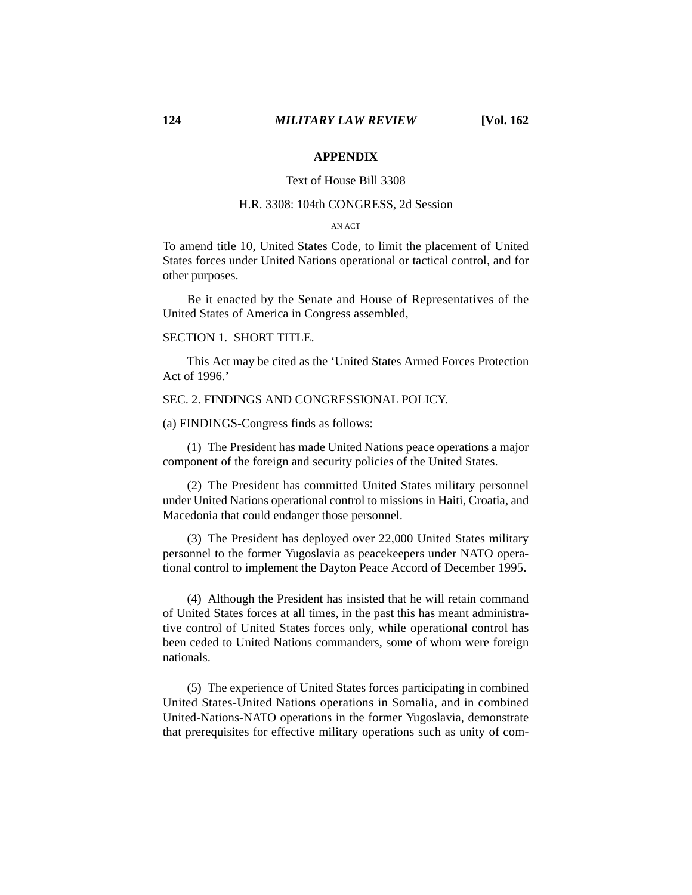### **APPENDIX**

### Text of House Bill 3308

# H.R. 3308: 104th CONGRESS, 2d Session

#### AN ACT

To amend title 10, United States Code, to limit the placement of United States forces under United Nations operational or tactical control, and for other purposes.

Be it enacted by the Senate and House of Representatives of the United States of America in Congress assembled,

# SECTION 1. SHORT TITLE.

This Act may be cited as the 'United States Armed Forces Protection Act of 1996.'

#### SEC. 2. FINDINGS AND CONGRESSIONAL POLICY.

(a) FINDINGS-Congress finds as follows:

(1) The President has made United Nations peace operations a major component of the foreign and security policies of the United States.

(2) The President has committed United States military personnel under United Nations operational control to missions in Haiti, Croatia, and Macedonia that could endanger those personnel.

(3) The President has deployed over 22,000 United States military personnel to the former Yugoslavia as peacekeepers under NATO operational control to implement the Dayton Peace Accord of December 1995.

(4) Although the President has insisted that he will retain command of United States forces at all times, in the past this has meant administrative control of United States forces only, while operational control has been ceded to United Nations commanders, some of whom were foreign nationals.

(5) The experience of United States forces participating in combined United States-United Nations operations in Somalia, and in combined United-Nations-NATO operations in the former Yugoslavia, demonstrate that prerequisites for effective military operations such as unity of com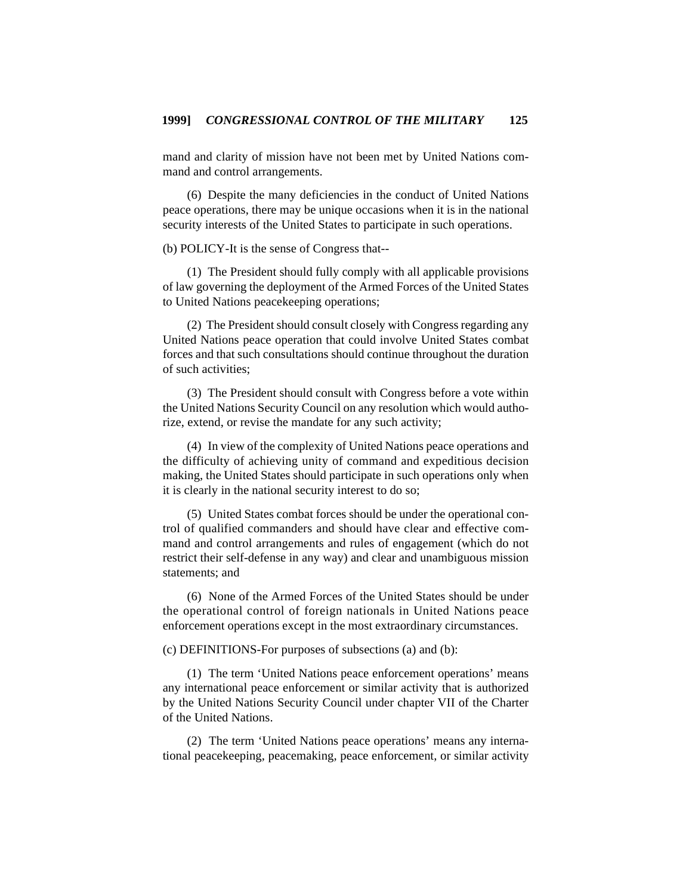mand and clarity of mission have not been met by United Nations command and control arrangements.

(6) Despite the many deficiencies in the conduct of United Nations peace operations, there may be unique occasions when it is in the national security interests of the United States to participate in such operations.

(b) POLICY-It is the sense of Congress that--

(1) The President should fully comply with all applicable provisions of law governing the deployment of the Armed Forces of the United States to United Nations peacekeeping operations;

(2) The President should consult closely with Congress regarding any United Nations peace operation that could involve United States combat forces and that such consultations should continue throughout the duration of such activities;

(3) The President should consult with Congress before a vote within the United Nations Security Council on any resolution which would authorize, extend, or revise the mandate for any such activity;

(4) In view of the complexity of United Nations peace operations and the difficulty of achieving unity of command and expeditious decision making, the United States should participate in such operations only when it is clearly in the national security interest to do so;

(5) United States combat forces should be under the operational control of qualified commanders and should have clear and effective command and control arrangements and rules of engagement (which do not restrict their self-defense in any way) and clear and unambiguous mission statements; and

(6) None of the Armed Forces of the United States should be under the operational control of foreign nationals in United Nations peace enforcement operations except in the most extraordinary circumstances.

(c) DEFINITIONS-For purposes of subsections (a) and (b):

(1) The term 'United Nations peace enforcement operations' means any international peace enforcement or similar activity that is authorized by the United Nations Security Council under chapter VII of the Charter of the United Nations.

(2) The term 'United Nations peace operations' means any international peacekeeping, peacemaking, peace enforcement, or similar activity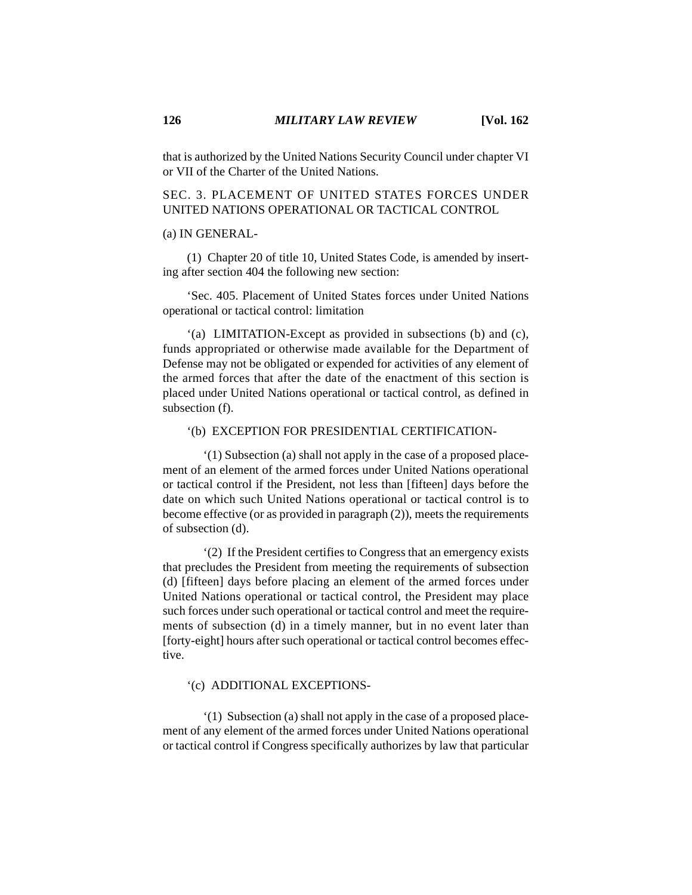that is authorized by the United Nations Security Council under chapter VI or VII of the Charter of the United Nations.

# SEC. 3. PLACEMENT OF UNITED STATES FORCES UNDER UNITED NATIONS OPERATIONAL OR TACTICAL CONTROL

#### (a) IN GENERAL-

(1) Chapter 20 of title 10, United States Code, is amended by inserting after section 404 the following new section:

'Sec. 405. Placement of United States forces under United Nations operational or tactical control: limitation

'(a) LIMITATION-Except as provided in subsections (b) and (c), funds appropriated or otherwise made available for the Department of Defense may not be obligated or expended for activities of any element of the armed forces that after the date of the enactment of this section is placed under United Nations operational or tactical control, as defined in subsection (f).

#### '(b) EXCEPTION FOR PRESIDENTIAL CERTIFICATION-

'(1) Subsection (a) shall not apply in the case of a proposed placement of an element of the armed forces under United Nations operational or tactical control if the President, not less than [fifteen] days before the date on which such United Nations operational or tactical control is to become effective (or as provided in paragraph (2)), meets the requirements of subsection (d).

'(2) If the President certifies to Congress that an emergency exists that precludes the President from meeting the requirements of subsection (d) [fifteen] days before placing an element of the armed forces under United Nations operational or tactical control, the President may place such forces under such operational or tactical control and meet the requirements of subsection (d) in a timely manner, but in no event later than [forty-eight] hours after such operational or tactical control becomes effective.

# '(c) ADDITIONAL EXCEPTIONS-

'(1) Subsection (a) shall not apply in the case of a proposed placement of any element of the armed forces under United Nations operational or tactical control if Congress specifically authorizes by law that particular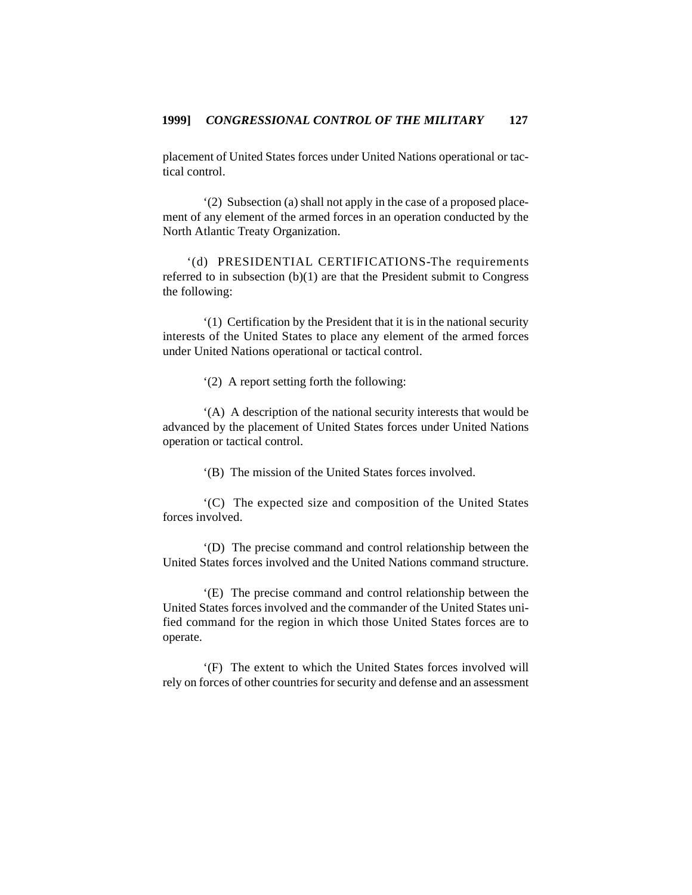placement of United States forces under United Nations operational or tactical control.

'(2) Subsection (a) shall not apply in the case of a proposed placement of any element of the armed forces in an operation conducted by the North Atlantic Treaty Organization.

'(d) PRESIDENTIAL CERTIFICATIONS-The requirements referred to in subsection (b)(1) are that the President submit to Congress the following:

'(1) Certification by the President that it is in the national security interests of the United States to place any element of the armed forces under United Nations operational or tactical control.

'(2) A report setting forth the following:

'(A) A description of the national security interests that would be advanced by the placement of United States forces under United Nations operation or tactical control.

'(B) The mission of the United States forces involved.

'(C) The expected size and composition of the United States forces involved.

'(D) The precise command and control relationship between the United States forces involved and the United Nations command structure.

'(E) The precise command and control relationship between the United States forces involved and the commander of the United States unified command for the region in which those United States forces are to operate.

'(F) The extent to which the United States forces involved will rely on forces of other countries for security and defense and an assessment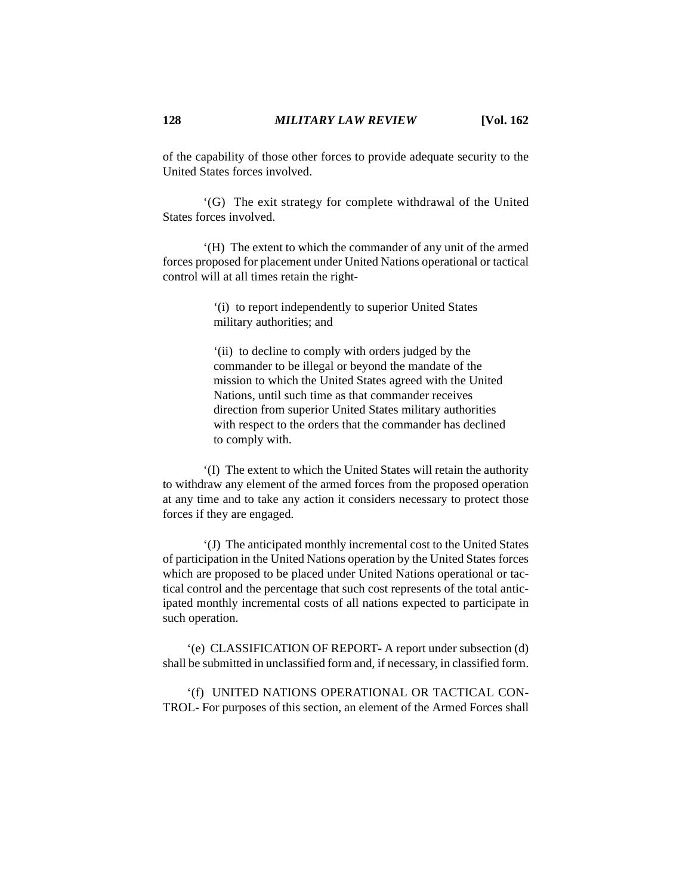of the capability of those other forces to provide adequate security to the United States forces involved.

'(G) The exit strategy for complete withdrawal of the United States forces involved.

'(H) The extent to which the commander of any unit of the armed forces proposed for placement under United Nations operational or tactical control will at all times retain the right-

> '(i) to report independently to superior United States military authorities; and

'(ii) to decline to comply with orders judged by the commander to be illegal or beyond the mandate of the mission to which the United States agreed with the United Nations, until such time as that commander receives direction from superior United States military authorities with respect to the orders that the commander has declined to comply with.

'(I) The extent to which the United States will retain the authority to withdraw any element of the armed forces from the proposed operation at any time and to take any action it considers necessary to protect those forces if they are engaged.

'(J) The anticipated monthly incremental cost to the United States of participation in the United Nations operation by the United States forces which are proposed to be placed under United Nations operational or tactical control and the percentage that such cost represents of the total anticipated monthly incremental costs of all nations expected to participate in such operation.

'(e) CLASSIFICATION OF REPORT- A report under subsection (d) shall be submitted in unclassified form and, if necessary, in classified form.

'(f) UNITED NATIONS OPERATIONAL OR TACTICAL CON-TROL- For purposes of this section, an element of the Armed Forces shall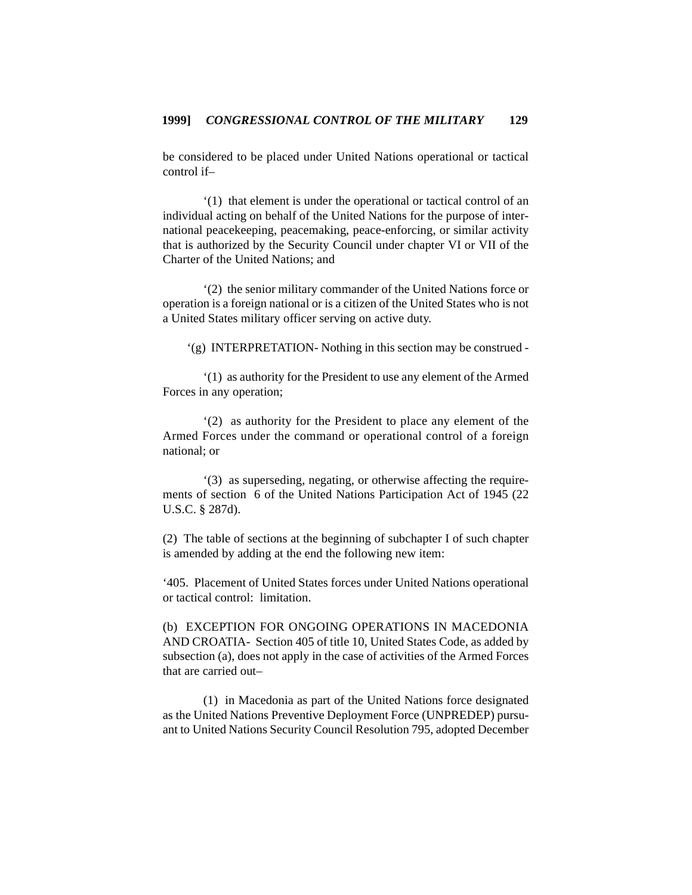be considered to be placed under United Nations operational or tactical control if–

'(1) that element is under the operational or tactical control of an individual acting on behalf of the United Nations for the purpose of international peacekeeping, peacemaking, peace-enforcing, or similar activity that is authorized by the Security Council under chapter VI or VII of the Charter of the United Nations; and

'(2) the senior military commander of the United Nations force or operation is a foreign national or is a citizen of the United States who is not a United States military officer serving on active duty.

'(g) INTERPRETATION- Nothing in this section may be construed -

'(1) as authority for the President to use any element of the Armed Forces in any operation;

'(2) as authority for the President to place any element of the Armed Forces under the command or operational control of a foreign national; or

'(3) as superseding, negating, or otherwise affecting the requirements of section 6 of the United Nations Participation Act of 1945 (22 U.S.C. § 287d).

(2) The table of sections at the beginning of subchapter I of such chapter is amended by adding at the end the following new item:

'405. Placement of United States forces under United Nations operational or tactical control: limitation.

(b) EXCEPTION FOR ONGOING OPERATIONS IN MACEDONIA AND CROATIA- Section 405 of title 10, United States Code, as added by subsection (a), does not apply in the case of activities of the Armed Forces that are carried out–

(1) in Macedonia as part of the United Nations force designated as the United Nations Preventive Deployment Force (UNPREDEP) pursuant to United Nations Security Council Resolution 795, adopted December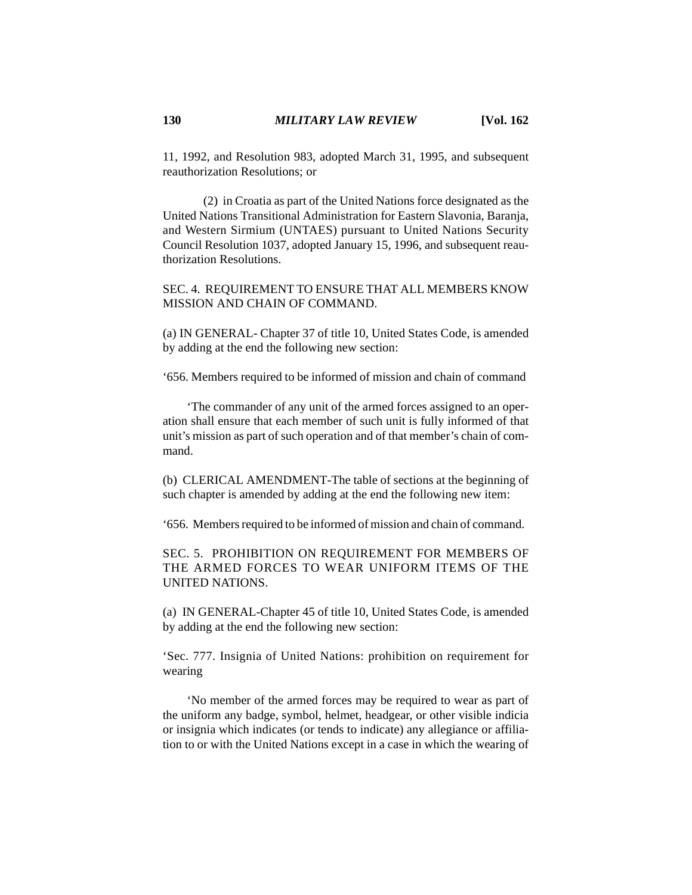11, 1992, and Resolution 983, adopted March 31, 1995, and subsequent reauthorization Resolutions; or

(2) in Croatia as part of the United Nations force designated as the United Nations Transitional Administration for Eastern Slavonia, Baranja, and Western Sirmium (UNTAES) pursuant to United Nations Security Council Resolution 1037, adopted January 15, 1996, and subsequent reauthorization Resolutions.

SEC. 4. REQUIREMENT TO ENSURE THAT ALL MEMBERS KNOW MISSION AND CHAIN OF COMMAND.

(a) IN GENERAL- Chapter 37 of title 10, United States Code, is amended by adding at the end the following new section:

'656. Members required to be informed of mission and chain of command

'The commander of any unit of the armed forces assigned to an operation shall ensure that each member of such unit is fully informed of that unit's mission as part of such operation and of that member's chain of command.

(b) CLERICAL AMENDMENT-The table of sections at the beginning of such chapter is amended by adding at the end the following new item:

'656. Members required to be informed of mission and chain of command.

SEC. 5. PROHIBITION ON REQUIREMENT FOR MEMBERS OF THE ARMED FORCES TO WEAR UNIFORM ITEMS OF THE UNITED NATIONS.

(a) IN GENERAL-Chapter 45 of title 10, United States Code, is amended by adding at the end the following new section:

'Sec. 777. Insignia of United Nations: prohibition on requirement for wearing

'No member of the armed forces may be required to wear as part of the uniform any badge, symbol, helmet, headgear, or other visible indicia or insignia which indicates (or tends to indicate) any allegiance or affiliation to or with the United Nations except in a case in which the wearing of